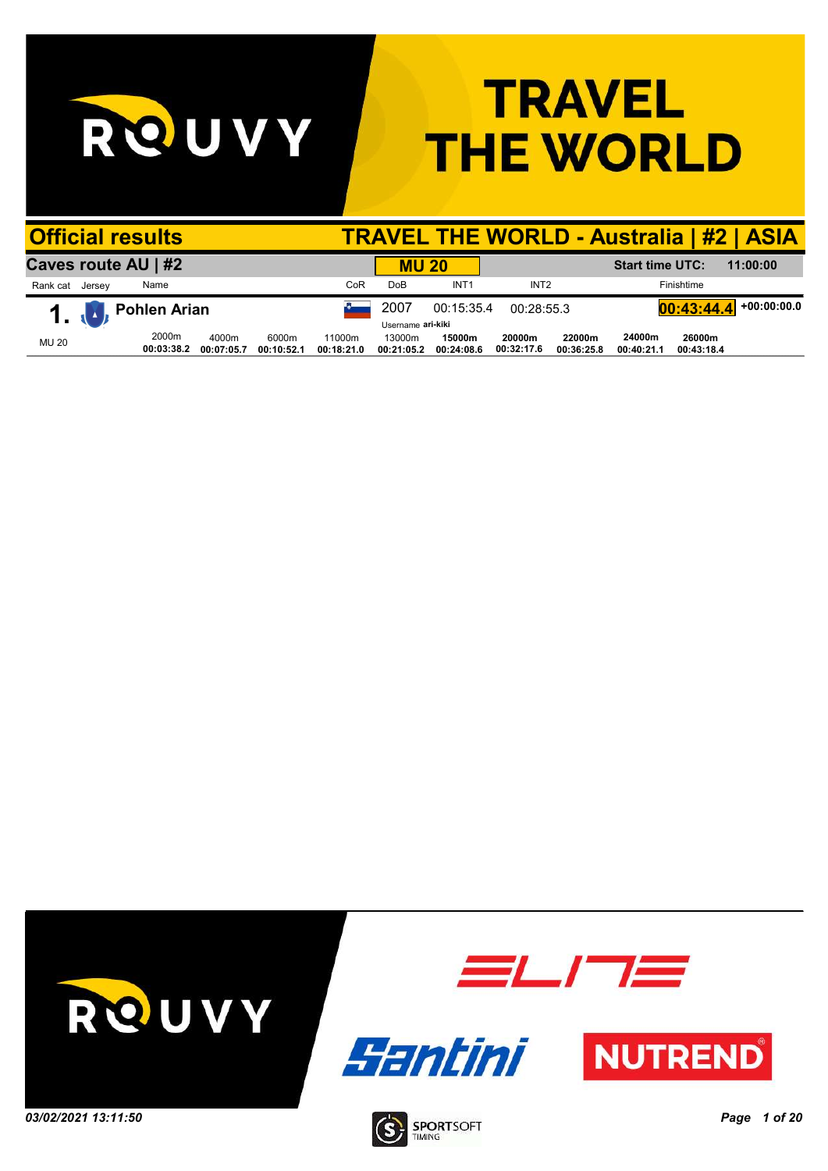RQUVY

## **TRAVEL THE WORLD**

|                 | <b>Official results</b>     |                     |                     |                     |                      |                      |                      |                      |                      |                        |                      | <b>TRAVEL THE WORLD - Australia   #2   ASIA</b> |
|-----------------|-----------------------------|---------------------|---------------------|---------------------|----------------------|----------------------|----------------------|----------------------|----------------------|------------------------|----------------------|-------------------------------------------------|
|                 | Caves route AU   #2         |                     |                     |                     |                      | <b>MU 20</b>         |                      |                      |                      | <b>Start time UTC:</b> |                      | 11:00:00                                        |
| Rank cat Jersey |                             | Name                |                     |                     | CoR                  | Do <sub>B</sub>      | INT <sub>1</sub>     | INT <sub>2</sub>     |                      |                        | Finishtime           |                                                 |
|                 | $\mathbf{1}$ , $\mathbf{1}$ | Pohlen Arian        |                     |                     |                      | 2007                 | 00:15:35.4           | 00:28:55.3           |                      |                        | 00:43:44.4           | $+00:00:00.0$                                   |
|                 |                             |                     |                     |                     |                      | Username ari-kiki    |                      |                      |                      |                        |                      |                                                 |
| <b>MU 20</b>    |                             | 2000m<br>00:03:38.2 | 4000m<br>00:07:05.7 | 6000m<br>00:10:52.1 | 11000m<br>00:18:21.0 | 13000m<br>00:21:05.2 | 15000m<br>00:24:08.6 | 20000m<br>00:32:17.6 | 22000m<br>00:36:25.8 | 24000m<br>00:40:21.1   | 26000m<br>00:43:18.4 |                                                 |

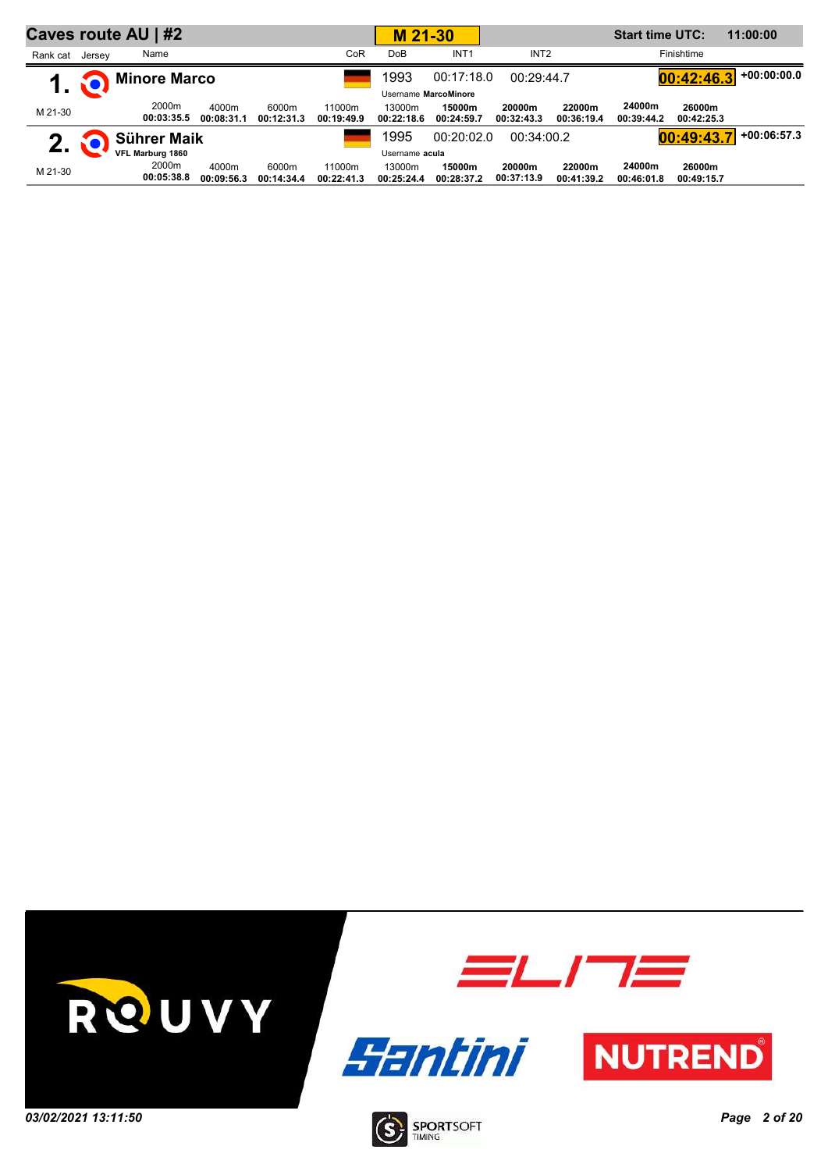|          |        | Caves route AU   #2 |                     |                     |                      | M 21-30              |                      |                      |                      | <b>Start time UTC:</b> |                      | 11:00:00      |
|----------|--------|---------------------|---------------------|---------------------|----------------------|----------------------|----------------------|----------------------|----------------------|------------------------|----------------------|---------------|
| Rank cat | Jersey | Name                |                     |                     | CoR                  | <b>DoB</b>           | INT <sub>1</sub>     | INT <sub>2</sub>     |                      |                        | Finishtime           |               |
|          |        | <b>Minore Marco</b> |                     |                     |                      | 1993                 | 00:17:18.0           | 00:29:44.7           |                      |                        | 00:42:46.3           | $+00:00:00.0$ |
|          |        |                     |                     |                     |                      |                      | Username MarcoMinore |                      |                      |                        |                      |               |
| M 21-30  |        | 2000m<br>00:03:35.5 | 4000m<br>00:08:31.1 | 6000m<br>00:12:31.3 | 11000m<br>00:19:49.9 | 13000m<br>00:22:18.6 | 15000m<br>00:24:59.7 | 20000m<br>00:32:43.3 | 22000m<br>00:36:19.4 | 24000m<br>00:39:44.2   | 26000m<br>00:42:25.3 |               |
| 2.       |        | Sührer Maik         |                     |                     |                      | 1995                 | 00:20:02.0           | 00:34:00.2           |                      |                        | 00:49:43.            | $+00:06:57.3$ |
|          |        | VFL Marburg 1860    |                     |                     |                      | Username acula       |                      |                      |                      |                        |                      |               |
| M 21-30  |        | 2000m<br>00:05:38.8 | 4000m<br>00:09:56.3 | 6000m<br>00:14:34.4 | 11000m<br>00:22:41.3 | 13000m<br>00:25:24.4 | 15000m<br>00:28:37.2 | 20000m<br>00:37:13.9 | 22000m<br>00:41:39.2 | 24000m<br>00:46:01.8   | 26000m<br>00:49:15.7 |               |

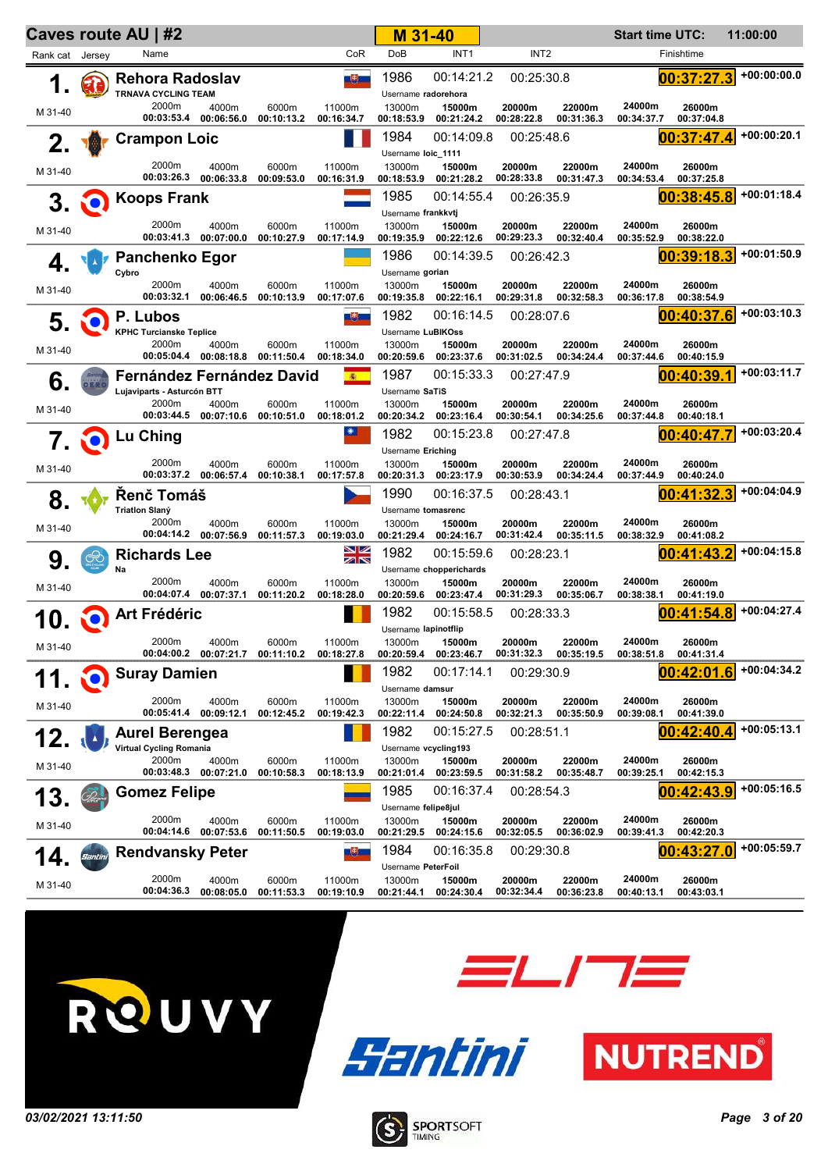|                 |                    | <b>Caves route AU   #2</b>                                     |                                           |                                |                      | M 31-40                                     |                                                 |                      |                      | <b>Start time UTC:</b> |                      | 11:00:00      |
|-----------------|--------------------|----------------------------------------------------------------|-------------------------------------------|--------------------------------|----------------------|---------------------------------------------|-------------------------------------------------|----------------------|----------------------|------------------------|----------------------|---------------|
| Rank cat Jersey |                    | Name                                                           |                                           |                                | CoR                  | <b>DoB</b>                                  | INT <sub>1</sub>                                | INT <sub>2</sub>     |                      |                        | Finishtime           |               |
| 1.              |                    | <b>Rehora Radoslav</b><br><b>TRNAVA CYCLING TEAM</b>           |                                           |                                | 一志                   | 1986<br>Username radorehora                 | 00:14:21.2                                      | 00:25:30.8           |                      |                        | 00:37:27.3           | +00:00:00.0   |
| M 31-40         |                    | 2000m                                                          | 4000m<br>00:03:53.4 00:06:56.0            | 6000m<br>00:10:13.2            | 11000m<br>00:16:34.7 | 13000m<br>00:18:53.9                        | 15000m<br>00:21:24.2                            | 20000m<br>00:28:22.8 | 22000m<br>00:31:36.3 | 24000m<br>00:34:37.7   | 26000m<br>00:37:04.8 |               |
| 2.              |                    | <b>Crampon Loic</b>                                            |                                           |                                |                      | 1984<br>Username loic_1111                  | 00:14:09.8                                      | 00:25:48.6           |                      |                        | 00:37:47.4           | $+00:00:20.1$ |
| M 31-40         |                    | 2000m<br>00:03:26.3                                            | 4000m<br>00:06:33.8                       | 6000m<br>00:09:53.0            | 11000m<br>00:16:31.9 | 13000m<br>00:18:53.9                        | 15000m<br>00:21:28.2                            | 20000m<br>00:28:33.8 | 22000m<br>00:31:47.3 | 24000m<br>00:34:53.4   | 26000m<br>00:37:25.8 |               |
| 3.              | NO)                | <b>Koops Frank</b>                                             |                                           |                                |                      | 1985                                        | 00:14:55.4                                      | 00:26:35.9           |                      |                        | 00:38:45.8           | $+00:01:18.4$ |
| M 31-40         |                    | 2000m<br>00:03:41.3                                            | 4000m<br>00:07:00.0                       | 6000m<br>00:10:27.9            | 11000m<br>00:17:14.9 | Username frankkvtj<br>13000m<br>00:19:35.9  | 15000m<br>00:22:12.6                            | 20000m<br>00:29:23.3 | 22000m<br>00:32:40.4 | 24000m<br>00:35:52.9   | 26000m<br>00:38:22.0 |               |
| 4.              |                    | <b>Panchenko Egor</b>                                          |                                           |                                |                      | 1986                                        | 00:14:39.5                                      | 00:26:42.3           |                      |                        | 00:39:18.3           | $+00:01:50.9$ |
| M 31-40         |                    | Cybro<br>2000m<br>00:03:32.1                                   | 4000m<br>00:06:46.5                       | 6000m<br>00:10:13.9            | 11000m<br>00:17:07.6 | Username gorian<br>13000m<br>00:19:35.8     | 15000m<br>00:22:16.1                            | 20000m<br>00:29:31.8 | 22000m<br>00:32:58.3 | 24000m<br>00:36:17.8   | 26000m<br>00:38:54.9 |               |
| 5.              |                    | P. Lubos                                                       |                                           |                                | ■患風                  | 1982                                        | 00:16:14.5                                      | 00:28:07.6           |                      |                        | 00:40:37.6           | $+00:03:10.3$ |
| M 31-40         |                    | <b>KPHC Turcianske Teplice</b><br>2000m                        | 4000m<br>00:05:04.4 00:08:18.8 00:11:50.4 | 6000m                          | 11000m<br>00:18:34.0 | Username LuBIKOss<br>13000m<br>00:20:59.6   | 15000m<br>00:23:37.6                            | 20000m<br>00:31:02.5 | 22000m<br>00:34:24.4 | 24000m<br>00:37:44.6   | 26000m<br>00:40:15.9 |               |
| 6.              |                    | <b>Fernández Fernández David</b><br>Lujaviparts - Asturcón BTT |                                           |                                | 衞                    | 1987<br>Username SaTiS                      | 00:15:33.3                                      | 00:27:47.9           |                      |                        | 00:40:39.1           | $+00:03:11.7$ |
| M 31-40         |                    | 2000m<br>00:03:44.5                                            | 4000m                                     | 6000m<br>00:07:10.6 00:10:51.0 | 11000m<br>00:18:01.2 | 13000m<br>00:20:34.2                        | 15000m<br>00:23:16.4                            | 20000m<br>00:30:54.1 | 22000m<br>00:34:25.6 | 24000m<br>00:37:44.8   | 26000m<br>00:40:18.1 |               |
|                 |                    | 7 0 Lu Ching                                                   |                                           |                                |                      | 1982<br>Username Eriching                   | 00:15:23.8                                      | 00:27:47.8           |                      |                        | 00:40:47.7           | $+00:03:20.4$ |
| M 31-40         |                    | 2000m<br>00:03:37.2                                            | 4000m<br>00:06:57.4                       | 6000m<br>00:10:38.1            | 11000m<br>00:17:57.8 | 13000m<br>00:20:31.3                        | 15000m<br>00:23:17.9                            | 20000m<br>00:30:53.9 | 22000m<br>00:34:24.4 | 24000m<br>00:37:44.9   | 26000m<br>00:40:24.0 |               |
| 8.              |                    | Řenč Tomáš                                                     |                                           |                                |                      | 1990                                        | 00:16:37.5                                      | 00:28:43.1           |                      |                        | 00:41:32.3           | +00:04:04.9   |
| M 31-40         |                    | <b>Triatlon Slaný</b><br>2000m                                 | 4000m<br>00:04:14.2 00:07:56.9            | 6000m<br>00:11:57.3            | 11000m<br>00:19:03.0 | Username tomasrenc<br>13000m<br>00:21:29.4  | 15000m<br>00:24:16.7                            | 20000m<br>00:31:42.4 | 22000m<br>00:35:11.5 | 24000m<br>00:38:32.9   | 26000m<br>00:41:08.2 |               |
| 9.              | $\mathop{\otimes}$ | <b>Richards Lee</b>                                            |                                           |                                | NZ<br>ZIN            | 1982                                        | 00:15:59.6                                      | 00:28:23.1           |                      |                        | 00:41:43.2           | +00:04:15.8   |
| M 31-40         |                    | Na<br>2000m                                                    | 4000m<br>00:04:07.4 00:07:37.1            | 6000m<br>00:11:20.2            | 11000m<br>00:18:28.0 | 13000m<br>00:20:59.6                        | Username chopperichards<br>15000m<br>00:23:47.4 | 20000m<br>00:31:29.3 | 22000m<br>00:35:06.7 | 24000m<br>00:38:38.1   | 26000m<br>00:41:19.0 |               |
| 10.             |                    | Art Frédéric                                                   |                                           |                                |                      | 1982<br>Username lapinotflip                | 00:15:58.5                                      | 00:28:33.3           |                      |                        | 00:41:54.8           | $+00:04:27.4$ |
| M 31-40         |                    | 2000m                                                          | 4000m<br>00:04:00.2 00:07:21.7            | 6000m<br>00:11:10.2            | 11000m<br>00:18:27.8 | 13000m<br>00:20:59.4                        | 15000m<br>00:23:46.7                            | 20000m<br>00:31:32.3 | 22000m<br>00:35:19.5 | 24000m<br>00:38:51.8   | 26000m<br>00:41:31.4 |               |
|                 |                    | <b>Suray Damien</b>                                            |                                           |                                |                      | 1982<br>Username damsur                     | 00:17:14.1                                      | 00:29:30.9           |                      |                        | 00:42:01.6           | +00:04:34.2   |
| M 31-40         |                    | 2000m<br>00:05:41.4                                            | 4000m<br>00:09:12.1                       | 6000m<br>00:12:45.2            | 11000m<br>00:19:42.3 | 13000m<br>00:22:11.4                        | 15000m<br>00:24:50.8                            | 20000m<br>00:32:21.3 | 22000m<br>00:35:50.9 | 24000m<br>00:39:08.1   | 26000m<br>00:41:39.0 |               |
| 12.             |                    | <b>Aurel Berengea</b><br><b>Virtual Cycling Romania</b>        |                                           |                                |                      | 1982<br>Username vcycling193                | 00:15:27.5                                      | 00:28:51.1           |                      |                        | 00:42:40.4           | $+00:05:13.1$ |
| M 31-40         |                    | 2000m<br>00:03:48.3                                            | 4000m<br>00:07:21.0                       | 6000m<br>00:10:58.3            | 11000m<br>00:18:13.9 | 13000m<br>00:21:01.4                        | 15000m<br>00:23:59.5                            | 20000m<br>00:31:58.2 | 22000m<br>00:35:48.7 | 24000m<br>00:39:25.1   | 26000m<br>00:42:15.3 |               |
| 13.             |                    | <b>Gomez Felipe</b>                                            |                                           |                                |                      | 1985                                        | 00:16:37.4                                      | 00:28:54.3           |                      |                        | 00:42:43.9           | $+00:05:16.5$ |
| M 31-40         |                    | 2000m<br>00:04:14.6                                            | 4000m<br>00:07:53.6                       | 6000m<br>00:11:50.5            | 11000m<br>00:19:03.0 | Username felipe8jul<br>13000m<br>00:21:29.5 | 15000m<br>00:24:15.6                            | 20000m<br>00:32:05.5 | 22000m<br>00:36:02.9 | 24000m<br>00:39:41.3   | 26000m<br>00:42:20.3 |               |
| 14              | Santini            | <b>Rendvansky Peter</b>                                        |                                           |                                | 四郎                   | 1984                                        | 00:16:35.8                                      | 00:29:30.8           |                      |                        | 00:43:27.0           | $+00:05:59.7$ |
| M 31-40         |                    | 2000m<br>00:04:36.3                                            | 4000m<br>00:08:05.0                       | 6000m<br>00:11:53.3            | 11000m<br>00:19:10.9 | Username PeterFoil<br>13000m<br>00:21:44.1  | 15000m<br>00:24:30.4                            | 20000m<br>00:32:34.4 | 22000m<br>00:36:23.8 | 24000m<br>00:40:13.1   | 26000m<br>00:43:03.1 |               |







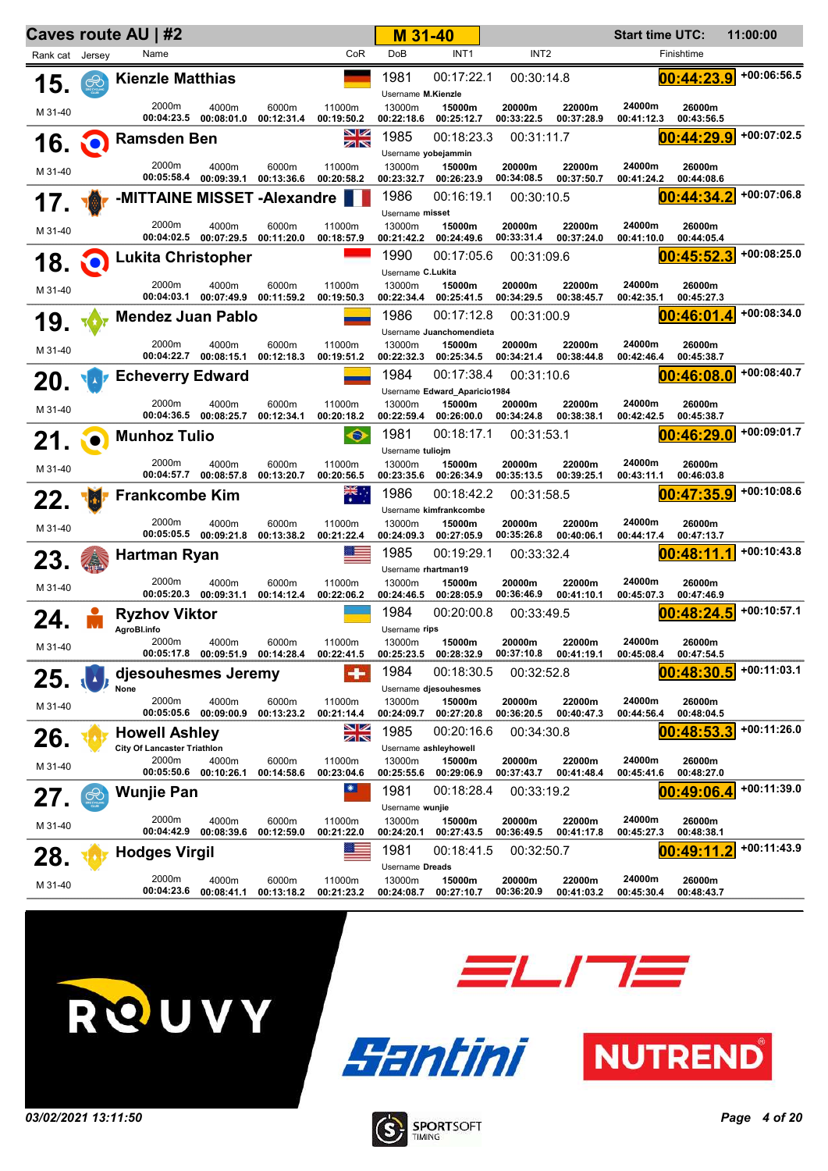|                 |               | Caves route AU   #2                |                                           |                     |                         | M 31-40                                 |                                      |                          |                      | <b>Start time UTC:</b> |                          | 11:00:00      |
|-----------------|---------------|------------------------------------|-------------------------------------------|---------------------|-------------------------|-----------------------------------------|--------------------------------------|--------------------------|----------------------|------------------------|--------------------------|---------------|
| Rank cat Jersey |               | Name                               |                                           |                     | CoR                     | <b>DoB</b>                              | INT <sub>1</sub>                     | INT <sub>2</sub>         |                      |                        | Finishtime               |               |
| 15.             | $\circledast$ | <b>Kienzle Matthias</b>            |                                           |                     |                         | 1981<br>Username M.Kienzle              | 00:17:22.1                           | 00:30:14.8               |                      |                        | 00:44:23.9               | $+00:06:56.5$ |
| M 31-40         |               | 2000m                              | 4000m<br>00:04:23.5 00:08:01.0            | 6000m<br>00:12:31.4 | 11000m<br>00:19:50.2    | 13000m<br>00:22:18.6                    | 15000m<br>00:25:12.7                 | 20000m<br>00:33:22.5     | 22000m<br>00:37:28.9 | 24000m<br>00:41:12.3   | 26000m<br>00:43:56.5     |               |
| <b>16 Q</b>     |               | <b>Ramsden Ben</b>                 |                                           |                     | 8Ø<br>ZN                | 1985                                    | 00:18:23.3                           | 00:31:11.7               |                      |                        | 00:44:29.9               | +00:07:02.5   |
|                 |               | 2000m                              | 4000m                                     | 6000m               | 11000m                  | Username yobejammin<br>13000m           | 15000m                               | 20000m                   | 22000m               | 24000m                 | 26000m                   |               |
| M 31-40         |               | 00:05:58.4                         | 00:09:39.1                                | 00:13:36.6          | 00:20:58.2              | 00:23:32.7                              | 00:26:23.9                           | 00:34:08.5               | 00:37:50.7           | 00:41:24.2             | 00:44:08.6               |               |
| 17.             |               | -MITTAINE MISSET -Alexandre        |                                           |                     |                         | 1986<br>Username misset                 | 00:16:19.1                           | 00:30:10.5               |                      |                        | 00:44:34.2               | +00:07:06.8   |
| M 31-40         |               | 2000m                              | 4000m<br>00:04:02.5 00:07:29.5            | 6000m<br>00:11:20.0 | 11000m<br>00:18:57.9    | 13000m<br>00:21:42.2                    | 15000m<br>00:24:49.6                 | 20000m<br>00:33:31.4     | 22000m<br>00:37:24.0 | 24000m<br>00:41:10.0   | 26000m<br>00:44:05.4     |               |
| 18.             | <b>io</b>     | <b>Lukita Christopher</b>          |                                           |                     |                         | 1990                                    | 00:17:05.6                           | 00:31:09.6               |                      |                        | 00:45:52.3               | +00:08:25.0   |
|                 |               | 2000m                              | 4000m                                     | 6000m               | 11000m                  | Username C.Lukita<br>13000m             | 15000m                               | 20000m                   | 22000m               | 24000m                 | 26000m                   |               |
| M 31-40         |               | 00:04:03.1                         | 00:07:49.9                                | 00:11:59.2          | 00:19:50.3              | 00:22:34.4                              | 00:25:41.5                           | 00:34:29.5               | 00:38:45.7           | 00:42:35.1             | 00:45:27.3               |               |
| 19.             |               | <b>Mendez Juan Pablo</b>           |                                           |                     |                         | 1986                                    | 00:17:12.8                           | 00:31:00.9               |                      |                        | 00:46:01.4               | +00:08:34.0   |
| M 31-40         |               | 2000m                              | 4000m                                     | 6000m               | 11000m                  | 13000m                                  | Username Juanchomendieta<br>15000m   | 20000m                   | 22000m               | 24000m                 | 26000m                   |               |
|                 |               | <b>Echeverry Edward</b>            | 00:04:22.7 00:08:15.1                     | 00:12:18.3          | 00:19:51.2              | 00:22:32.3<br>1984                      | 00:25:34.5<br>00:17:38.4             | 00:34:21.4<br>00:31:10.6 | 00:38:44.8           | 00:42:46.4             | 00:45:38.7<br>00:46:08.0 | +00:08:40.7   |
| 20.             |               |                                    |                                           |                     |                         |                                         | Username Edward_Aparicio1984         |                          |                      |                        |                          |               |
| M 31-40         |               | 2000m                              | 4000m<br>00:04:36.5 00:08:25.7            | 6000m<br>00:12:34.1 | 11000m<br>00:20:18.2    | 13000m<br>00:22:59.4                    | 15000m<br>00:26:00.0                 | 20000m<br>00:34:24.8     | 22000m<br>00:38:38.1 | 24000m<br>00:42:42.5   | 26000m<br>00:45:38.7     |               |
| 21.             | ÑO            | <b>Munhoz Tulio</b>                |                                           |                     | $\bullet$               | 1981                                    | 00:18:17.1                           | 00:31:53.1               |                      |                        | 00:46:29.0               | +00:09:01.7   |
| M 31-40         |               | 2000m                              | 4000m                                     | 6000m               | 11000m                  | Username tuliojm<br>13000m              | 15000m                               | 20000m                   | 22000m               | 24000m                 | 26000m                   |               |
|                 |               | 00:04:57.7                         | 00:08:57.8                                | 00:13:20.7          | 00:20:56.5              | 00:23:35.6                              | 00:26:34.9                           | 00:35:13.5               | 00:39:25.1           | 00:43:11.1             | 00:46:03.8               | +00:10:08.6   |
| 22.             |               | <b>Frankcombe Kim</b>              |                                           |                     | $\overline{\mathbf{r}}$ | 1986                                    | 00:18:42.2<br>Username kimfrankcombe | 00:31:58.5               |                      |                        | 00:47:35.9               |               |
| M 31-40         |               | 2000m                              | 4000m<br>00:05:05.5 00:09:21.8            | 6000m<br>00:13:38.2 | 11000m<br>00:21:22.4    | 13000m<br>00:24:09.3                    | 15000m<br>00:27:05.9                 | 20000m<br>00:35:26.8     | 22000m<br>00:40:06.1 | 24000m<br>00:44:17.4   | 26000m<br>00:47:13.7     |               |
| 23.             |               | Hartman Ryan                       |                                           |                     |                         | 1985                                    | 00:19:29.1                           | 00:33:32.4               |                      |                        | 00:48:11.1               | +00:10:43.8   |
| M 31-40         |               | 2000m                              | 4000m                                     | 6000m               | 11000m                  | Username rhartman19<br>13000m           | 15000m                               | 20000m                   | 22000m               | 24000m                 | 26000m                   |               |
|                 |               | <b>Ryzhov Viktor</b>               | 00:05:20.3 00:09:31.1                     | 00:14:12.4          | 00:22:06.2              | 00:24:46.5<br>1984                      | 00:28:05.9<br>00:20:00.8             | 00:36:46.9<br>00:33:49.5 | 00:41:10.1           | 00:45:07.3             | 00:47:46.9<br>00:48:24.5 | $+00:10:57.1$ |
| 24.             |               | AgroBl.info                        |                                           |                     |                         | Username rips                           |                                      |                          |                      |                        |                          |               |
| M 31-40         |               | 2000m                              | 4000m<br>00:05:17.8 00:09:51.9 00:14:28.4 | 6000m               | 11000m<br>00:22:41.5    | 13000m<br>00:25:23.5                    | 15000m<br>00:28:32.9                 | 20000m<br>00:37:10.8     | 22000m<br>00:41:19.1 | 24000m<br>00:45:08.4   | 26000m<br>00:47:54.5     |               |
| 25.             |               | djesouhesmes Jeremy<br>None        |                                           |                     |                         | 1984                                    | 00:18:30.5<br>Username djesouhesmes  | 00:32:52.8               |                      |                        | 00:48:30.5               | +00:11:03.1   |
| M 31-40         |               | 2000m<br>00:05:05.6                | 4000m<br>00:09:00.9                       | 6000m<br>00:13:23.2 | 11000m<br>00:21:14.4    | 13000m<br>00:24:09.7                    | 15000m<br>00:27:20.8                 | 20000m<br>00:36:20.5     | 22000m<br>00:40:47.3 | 24000m<br>00:44:56.4   | 26000m<br>00:48:04.5     |               |
| 26.             |               | <b>Howell Ashley</b>               |                                           |                     | 8Ø<br>ZN                | 1985                                    | 00:20:16.6                           | 00:34:30.8               |                      |                        | 00:48:53.3               | +00:11:26.0   |
|                 |               | <b>City Of Lancaster Triathlon</b> |                                           |                     |                         |                                         | Username ashleyhowell                |                          |                      |                        |                          |               |
| M 31-40         |               | 2000m<br>00:05:50.6                | 4000m<br>00:10:26.1                       | 6000m<br>00:14:58.6 | 11000m<br>00:23:04.6    | 13000m<br>00:25:55.6                    | 15000m<br>00:29:06.9                 | 20000m<br>00:37:43.7     | 22000m<br>00:41:48.4 | 24000m<br>00:45:41.6   | 26000m<br>00:48:27.0     |               |
| 27.             |               | <b>Wunjie Pan</b>                  |                                           |                     | ☀                       | 1981<br>Username wunjie                 | 00:18:28.4                           | 00:33:19.2               |                      |                        | 00:49:06.4               | +00:11:39.0   |
| M 31-40         |               | 2000m<br>00:04:42.9                | 4000m<br>00:08:39.6                       | 6000m<br>00:12:59.0 | 11000m<br>00:21:22.0    | 13000m<br>00:24:20.1                    | 15000m<br>00:27:43.5                 | 20000m<br>00:36:49.5     | 22000m<br>00:41:17.8 | 24000m<br>00:45:27.3   | 26000m<br>00:48:38.1     |               |
| 28.             |               | <b>Hodges Virgil</b>               |                                           |                     |                         | 1981                                    | 00:18:41.5                           | 00:32:50.7               |                      |                        | 00:49:11.2               | +00:11:43.9   |
| M 31-40         |               | 2000m<br>00:04:23.6                | 4000m<br>00:08:41.1                       | 6000m<br>00:13:18.2 | 11000m<br>00:21:23.2    | Username Dreads<br>13000m<br>00:24:08.7 | 15000m<br>00:27:10.7                 | 20000m<br>00:36:20.9     | 22000m<br>00:41:03.2 | 24000m<br>00:45:30.4   | 26000m<br>00:48:43.7     |               |
|                 |               |                                    |                                           |                     |                         |                                         |                                      |                          |                      |                        |                          |               |







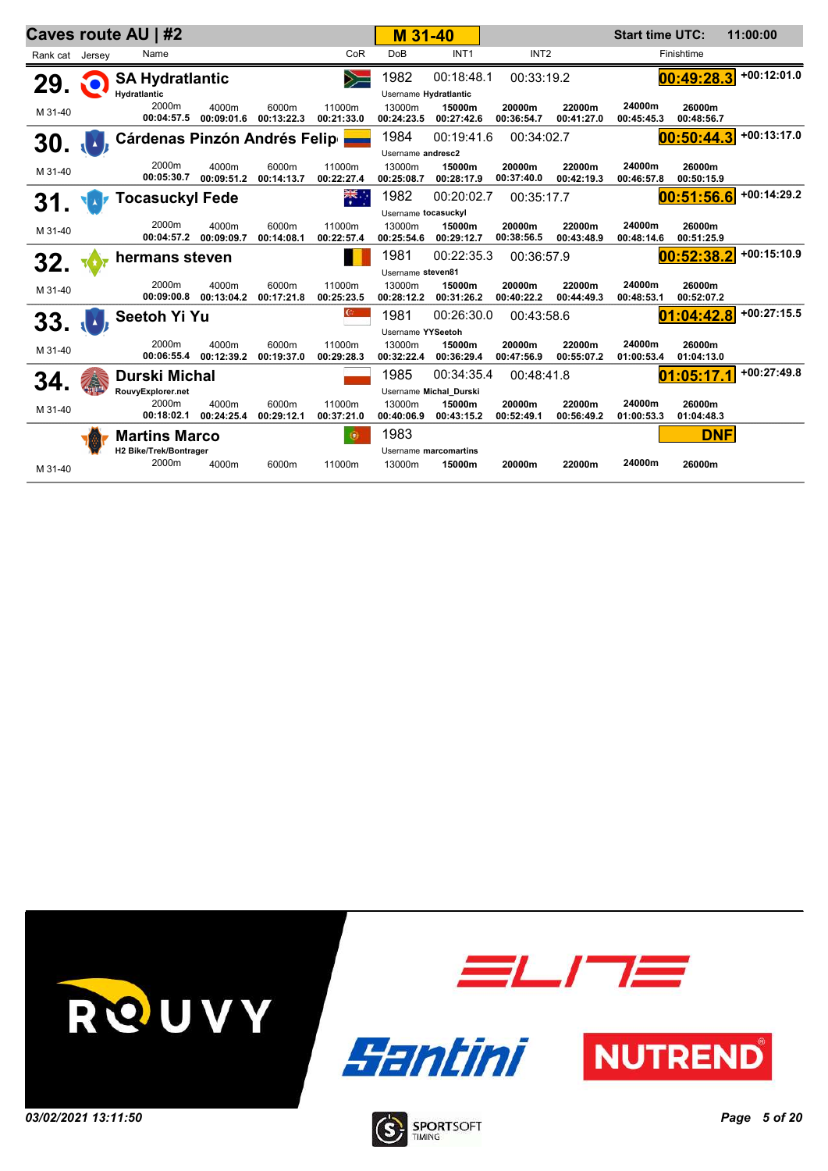|         | Caves route AU   #2<br>Rank cat Jersey |                                               |                     |                     |                      | M 31-40                                   |                        |                      |                      | <b>Start time UTC:</b> |                      | 11:00:00      |
|---------|----------------------------------------|-----------------------------------------------|---------------------|---------------------|----------------------|-------------------------------------------|------------------------|----------------------|----------------------|------------------------|----------------------|---------------|
|         |                                        | Name                                          |                     |                     | CoR                  | DoB                                       | INT <sub>1</sub>       | INT <sub>2</sub>     |                      |                        | Finishtime           |               |
| 29.     |                                        | <b>SA Hydratlantic</b><br><b>Hydratlantic</b> |                     |                     | $\geq$               | 1982<br>Username Hydratlantic             | 00:18:48.1             | 00:33:19.2           |                      |                        | 00:49:28.3           | $+00:12:01.0$ |
| M 31-40 |                                        | 2000m<br>00:04:57.5                           | 4000m<br>00:09:01.6 | 6000m<br>00:13:22.3 | 11000m<br>00:21:33.0 | 13000m<br>00:24:23.5                      | 15000m<br>00:27:42.6   | 20000m<br>00:36:54.7 | 22000m<br>00:41:27.0 | 24000m<br>00:45:45.3   | 26000m<br>00:48:56.7 |               |
| 30.     |                                        | <b>Cárdenas Pinzón Andrés Felip</b>           |                     |                     |                      | 1984                                      | 00:19:41.6             | 00:34:02.7           |                      |                        | 00:50:44.3           | $+00:13:17.0$ |
| M 31-40 |                                        | 2000m<br>00:05:30.7                           | 4000m<br>00:09:51.2 | 6000m<br>00:14:13.7 | 11000m<br>00:22:27.4 | Username andresc2<br>13000m<br>00:25:08.7 | 15000m<br>00:28:17.9   | 20000m<br>00:37:40.0 | 22000m<br>00:42:19.3 | 24000m<br>00:46:57.8   | 26000m<br>00:50:15.9 |               |
| 31.     |                                        | <b>Tocasuckyl Fede</b>                        |                     |                     |                      | 1982                                      | 00:20:02.7             | 00:35:17.7           |                      |                        | 00:51:56.6           | $+00:14:29.2$ |
|         |                                        |                                               |                     |                     |                      | Username tocasuckyl                       |                        |                      |                      |                        |                      |               |
| M 31-40 |                                        | 2000m<br>00:04:57.2                           | 4000m<br>00:09:09.7 | 6000m<br>00:14:08.1 | 11000m<br>00:22:57.4 | 13000m<br>00:25:54.6                      | 15000m<br>00:29:12.7   | 20000m<br>00:38:56.5 | 22000m<br>00:43:48.9 | 24000m<br>00:48:14.6   | 26000m<br>00:51:25.9 |               |
| 32.     |                                        | hermans steven                                |                     |                     |                      | 1981                                      | 00:22:35.3             | 00:36:57.9           |                      |                        | 00:52:38.2           | $+00:15:10.9$ |
|         |                                        |                                               |                     |                     |                      | Username steven81                         |                        |                      |                      |                        |                      |               |
| M 31-40 |                                        | 2000m<br>00:09:00.8                           | 4000m<br>00:13:04.2 | 6000m<br>00:17:21.8 | 11000m<br>00:25:23.5 | 13000m<br>00:28:12.2                      | 15000m<br>00:31:26.2   | 20000m<br>00:40:22.2 | 22000m<br>00:44:49.3 | 24000m<br>00:48:53.1   | 26000m<br>00:52:07.2 |               |
| 33.     |                                        | <b>Seetoh Yi Yu</b>                           |                     |                     |                      | 1981                                      | 00:26:30.0             | 00:43:58.6           |                      |                        | 01:04:42.8           | $+00:27:15.5$ |
|         |                                        |                                               |                     |                     |                      | Username YYSeetoh                         |                        |                      |                      |                        |                      |               |
| M 31-40 |                                        | 2000m<br>00:06:55.4                           | 4000m<br>00:12:39.2 | 6000m<br>00:19:37.0 | 11000m<br>00:29:28.3 | 13000m<br>00:32:22.4                      | 15000m<br>00:36:29.4   | 20000m<br>00:47:56.9 | 22000m<br>00:55:07.2 | 24000m<br>01:00:53.4   | 26000m<br>01:04:13.0 |               |
| 34.     |                                        | Durski Michal                                 |                     |                     |                      | 1985                                      | 00:34:35.4             | 00:48:41.8           |                      |                        | 01:05:17.1           | $+00:27:49.8$ |
|         |                                        | RouvyExplorer.net                             |                     |                     |                      |                                           | Username Michal_Durski |                      |                      |                        |                      |               |
| M 31-40 |                                        | 2000m<br>00:18:02.1                           | 4000m<br>00:24:25.4 | 6000m<br>00:29:12.1 | 11000m<br>00:37:21.0 | 13000m<br>00:40:06.9                      | 15000m<br>00:43:15.2   | 20000m<br>00:52:49.1 | 22000m<br>00:56:49.2 | 24000m<br>01:00:53.3   | 26000m<br>01:04:48.3 |               |
|         |                                        | <b>Martins Marco</b>                          |                     |                     | 传                    | 1983                                      |                        |                      |                      |                        | <b>DNF</b>           |               |
|         |                                        | H2 Bike/Trek/Bontrager                        |                     |                     |                      |                                           | Username marcomartins  |                      |                      |                        |                      |               |
| M 31-40 |                                        | 2000m                                         | 4000m               | 6000m               | 11000m               | 13000m                                    | 15000m                 | 20000m               | 22000m               | 24000m                 | 26000m               |               |

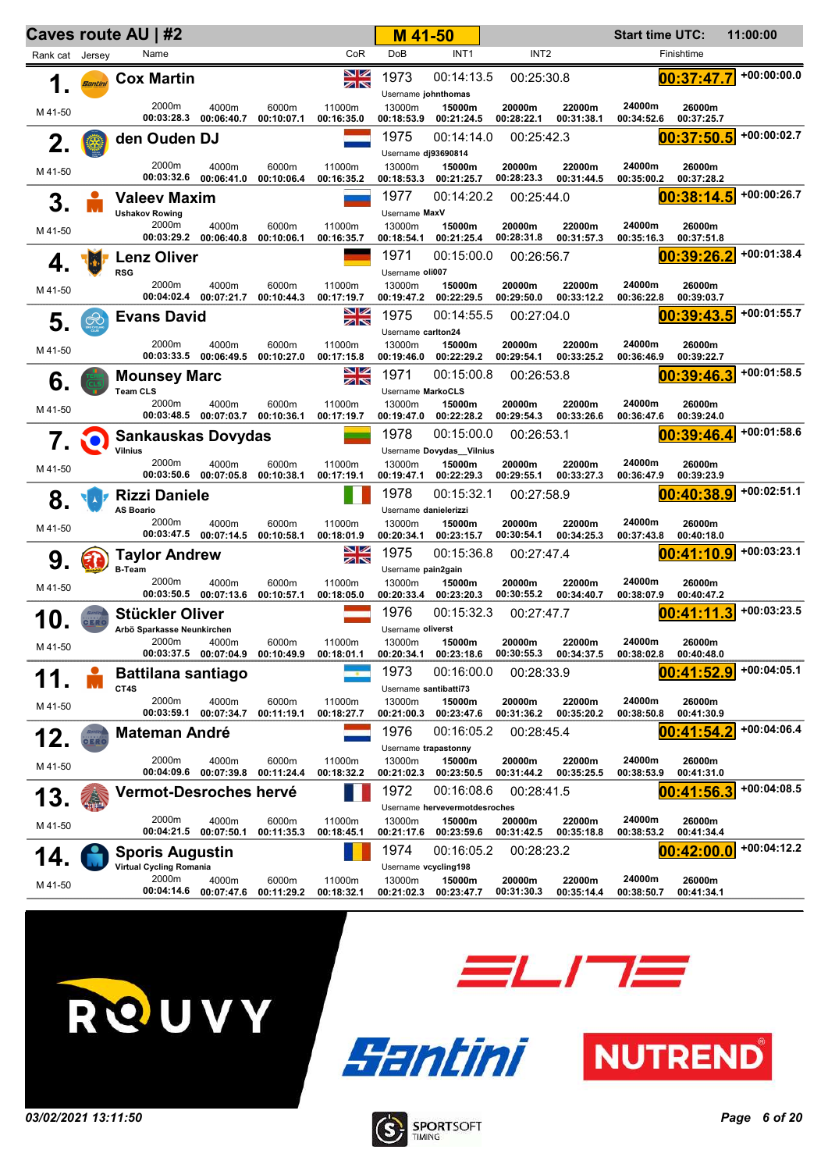|                 |                | Caves route AU   #2                            |                                |                     |                      | M 41-50                                       |                                                       |                      |                      | <b>Start time UTC:</b> |                      | 11:00:00      |
|-----------------|----------------|------------------------------------------------|--------------------------------|---------------------|----------------------|-----------------------------------------------|-------------------------------------------------------|----------------------|----------------------|------------------------|----------------------|---------------|
| Rank cat Jersey |                | Name                                           |                                |                     | CoR                  | <b>DoB</b>                                    | INT <sub>1</sub>                                      | INT <sub>2</sub>     |                      |                        | Finishtime           |               |
| 1.              | <b>Bantini</b> | <b>Cox Martin</b>                              |                                |                     | NZ<br>ZN             | 1973<br>Username johnthomas                   | 00:14:13.5                                            | 00:25:30.8           |                      |                        | 00:37:47.7           | +00:00:00.0   |
| M 41-50         |                | 2000m<br>00:03:28.3                            | 4000m<br>00:06:40.7            | 6000m<br>00:10:07.1 | 11000m<br>00:16:35.0 | 13000m<br>00:18:53.9                          | 15000m<br>00:21:24.5                                  | 20000m<br>00:28:22.1 | 22000m<br>00:31:38.1 | 24000m<br>00:34:52.6   | 26000m<br>00:37:25.7 |               |
| 2.              |                | den Ouden DJ                                   |                                |                     |                      | 1975<br>Username dj93690814                   | 00:14:14.0                                            | 00:25:42.3           |                      |                        | 00:37:50.5           | $+00:00:02.7$ |
| M 41-50         |                | 2000m<br>00:03:32.6                            | 4000m<br>00:06:41.0            | 6000m<br>00:10:06.4 | 11000m<br>00:16:35.2 | 13000m<br>00:18:53.3                          | 15000m<br>00:21:25.7                                  | 20000m<br>00:28:23.3 | 22000m<br>00:31:44.5 | 24000m<br>00:35:00.2   | 26000m<br>00:37:28.2 |               |
| 3.              |                | <b>Valeev Maxim</b>                            |                                |                     |                      | 1977                                          | 00:14:20.2                                            | 00:25:44.0           |                      |                        | 00:38:14.5           | $+00:00:26.7$ |
| M 41-50         |                | <b>Ushakov Rowing</b><br>2000m<br>00:03:29.2   | 4000m<br>00:06:40.8            | 6000m<br>00:10:06.1 | 11000m<br>00:16:35.7 | Username MaxV<br>13000m<br>00:18:54.1         | 15000m<br>00:21:25.4                                  | 20000m<br>00:28:31.8 | 22000m<br>00:31:57.3 | 24000m<br>00:35:16.3   | 26000m<br>00:37:51.8 |               |
| 4.              |                | <b>Lenz Oliver</b>                             |                                |                     |                      | 1971                                          | 00:15:00.0                                            | 00:26:56.7           |                      |                        | 00:39:26.2           | $+00:01:38.4$ |
| M 41-50         |                | <b>RSG</b><br>2000m<br>00:04:02.4              | 4000m<br>00:07:21.7            | 6000m<br>00:10:44.3 | 11000m<br>00:17:19.7 | Username oli007<br>13000m<br>00:19:47.2       | 15000m<br>00:22:29.5                                  | 20000m<br>00:29:50.0 | 22000m<br>00:33:12.2 | 24000m<br>00:36:22.8   | 26000m<br>00:39:03.7 |               |
| 5.              | $\bigotimes$   | <b>Evans David</b>                             |                                |                     | NK<br>M              | 1975                                          | 00:14:55.5                                            | 00:27:04.0           |                      |                        | 00:39:43.5           | $+00:01:55.7$ |
| M 41-50         |                | 2000m<br>00:03:33.5                            | 4000m<br>00:06:49.5            | 6000m<br>00:10:27.0 | 11000m<br>00:17:15.8 | Username carlton24<br>13000m<br>00:19:46.0    | 15000m<br>00:22:29.2                                  | 20000m<br>00:29:54.1 | 22000m<br>00:33:25.2 | 24000m<br>00:36:46.9   | 26000m<br>00:39:22.7 |               |
| 6.              |                | <b>Mounsey Marc</b><br>Team CLS                |                                |                     | NK<br>NK             | 1971<br>Username MarkoCLS                     | 00:15:00.8                                            | 00:26:53.8           |                      |                        | 00:39:46.3           | $+00:01:58.5$ |
| M 41-50         |                | 2000m<br>00:03:48.5                            | 4000m<br>00:07:03.7            | 6000m<br>00:10:36.1 | 11000m<br>00:17:19.7 | 13000m<br>00:19:47.0                          | 15000m<br>00:22:28.2                                  | 20000m<br>00:29:54.3 | 22000m<br>00:33:26.6 | 24000m<br>00:36:47.6   | 26000m<br>00:39:24.0 |               |
| 7.              | NO)            | <b>Sankauskas Dovydas</b>                      |                                |                     |                      | 1978                                          | 00:15:00.0                                            | 00:26:53.1           |                      |                        | 00:39:46.4           | $+00:01:58.6$ |
| M 41-50         |                | <b>Vilnius</b><br>2000m<br>00:03:50.6          | 4000m<br>00:07:05.8            | 6000m<br>00:10:38.1 | 11000m<br>00:17:19.1 | 13000m<br>00:19:47.1                          | Username Dovydas_Vilnius<br>15000m<br>00:22:29.3      | 20000m<br>00:29:55.1 | 22000m<br>00:33:27.3 | 24000m<br>00:36:47.9   | 26000m<br>00:39:23.9 |               |
| 8.              |                | <b>Rizzi Daniele</b>                           |                                |                     |                      | 1978                                          | 00:15:32.1                                            | 00:27:58.9           |                      |                        | 00:40:38.9           | $+00:02:51.1$ |
| M 41-50         |                | <b>AS Boario</b><br>2000m                      | 4000m<br>00:03:47.5 00:07:14.5 | 6000m<br>00:10:58.1 | 11000m<br>00:18:01.9 | Username danielerizzi<br>13000m<br>00:20:34.1 | 15000m<br>00:23:15.7                                  | 20000m<br>00:30:54.1 | 22000m<br>00:34:25.3 | 24000m<br>00:37:43.8   | 26000m<br>00:40:18.0 |               |
| 9.              |                | <b>Taylor Andrew</b>                           |                                |                     | NZ<br>ZN             | 1975                                          | 00:15:36.8                                            | 00:27:47.4           |                      |                        | 00:41:10.9           | $+00:03:23.1$ |
| M 41-50         |                | <b>B-Team</b><br>2000m                         | 4000m<br>00:03:50.5 00:07:13.6 | 6000m<br>00:10:57.1 | 11000m<br>00:18:05.0 | Username pain2gain<br>13000m                  | 15000m<br>00:20:33.4 00:23:20.3                       | 20000m<br>00:30:55.2 | 22000m<br>00:34:40.7 | 24000m<br>00:38:07.9   | 26000m<br>00:40:47.2 |               |
|                 |                | <b>Stückler Oliver</b>                         |                                |                     |                      | 1976                                          | 00:15:32.3                                            | 00:27:47.7           |                      |                        | 00:41:11.3           | $+00:03:23.5$ |
| M 41-50         |                | Arbö Sparkasse Neunkirchen<br>2000m            | 4000m<br>00:03:37.5 00:07:04.9 | 6000m<br>00:10:49.9 | 11000m<br>00:18:01.1 | Username oliverst<br>13000m<br>00:20:34.1     | 15000m<br>00:23:18.6                                  | 20000m<br>00:30:55.3 | 22000m<br>00:34:37.5 | 24000m<br>00:38:02.8   | 26000m<br>00:40:48.0 |               |
|                 |                | <b>Battilana santiago</b><br>CT4S              |                                |                     |                      | 1973<br>Username santibatti73                 | 00:16:00.0                                            | 00:28:33.9           |                      |                        | 00:41:52.9           | +00:04:05.1   |
| M 41-50         |                | 2000m<br>00:03:59.1                            | 4000m<br>00:07:34.7            | 6000m<br>00:11:19.1 | 11000m<br>00:18:27.7 | 13000m<br>00:21:00.3                          | 15000m<br>00:23:47.6                                  | 20000m<br>00:31:36.2 | 22000m<br>00:35:20.2 | 24000m<br>00:38:50.8   | 26000m<br>00:41:30.9 |               |
| 12.             | CERO           | <b>Mateman André</b>                           |                                |                     |                      | 1976<br>Username trapastonny                  | 00:16:05.2                                            | 00:28:45.4           |                      |                        | 00:41:54.2           | +00:04:06.4   |
| M 41-50         |                | 2000m<br>00:04:09.6                            | 4000m<br>00:07:39.8            | 6000m<br>00:11:24.4 | 11000m<br>00:18:32.2 | 13000m<br>00:21:02.3                          | 15000m<br>00:23:50.5                                  | 20000m<br>00:31:44.2 | 22000m<br>00:35:25.5 | 24000m<br>00:38:53.9   | 26000m<br>00:41:31.0 |               |
| 13.             |                | <b>Vermot-Desroches hervé</b>                  |                                |                     |                      | 1972                                          | 00:16:08.6                                            | 00:28:41.5           |                      |                        | 00:41:56.3           | +00:04:08.5   |
| M 41-50         |                | 2000m<br>00:04:21.5                            | 4000m<br>00:07:50.1            | 6000m<br>00:11:35.3 | 11000m<br>00:18:45.1 | 13000m<br>00:21:17.6                          | Username hervevermotdesroches<br>15000m<br>00:23:59.6 | 20000m<br>00:31:42.5 | 22000m<br>00:35:18.8 | 24000m<br>00:38:53.2   | 26000m<br>00:41:34.4 |               |
| 14              |                | <b>Sporis Augustin</b>                         |                                |                     |                      | 1974                                          | 00:16:05.2                                            | 00:28:23.2           |                      |                        | 00:42:00.0           | +00:04:12.2   |
| M 41-50         |                | Virtual Cycling Romania<br>2000m<br>00:04:14.6 | 4000m<br>00:07:47.6            | 6000m<br>00:11:29.2 | 11000m<br>00:18:32.1 | Username vcycling198<br>13000m<br>00:21:02.3  | 15000m<br>00:23:47.7                                  | 20000m<br>00:31:30.3 | 22000m<br>00:35:14.4 | 24000m<br>00:38:50.7   | 26000m<br>00:41:34.1 |               |







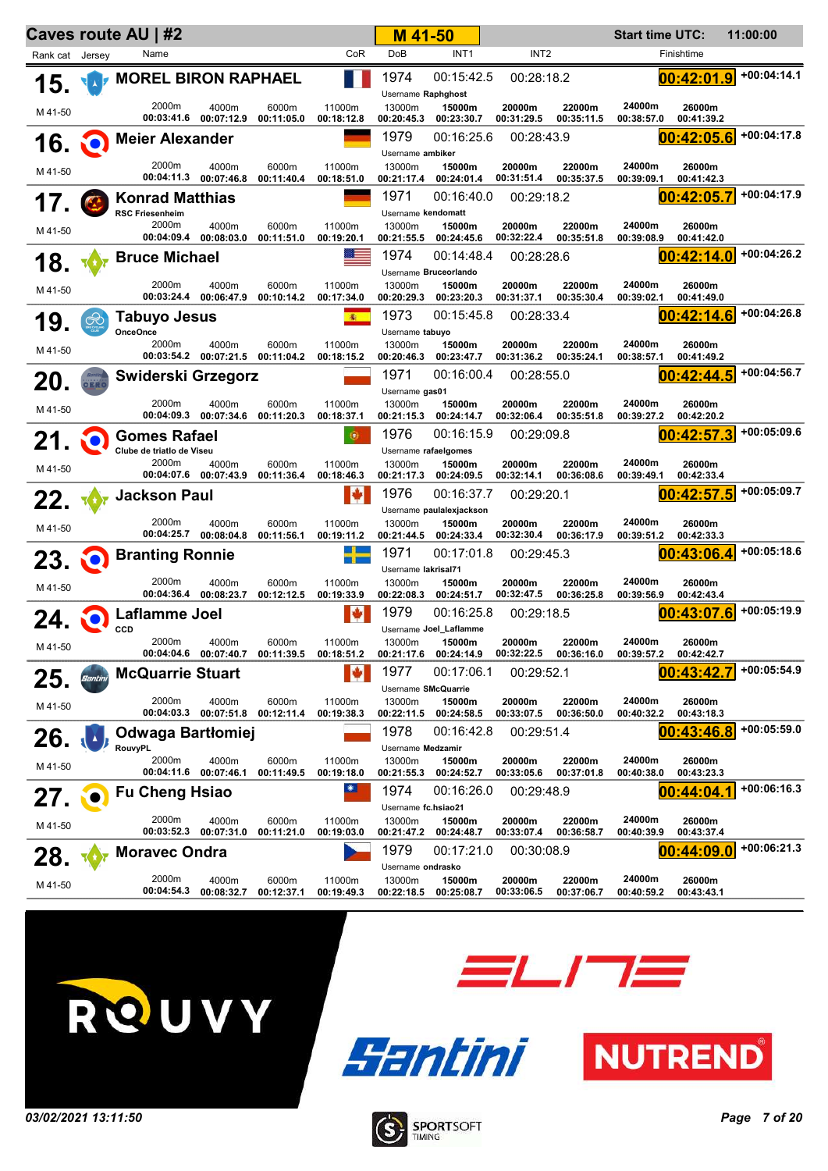|                 |                | Caves route AU   #2                              |                                |                     |                      | M 41-50                                     |                                                  |                      |                      | <b>Start time UTC:</b> |                      | 11:00:00      |
|-----------------|----------------|--------------------------------------------------|--------------------------------|---------------------|----------------------|---------------------------------------------|--------------------------------------------------|----------------------|----------------------|------------------------|----------------------|---------------|
| Rank cat Jersey |                | Name                                             |                                |                     | CoR                  | DoB                                         | INT <sub>1</sub>                                 | INT <sub>2</sub>     |                      |                        | Finishtime           |               |
| 15.             |                | <b>MOREL BIRON RAPHAEL</b>                       |                                |                     |                      | 1974<br>Username Raphghost                  | 00:15:42.5                                       | 00:28:18.2           |                      |                        | 00:42:01.9           | $+00:04:14.1$ |
| M 41-50         |                | 2000m                                            | 4000m<br>00:03:41.6 00:07:12.9 | 6000m<br>00:11:05.0 | 11000m<br>00:18:12.8 | 13000m<br>00:20:45.3                        | 15000m<br>00:23:30.7                             | 20000m<br>00:31:29.5 | 22000m<br>00:35:11.5 | 24000m<br>00:38:57.0   | 26000m<br>00:41:39.2 |               |
| <b>16. O</b>    |                | <b>Meier Alexander</b>                           |                                |                     |                      | 1979<br>Username ambiker                    | 00:16:25.6                                       | 00:28:43.9           |                      |                        | 00:42:05.6           | +00:04:17.8   |
| M 41-50         |                | 2000m                                            | 4000m                          | 6000m               | 11000m               | 13000m                                      | 15000m                                           | 20000m               | 22000m               | 24000m                 | 26000m               |               |
|                 |                |                                                  | 00:04:11.3 00:07:46.8          | 00:11:40.4          | 00:18:51.0           | 00:21:17.4                                  | 00:24:01.4                                       | 00:31:51.4           | 00:35:37.5           | 00:39:09.1             | 00:41:42.3           | +00:04:17.9   |
| 17.             |                | <b>Konrad Matthias</b><br><b>RSC Friesenheim</b> |                                |                     |                      | 1971<br>Username kendomatt                  | 00:16:40.0                                       | 00:29:18.2           |                      |                        | 00:42:05.7           |               |
| M 41-50         |                | 2000m                                            | 4000m<br>00:04:09.4 00:08:03.0 | 6000m<br>00:11:51.0 | 11000m<br>00:19:20.1 | 13000m<br>00:21:55.5                        | 15000m<br>00:24:45.6                             | 20000m<br>00:32:22.4 | 22000m<br>00:35:51.8 | 24000m<br>00:39:08.9   | 26000m<br>00:41:42.0 |               |
| 18.             |                | <b>Bruce Michael</b>                             |                                |                     | an an a              | 1974                                        | 00:14:48.4                                       | 00:28:28.6           |                      |                        | 00:42:14.0           | +00:04:26.2   |
| M 41-50         |                | 2000m<br>00:03:24.4                              | 4000m<br>00:06:47.9            | 6000m<br>00:10:14.2 | 11000m<br>00:17:34.0 | 13000m<br>00:20:29.3                        | Username Bruceorlando<br>15000m<br>00:23:20.3    | 20000m<br>00:31:37.1 | 22000m<br>00:35:30.4 | 24000m<br>00:39:02.1   | 26000m<br>00:41:49.0 |               |
| 19              | $\circledcirc$ | <b>Tabuyo Jesus</b><br><b>OnceOnce</b>           |                                |                     | 衞                    | 1973                                        | 00:15:45.8                                       | 00:28:33.4           |                      |                        | 00:42:14.6           | +00:04:26.8   |
| M 41-50         |                | 2000m<br>00:03:54.2                              | 4000m<br>00:07:21.5            | 6000m<br>00:11:04.2 | 11000m<br>00:18:15.2 | Username tabuyo<br>13000m<br>00:20:46.3     | 15000m<br>00:23:47.7                             | 20000m<br>00:31:36.2 | 22000m<br>00:35:24.1 | 24000m<br>00:38:57.1   | 26000m<br>00:41:49.2 |               |
| 20.             |                | Swiderski Grzegorz                               |                                |                     |                      | 1971<br>Username gas01                      | 00:16:00.4                                       | 00:28:55.0           |                      |                        | 00:42:44.5           | +00:04:56.7   |
| M 41-50         |                | 2000m<br>00:04:09.3                              | 4000m<br>00:07:34.6            | 6000m<br>00:11:20.3 | 11000m<br>00:18:37.1 | 13000m<br>00:21:15.3                        | 15000m<br>00:24:14.7                             | 20000m<br>00:32:06.4 | 22000m<br>00:35:51.8 | 24000m<br>00:39:27.2   | 26000m<br>00:42:20.2 |               |
| 21.             |                | <b>Gomes Rafael</b>                              |                                |                     | 靊                    | 1976                                        | 00:16:15.9                                       | 00:29:09.8           |                      |                        | 00:42:57.3           | +00:05:09.6   |
|                 |                | Clube de triatlo de Viseu<br>2000m               | 4000m                          | 6000m               | 11000m               | Username rafaelgomes<br>13000m              | 15000m                                           | 20000m               | 22000m               | 24000m                 | 26000m               |               |
| M 41-50         |                |                                                  | 00:04:07.6 00:07:43.9          | 00:11:36.4          | 00:18:46.3           | 00:21:17.3                                  | 00:24:09.5                                       | 00:32:14.1           | 00:36:08.6           | 00:39:49.1             | 00:42:33.4           |               |
| 22.             |                | Jackson Paul                                     |                                |                     | N                    | 1976                                        | 00:16:37.7                                       | 00:29:20.1           |                      |                        | 00:42:57.5           | +00:05:09.7   |
| M 41-50         |                | 2000m                                            | 4000m<br>00:04:25.7 00:08:04.8 | 6000m<br>00:11:56.1 | 11000m<br>00:19:11.2 | 13000m<br>00:21:44.5                        | Username paulalexjackson<br>15000m<br>00:24:33.4 | 20000m<br>00:32:30.4 | 22000m<br>00:36:17.9 | 24000m<br>00:39:51.2   | 26000m<br>00:42:33.3 |               |
| $23.$ $\odot$   |                | <b>Branting Ronnie</b>                           |                                |                     |                      | 1971                                        | 00:17:01.8                                       | 00:29:45.3           |                      |                        | 00:43:06.4           | +00:05:18.6   |
|                 |                | 2000m                                            | 4000m                          | 6000m               | 11000m               | Username lakrisal71<br>13000m               | 15000m                                           | 20000m               | 22000m               | 24000m                 | 26000m               |               |
| M 41-50         |                |                                                  | 00:04:36.4 00:08:23.7          | 00:12:12.5          | 00:19:33.9           | 00:22:08.3                                  | 00:24:51.7                                       | 00:32:47.5           | 00:36:25.8           | 00:39:56.9             | 00:42:43.4           |               |
| 24.             |                | Laflamme Joel<br>CCD                             |                                |                     | ŀý                   | 1979                                        | 00:16:25.8<br>Username Joel_Laflamme             | 00:29:18.5           |                      |                        | 00:43:07.6           | +00:05:19.9   |
| M 41-50         |                | 2000m                                            | 4000m<br>00:04:04.6 00:07:40.7 | 6000m<br>00:11:39.5 | 11000m<br>00:18:51.2 | 13000m<br>00:21:17.6                        | 15000m<br>00:24:14.9                             | 20000m<br>00:32:22.5 | 22000m<br>00:36:16.0 | 24000m<br>00:39:57.2   | 26000m<br>00:42:42.7 |               |
| 25.             | Santini        | <b>McQuarrie Stuart</b>                          |                                |                     |                      | 1977                                        | 00:17:06.1                                       | 00:29:52.1           |                      |                        | 00:43:42             | +00:05:54.9   |
| M 41-50         |                | 2000m                                            | 4000m<br>00:04:03.3 00:07:51.8 | 6000m<br>00:12:11.4 | 11000m<br>00:19:38.3 | Username SMcQuarrie<br>13000m<br>00:22:11.5 | 15000m<br>00:24:58.5                             | 20000m<br>00:33:07.5 | 22000m<br>00:36:50.0 | 24000m<br>00:40:32.2   | 26000m<br>00:43:18.3 |               |
| 26.             |                | Odwaga Bartłomiej                                |                                |                     |                      | 1978                                        | 00:16:42.8                                       | 00:29:51.4           |                      |                        | 00:43:46.8           | $+00:05:59.0$ |
|                 |                | <b>RouvyPL</b><br>2000m                          | 4000m                          | 6000m               | 11000m               | Username Medzamir<br>13000m                 | 15000m                                           | 20000m               | 22000m               | 24000m                 | 26000m               |               |
| M 41-50         |                | 00:04:11.6                                       | 00:07:46.1                     | 00:11:49.5          | 00:19:18.0           | 00:21:55.3                                  | 00:24:52.7                                       | 00:33:05.6           | 00:37:01.8           | 00:40:38.0             | 00:43:23.3           |               |
| 27.             |                | <b>Fu Cheng Hsiao</b>                            |                                |                     |                      | 1974                                        | 00:16:26.0                                       | 00:29:48.9           |                      |                        | 00:44:04.1           | +00:06:16.3   |
| M 41-50         |                | 2000m<br>00:03:52.3                              | 4000m<br>00:07:31.0            | 6000m<br>00:11:21.0 | 11000m<br>00:19:03.0 | Username fc.hsiao21<br>13000m<br>00:21:47.2 | 15000m<br>00:24:48.7                             | 20000m<br>00:33:07.4 | 22000m<br>00:36:58.7 | 24000m<br>00:40:39.9   | 26000m<br>00:43:37.4 |               |
| 28.             |                | <b>Moravec Ondra</b>                             |                                |                     |                      | 1979                                        | 00:17:21.0                                       | 00:30:08.9           |                      |                        | 00:44:09.0           | +00:06:21.3   |
| M 41-50         |                | 2000m<br>00:04:54.3                              | 4000m<br>00:08:32.7            | 6000m<br>00:12:37.1 | 11000m<br>00:19:49.3 | Username ondrasko<br>13000m<br>00:22:18.5   | 15000m<br>00:25:08.7                             | 20000m<br>00:33:06.5 | 22000m<br>00:37:06.7 | 24000m<br>00:40:59.2   | 26000m<br>00:43:43.1 |               |







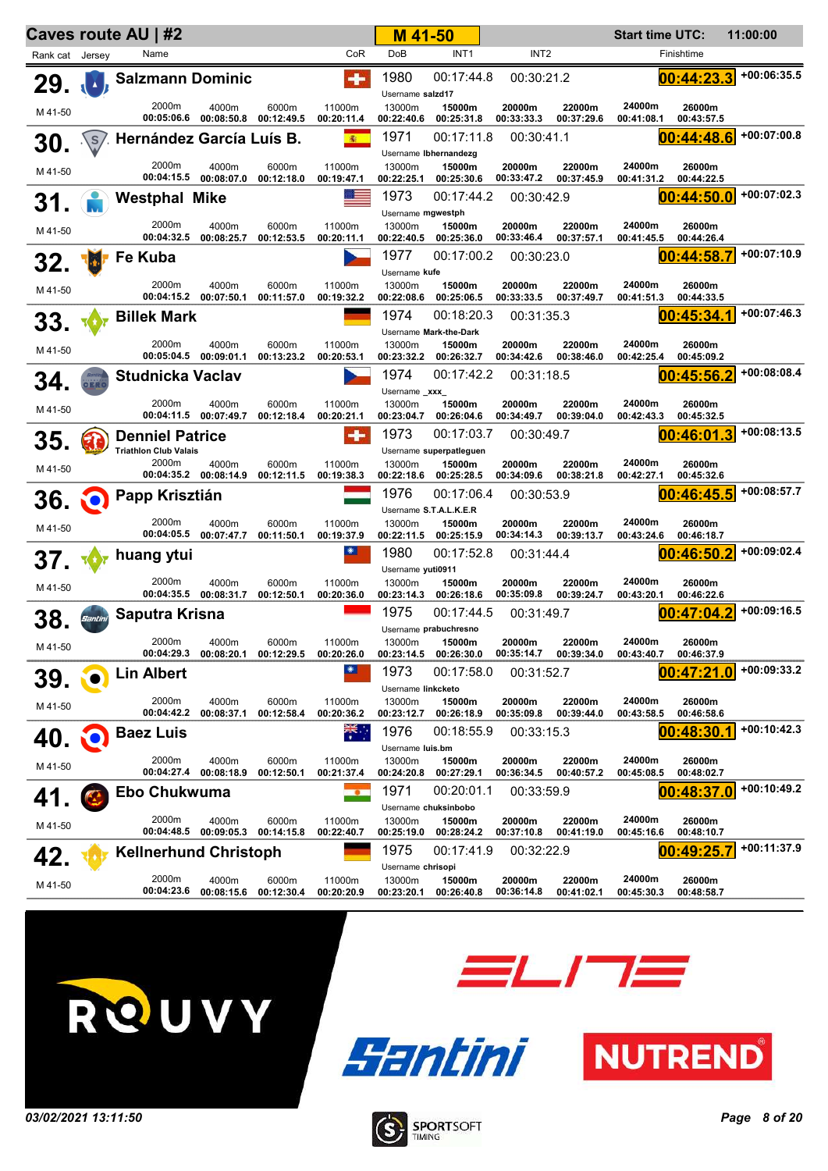|                 |         | Caves route AU   #2                   |                                |                     |                      | M 41-50                                   |                                                |                      |                      | <b>Start time UTC:</b> |                      | 11:00:00      |
|-----------------|---------|---------------------------------------|--------------------------------|---------------------|----------------------|-------------------------------------------|------------------------------------------------|----------------------|----------------------|------------------------|----------------------|---------------|
| Rank cat Jersey |         | Name                                  |                                |                     | CoR                  | DoB                                       | INT <sub>1</sub>                               | INT <sub>2</sub>     |                      |                        | Finishtime           |               |
| 29.             |         | <b>Salzmann Dominic</b>               |                                |                     | $\bullet$            | 1980<br>Username salzd17                  | 00:17:44.8                                     | 00:30:21.2           |                      |                        | 00:44:23.3           | $+00:06:35.5$ |
| M 41-50         |         | 2000m                                 | 4000m<br>00:05:06.6 00:08:50.8 | 6000m<br>00:12:49.5 | 11000m<br>00:20:11.4 | 13000m<br>00:22:40.6                      | 15000m<br>00:25:31.8                           | 20000m<br>00:33:33.3 | 22000m<br>00:37:29.6 | 24000m<br>00:41:08.1   | 26000m<br>00:43:57.5 |               |
| 30.             |         | .\s/. Hernández García Luís B.        |                                |                     | (南)                  | 1971                                      | 00:17:11.8                                     | 00:30:41.1           |                      |                        | 00:44:48.6           | +00:07:00.8   |
|                 |         | 2000m                                 | 4000m                          | 6000m               | 11000m               | 13000m                                    | Username Ibhernandezg<br>15000m                | 20000m               | 22000m               | 24000m                 | 26000m               |               |
| M 41-50         |         | 00:04:15.5                            | 00:08:07.0                     | 00:12:18.0          | 00:19:47.1           | 00:22:25.1                                | 00:25:30.6                                     | 00:33:47.2           | 00:37:45.9           | 00:41:31.2             | 00:44:22.5           |               |
| 31.             |         | <b>Westphal Mike</b>                  |                                |                     | ೲ                    | 1973                                      | 00:17:44.2                                     | 00:30:42.9           |                      |                        | 00:44:50.0           | +00:07:02.3   |
| M 41-50         |         | 2000m<br>00:04:32.5                   | 4000m<br>00:08:25.7            | 6000m<br>00:12:53.5 | 11000m<br>00:20:11.1 | Username mgwestph<br>13000m<br>00:22:40.5 | 15000m<br>00:25:36.0                           | 20000m<br>00:33:46.4 | 22000m<br>00:37:57.1 | 24000m<br>00:41:45.5   | 26000m<br>00:44:26.4 |               |
|                 |         | Fe Kuba                               |                                |                     |                      | 1977                                      | 00:17:00.2                                     | 00:30:23.0           |                      |                        | 00:44:58.7           | $+00:07:10.9$ |
| 32.             |         |                                       |                                |                     |                      | Username kufe                             |                                                |                      |                      |                        |                      |               |
| M 41-50         |         | 2000m<br>00:04:15.2                   | 4000m<br>00:07:50.1            | 6000m<br>00:11:57.0 | 11000m<br>00:19:32.2 | 13000m<br>00:22:08.6                      | 15000m<br>00:25:06.5                           | 20000m<br>00:33:33.5 | 22000m<br>00:37:49.7 | 24000m<br>00:41:51.3   | 26000m<br>00:44:33.5 |               |
| 33.             |         | <b>Billek Mark</b>                    |                                |                     |                      | 1974                                      | 00:18:20.3                                     | 00:31:35.3           |                      |                        | 00:45:34.1           | $+00:07:46.3$ |
| M 41-50         |         | 2000m<br>00:05:04.5                   | 4000m<br>00:09:01.1            | 6000m<br>00:13:23.2 | 11000m<br>00:20:53.1 | 13000m<br>00:23:32.2                      | Username Mark-the-Dark<br>15000m<br>00:26:32.7 | 20000m<br>00:34:42.6 | 22000m<br>00:38:46.0 | 24000m<br>00:42:25.4   | 26000m<br>00:45:09.2 |               |
| 34.             |         | <b>Studnicka Vaclav</b>               |                                |                     |                      | 1974<br>Username _xxx_                    | 00:17:42.2                                     | 00:31:18.5           |                      |                        | 00:45:56.2           | +00:08:08.4   |
| M 41-50         |         | 2000m<br>00:04:11.5                   | 4000m<br>00:07:49.7            | 6000m<br>00:12:18.4 | 11000m<br>00:20:21.1 | 13000m<br>00:23:04.7                      | 15000m<br>00:26:04.6                           | 20000m<br>00:34:49.7 | 22000m<br>00:39:04.0 | 24000m<br>00:42:43.3   | 26000m<br>00:45:32.5 |               |
| 35.             |         | <b>Denniel Patrice</b>                |                                |                     | $\bullet$            | 1973                                      | 00:17:03.7                                     | 00:30:49.7           |                      |                        | 00:46:01.3           | $+00:08:13.5$ |
|                 |         | <b>Triathlon Club Valais</b><br>2000m | 4000m                          | 6000m               | 11000m               | 13000m                                    | Username superpatleguen<br>15000m              | 20000m               | 22000m               | 24000m                 | 26000m               |               |
| M 41-50         |         |                                       | 00:04:35.2 00:08:14.9          | 00:12:11.5          | 00:19:38.3           | 00:22:18.6                                | 00:25:28.5                                     | 00:34:09.6           | 00:38:21.8           | 00:42:27.1             | 00:45:32.6           |               |
| 36.             |         | Papp Krisztián                        |                                |                     |                      | 1976                                      | 00:17:06.4                                     | 00:30:53.9           |                      |                        | 00:46:45.5           | +00:08:57.7   |
|                 |         | 2000m                                 | 4000m                          | 6000m               | 11000m               | 13000m                                    | Username S.T.A.L.K.E.R<br>15000m               | 20000m               | 22000m               | 24000m                 | 26000m               |               |
| M 41-50         |         | 00:04:05.5                            | 00:07:47.7                     | 00:11:50.1          | 00:19:37.9           | 00:22:11.5                                | 00:25:15.9                                     | 00:34:14.3           | 00:39:13.7           | 00:43:24.6             | 00:46:18.7           |               |
| 37.             |         | huang ytui                            |                                |                     | $\bullet$            | 1980                                      | 00:17:52.8                                     | 00:31:44.4           |                      |                        | 00:46:50.2           | +00:09:02.4   |
| M 41-50         |         | 2000m                                 | 4000m                          | 6000m               | 11000m               | Username yuti0911<br>13000m               | 15000m                                         | 20000m               | 22000m               | 24000m                 | 26000m               |               |
|                 |         |                                       | 00:04:35.5 00:08:31.7          | 00:12:50.1          | 00:20:36.0           | 00:23:14.3                                | 00:26:18.6                                     | 00:35:09.8           | 00:39:24.7           | 00:43:20.1             | 00:46:22.6           |               |
| 38,             | Santini | Saputra Krisna                        |                                |                     |                      | 1975                                      | 00:17:44.5                                     | 00:31:49.7           |                      |                        | 00:47:04.2           | $+00:09:16.5$ |
| M 41-50         |         | 2000m                                 | 4000m                          | 6000m               | 11000m               | 13000m                                    | Username prabuchresno<br>15000m                | 20000m               | 22000m               | 24000m                 | 26000m               |               |
|                 |         | 00:04:29.3                            | 00:08:20.1                     | 00:12:29.5          | 00:20:26.0           | 00:23:14.5                                | 00:26:30.0                                     | 00:35:14.7           | 00:39:34.0           | 00:43:40.7             | 00:46:37.9           |               |
| 39.             |         | <b>Lin Albert</b>                     |                                |                     | $\bullet$            | 1973<br>Username linkcketo                | 00:17:58.0                                     | 00:31:52.7           |                      |                        | 00:47:21<br>.0       | $+00:09:33.2$ |
| M 41-50         |         | 2000m<br>00:04:42.2                   | 4000m<br>00:08:37.1            | 6000m<br>00:12:58.4 | 11000m<br>00:20:36.2 | 13000m<br>00:23:12.7                      | 15000m<br>00:26:18.9                           | 20000m<br>00:35:09.8 | 22000m<br>00:39:44.0 | 24000m<br>00:43:58.5   | 26000m<br>00:46:58.6 |               |
| 40.             | ŇO.     | <b>Baez Luis</b>                      |                                |                     | ▓€∴                  | 1976<br>Username luis.bm                  | 00:18:55.9                                     | 00:33:15.3           |                      |                        | 00:48:30             | +00:10:42.3   |
| M 41-50         |         | 2000m                                 | 4000m                          | 6000m               | 11000m               | 13000m                                    | 15000m                                         | 20000m               | 22000m               | 24000m                 | 26000m               |               |
|                 |         | 00:04:27.4                            | 00:08:18.9                     | 00:12:50.1          | 00:21:37.4           | 00:24:20.8                                | 00:27:29.1                                     | 00:36:34.5           | 00:40:57.2           | 00:45:08.5             | 00:48:02.7           | $+00:10:49.2$ |
| 41.             |         | Ebo Chukwuma                          |                                |                     | $\bullet$            | 1971<br>Username chuksinbobo              | 00:20:01.1                                     | 00:33:59.9           |                      |                        | 00:48:37.0           |               |
| M 41-50         |         | 2000m<br>00:04:48.5                   | 4000m<br>00:09:05.3            | 6000m<br>00:14:15.8 | 11000m<br>00:22:40.7 | 13000m<br>00:25:19.0                      | 15000m<br>00:28:24.2                           | 20000m<br>00:37:10.8 | 22000m<br>00:41:19.0 | 24000m<br>00:45:16.6   | 26000m<br>00:48:10.7 |               |
| 42.             |         | <b>Kellnerhund Christoph</b>          |                                |                     |                      | 1975<br>Username chrisopi                 | 00:17:41.9                                     | 00:32:22.9           |                      |                        | 00:49:25.7           | +00:11:37.9   |
| M 41-50         |         | 2000m<br>00:04:23.6                   | 4000m<br>00:08:15.6            | 6000m<br>00:12:30.4 | 11000m<br>00:20:20.9 | 13000m<br>00:23:20.1                      | 15000m<br>00:26:40.8                           | 20000m<br>00:36:14.8 | 22000m<br>00:41:02.1 | 24000m<br>00:45:30.3   | 26000m<br>00:48:58.7 |               |







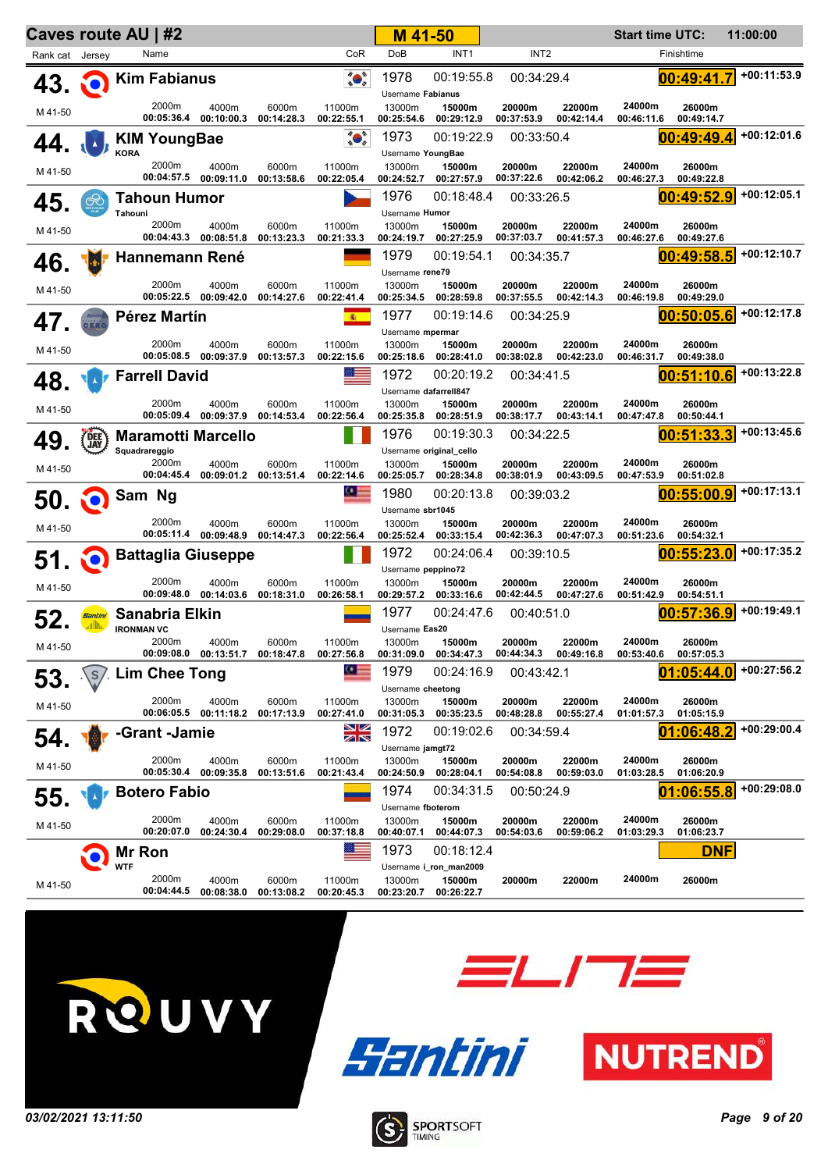|                 |                 | Caves route AU   #2        |                                           |                     |                                                                                                                                                                                                                                                                                                                                                     | M 41-50                       |                                   |                          |                      | <b>Start time UTC:</b> |                              | 11:00:00      |
|-----------------|-----------------|----------------------------|-------------------------------------------|---------------------|-----------------------------------------------------------------------------------------------------------------------------------------------------------------------------------------------------------------------------------------------------------------------------------------------------------------------------------------------------|-------------------------------|-----------------------------------|--------------------------|----------------------|------------------------|------------------------------|---------------|
| Rank cat Jersey |                 | Name                       |                                           |                     | CoR                                                                                                                                                                                                                                                                                                                                                 | DoB                           | INT <sub>1</sub>                  | INT <sub>2</sub>         |                      |                        | Finishtime                   |               |
| $43.$ $\odot$   |                 | <b>Kim Fabianus</b>        |                                           |                     | $\begin{picture}(120,15) \put(0,0){\line(1,0){15}} \put(15,0){\line(1,0){15}} \put(15,0){\line(1,0){15}} \put(15,0){\line(1,0){15}} \put(15,0){\line(1,0){15}} \put(15,0){\line(1,0){15}} \put(15,0){\line(1,0){15}} \put(15,0){\line(1,0){15}} \put(15,0){\line(1,0){15}} \put(15,0){\line(1,0){15}} \put(15,0){\line(1,0){15}} \put(15,0){\line($ | 1978<br>Username Fabianus     | 00:19:55.8                        | 00:34:29.4               |                      |                        | 00:49:41.7                   | $+00:11:53.9$ |
| M 41-50         |                 | 2000m                      | 4000m<br>00:05:36.4 00:10:00.3            | 6000m<br>00:14:28.3 | 11000m<br>00:22:55.1                                                                                                                                                                                                                                                                                                                                | 13000m<br>00:25:54.6          | 15000m<br>00:29:12.9              | 20000m<br>00:37:53.9     | 22000m<br>00:42:14.4 | 24000m<br>00:46:11.6   | 26000m<br>00:49:14.7         |               |
|                 |                 | <b>KIM YoungBae</b>        |                                           |                     | $\begin{picture}(120,10) \put(0,0){\line(1,0){15}} \put(15,0){\line(1,0){15}} \put(15,0){\line(1,0){15}} \put(15,0){\line(1,0){15}} \put(15,0){\line(1,0){15}} \put(15,0){\line(1,0){15}} \put(15,0){\line(1,0){15}} \put(15,0){\line(1,0){15}} \put(15,0){\line(1,0){15}} \put(15,0){\line(1,0){15}} \put(15,0){\line(1,0){15}} \put(15,0){\line($ | 1973                          | 00:19:22.9                        | 00:33:50.4               |                      |                        | 00:49:49.4                   | $+00:12:01.6$ |
|                 |                 | <b>KORA</b><br>2000m       | 4000m                                     | 6000m               | 11000m                                                                                                                                                                                                                                                                                                                                              | Username YoungBae<br>13000m   | 15000m                            | 20000m                   | 22000m               | 24000m                 | 26000m                       |               |
| M 41-50         |                 | 00:04:57.5                 | 00:09:11.0                                | 00:13:58.6          | 00:22:05.4                                                                                                                                                                                                                                                                                                                                          | 00:24:52.7                    | 00:27:57.9                        | 00:37:22.6               | 00:42:06.2           | 00:46:27.3             | 00:49:22.8                   |               |
| 45.             | $\bigotimes$    | <b>Tahoun Humor</b>        |                                           |                     |                                                                                                                                                                                                                                                                                                                                                     | 1976                          | 00:18:48.4                        | 00:33:26.5               |                      |                        | 00:49:52.9                   | $+00:12:05.1$ |
| M 41-50         |                 | Tahouni<br>2000m           | 4000m                                     | 6000m               | 11000m                                                                                                                                                                                                                                                                                                                                              | Username Humor<br>13000m      | 15000m                            | 20000m                   | 22000m               | 24000m                 | 26000m                       |               |
|                 |                 |                            | 00:04:43.3 00:08:51.8                     | 00:13:23.3          | 00:21:33.3                                                                                                                                                                                                                                                                                                                                          | 00:24:19.7<br>1979            | 00:27:25.9<br>00:19:54.1          | 00:37:03.7<br>00:34:35.7 | 00:41:57.3           | 00:46:27.6             | 00:49:27.6<br>00:49:58.5     | +00:12:10.7   |
| 46.             | d.              | Hannemann René             |                                           |                     |                                                                                                                                                                                                                                                                                                                                                     | Username rene79               |                                   |                          |                      |                        |                              |               |
| M 41-50         |                 | 2000m<br>00:05:22.5        | 4000m<br>00:09:42.0                       | 6000m<br>00:14:27.6 | 11000m<br>00:22:41.4                                                                                                                                                                                                                                                                                                                                | 13000m<br>00:25:34.5          | 15000m<br>00:28:59.8              | 20000m<br>00:37:55.5     | 22000m<br>00:42:14.3 | 24000m<br>00:46:19.8   | 26000m<br>00:49:29.0         |               |
| 47.             |                 | Pérez Martín               |                                           |                     | 衞                                                                                                                                                                                                                                                                                                                                                   | 1977                          | 00:19:14.6                        | 00:34:25.9               |                      |                        | 00:50:05.6                   | $+00:12:17.8$ |
| M 41-50         |                 | 2000m                      | 4000m                                     | 6000m               | 11000m                                                                                                                                                                                                                                                                                                                                              | Username mpermar<br>13000m    | 15000m                            | 20000m                   | 22000m               | 24000m                 | 26000m                       |               |
|                 |                 |                            | 00:05:08.5 00:09:37.9                     | 00:13:57.3          | 00:22:15.6                                                                                                                                                                                                                                                                                                                                          | 00:25:18.6                    | 00:28:41.0                        | 00:38:02.8               | 00:42:23.0           | 00:46:31.7             | 00:49:38.0                   | +00:13:22.8   |
| 48.             |                 | <b>Farrell David</b>       |                                           |                     |                                                                                                                                                                                                                                                                                                                                                     | 1972<br>Username dafarrell847 | 00:20:19.2                        | 00:34:41.5               |                      |                        | 00:51:10.6                   |               |
| M 41-50         |                 | 2000m                      | 4000m<br>00:05:09.4 00:09:37.9 00:14:53.4 | 6000m               | 11000m<br>00:22:56.4                                                                                                                                                                                                                                                                                                                                | 13000m<br>00:25:35.8          | 15000m<br>00:28:51.9              | 20000m<br>00:38:17.7     | 22000m<br>00:43:14.1 | 24000m<br>00:47:47.8   | 26000m<br>00:50:44.1         |               |
| 49              | DEE             | <b>Maramotti Marcello</b>  |                                           |                     |                                                                                                                                                                                                                                                                                                                                                     | 1976                          | 00:19:30.3                        | 00:34:22.5               |                      |                        | 00:51:33.3                   | $+00:13:45.6$ |
|                 |                 | Squadrareggio<br>2000m     | 4000m                                     | 6000m               | 11000m                                                                                                                                                                                                                                                                                                                                              | 13000m                        | Username original_cello<br>15000m | 20000m                   | 22000m               | 24000m                 | 26000m                       |               |
| M 41-50         |                 | 00:04:45.4                 | 00:09:01.2                                | 00:13:51.4          | 00:22:14.6                                                                                                                                                                                                                                                                                                                                          | 00:25:05.7                    | 00:28:34.8                        | 00:38:01.9               | 00:43:09.5           | 00:47:53.9             | 00:51:02.8                   |               |
| 50 Q            |                 | Sam Ng                     |                                           |                     | <u> 95 – </u>                                                                                                                                                                                                                                                                                                                                       | 1980                          | 00:20:13.8                        | 00:39:03.2               |                      |                        | 00:55:00.9                   | +00:17:13.1   |
| M 41-50         |                 | 2000m                      | 4000m                                     | 6000m               | 11000m                                                                                                                                                                                                                                                                                                                                              | Username sbr1045<br>13000m    | 15000m                            | 20000m                   | 22000m               | 24000m                 | 26000m                       |               |
|                 |                 |                            | 00:05:11.4 00:09:48.9 00:14:47.3          |                     | 00:22:56.4                                                                                                                                                                                                                                                                                                                                          | 00:25:52.4<br>1972            | 00:33:15.4<br>00:24:06.4          | 00:42:36.3<br>00:39:10.5 | 00:47:07.3           | 00:51:23.6             | 00:54:32.1<br>00:55:23.0     | +00:17:35.2   |
| $51$ $\odot$    |                 | <b>Battaglia Giuseppe</b>  |                                           |                     |                                                                                                                                                                                                                                                                                                                                                     | Username peppino72            |                                   |                          |                      |                        |                              |               |
| M 41-50         |                 | 2000m<br>00:09:48.0        | 4000m<br>00:14:03.6                       | 6000m<br>00:18:31.0 | 11000m<br>00:26:58.1                                                                                                                                                                                                                                                                                                                                | 13000m<br>00:29:57.2          | 15000m<br>00:33:16.6              | 20000m<br>00:42:44.5     | 22000m<br>00:47:27.6 | 24000m<br>00:51:42.9   | 26000m<br>00:54:51.1         |               |
|                 | Santini<br>allh | Sanabria Elkin             |                                           |                     |                                                                                                                                                                                                                                                                                                                                                     | 1977                          | 00:24:47.6                        | 00:40:51.0               |                      |                        | 00:57:36.9                   | $+00:19:49.1$ |
| M 41-50         |                 | <b>IRONMAN VC</b><br>2000m | 4000m                                     | 6000m               | 11000m                                                                                                                                                                                                                                                                                                                                              | Username Eas20<br>13000m      | 15000m                            | 20000m                   | 22000m               | 24000m                 | 26000m                       |               |
|                 | S               | Lim Chee Tong              | 00:09:08.0  00:13:51.7  00:18:47.8        |                     | 00:27:56.8<br>95                                                                                                                                                                                                                                                                                                                                    | 00:31:09.0<br>1979            | 00:34:47.3<br>00:24:16.9          | 00:44:34.3<br>00:43:42.1 | 00:49:16.8           | 00:53:40.6             | 00:57:05.3<br>01<br>:05:44.0 | $+00:27:56.2$ |
| 53.             |                 |                            |                                           |                     |                                                                                                                                                                                                                                                                                                                                                     | Username cheetong             |                                   |                          |                      |                        |                              |               |
| M 41-50         |                 | 2000m<br>00:06:05.5        | 4000m<br>00:11:18.2                       | 6000m<br>00:17:13.9 | 11000m<br>00:27:41.0                                                                                                                                                                                                                                                                                                                                | 13000m<br>00:31:05.3          | 15000m<br>00:35:23.5              | 20000m<br>00:48:28.8     | 22000m<br>00:55:27.4 | 24000m<br>01:01:57.3   | 26000m<br>01:05:15.9         |               |
| 54.             |                 | -Grant -Jamie              |                                           |                     | NZ<br>ZN                                                                                                                                                                                                                                                                                                                                            | 1972                          | 00:19:02.6                        | 00:34:59.4               |                      |                        | :06:48.2                     | +00:29:00.4   |
| M 41-50         |                 | 2000m                      | 4000m                                     | 6000m               | 11000m                                                                                                                                                                                                                                                                                                                                              | Username jamgt72<br>13000m    | 15000m                            | 20000m                   | 22000m               | 24000m                 | 26000m                       |               |
|                 |                 | 00:05:30.4                 | 00:09:35.8                                | 00:13:51.6          | 00:21:43.4                                                                                                                                                                                                                                                                                                                                          | 00:24:50.9                    | 00:28:04.1                        | 00:54:08.8               | 00:59:03.0           | 01:03:28.5             | 01:06:20.9                   | $+00:29:08.0$ |
| 55.             |                 | <b>Botero Fabio</b>        |                                           |                     |                                                                                                                                                                                                                                                                                                                                                     | 1974<br>Username fboterom     | 00:34:31.5                        | 00:50:24.9               |                      |                        | :06:55.8<br>01               |               |
| M 41-50         |                 | 2000m<br>00:20:07.0        | 4000m<br>00:24:30.4                       | 6000m<br>00:29:08.0 | 11000m<br>00:37:18.8                                                                                                                                                                                                                                                                                                                                | 13000m<br>00:40:07.1          | 15000m<br>00:44:07.3              | 20000m<br>00:54:03.6     | 22000m<br>00:59:06.2 | 24000m<br>01:03:29.3   | 26000m<br>01:06:23.7         |               |
|                 |                 | Mr Ron                     |                                           |                     |                                                                                                                                                                                                                                                                                                                                                     | 1973                          | 00:18:12.4                        |                          |                      |                        | <b>DNF</b>                   |               |
|                 |                 | <b>WTF</b><br>2000m        | 4000m                                     | 6000m               | 11000m                                                                                                                                                                                                                                                                                                                                              | 13000m                        | Username i_ron_man2009<br>15000m  | 20000m                   | 22000m               | 24000m                 | 26000m                       |               |
| M 41-50         |                 | 00:04:44.5                 | 00:08:38.0                                | 00:13:08.2          | 00:20:45.3                                                                                                                                                                                                                                                                                                                                          | 00:23:20.7                    | 00:26:22.7                        |                          |                      |                        |                              |               |







**ELITE** 

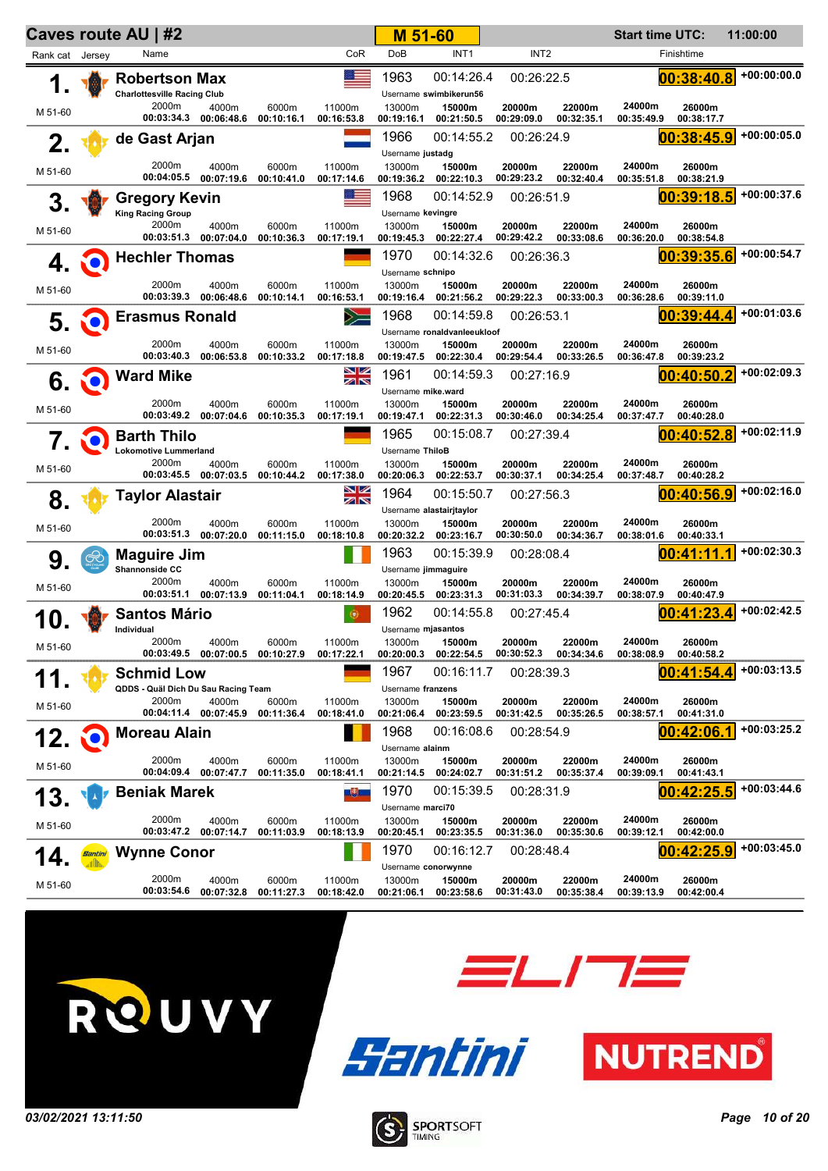| CoR<br><b>DoB</b><br>INT <sub>1</sub><br>INT <sub>2</sub><br>Name<br>Finishtime<br>Rank cat Jersey<br>21<br>00:38:40.8<br>1963<br>00:14:26.4<br>00:26:22.5<br><b>Robertson Max</b><br>1.<br><b>Charlottesville Racing Club</b><br>Username swimbikerun56<br>2000m<br>11000m<br>24000m<br>4000m<br>6000m<br>13000m<br>15000m<br>20000m<br>22000m<br>26000m<br>M 51-60<br>00:03:34.3 00:06:48.6<br>00:10:16.1<br>00:29:09.0<br>00:32:35.1<br>00:35:49.9<br>00:16:53.8<br>00:19:16.1<br>00:21:50.5<br>00:38:17.7<br>1966<br>00:14:55.2<br>00:38:45.9<br>00:26:24.9<br>de Gast Arjan<br>2.<br>Username justadg<br>2000m<br>24000m<br>4000m<br>6000m<br>11000m<br>13000m<br>15000m<br>20000m<br>22000m<br>26000m<br>M 51-60<br>00:04:05.5<br>00:29:23.2<br>00:07:19.6<br>00:10:41.0<br>00:19:36.2<br>00:22:10.3<br>00:32:40.4<br>00:35:51.8<br>00:17:14.6<br>00:38:21.9<br>1968<br>00:39:18.5<br>00:14:52.9<br>00:26:51.9<br><b>Gregory Kevin</b><br>3.<br><b>King Racing Group</b><br>Username kevingre<br>2000m<br>24000m<br>6000m<br>11000m<br>4000m<br>13000m<br>15000m<br>20000m<br>22000m<br>26000m<br>M 51-60<br>00:03:51.3<br>00:07:04.0<br>00:10:36.3<br>00:22:27.4<br>00:29:42.2<br>00:33:08.6<br>00:17:19.1<br>00:19:45.3<br>00:36:20.0<br>00:38:54.8<br>1970<br>00:14:32.6<br>00:39:35.6<br>00:26:36.3<br><b>Hechler Thomas</b><br>4.<br>ŇO.<br>Username schnipo<br>2000m<br>24000m<br>6000m<br>11000m<br>13000m<br>15000m<br>20000m<br>22000m<br>26000m<br>4000m<br>M 51-60<br>00:03:39.3<br>00:06:48.6<br>00:10:14.1<br>00:29:22.3<br>00:33:00.3<br>00:16:53.1<br>00:19:16.4<br>00:21:56.2<br>00:36:28.6<br>00:39:11.0<br>1968<br>00:14:59.8<br>$\sum$<br>00:39:44.4<br><b>Erasmus Ronald</b><br>00:26:53.1<br>5.<br>NO)<br>Username ronaldvanleeukloof<br>2000m<br>24000m<br>6000m<br>22000m<br>4000m<br>11000m<br>13000m<br>15000m<br>20000m<br>26000m<br>M 51-60<br>00:03:40.3<br>00:06:53.8<br>00:10:33.2<br>00:19:47.5<br>00:22:30.4<br>00:29:54.4<br>00:33:26.5<br>00:36:47.8<br>00:39:23.2<br>00:17:18.8<br>NZ<br>1961<br>00:14:59.3<br>00:40:50.2<br><b>Ward Mike</b><br>00:27:16.9<br>6.<br>ZN<br>Username mike.ward<br>2000m<br>24000m<br>4000m<br>6000m<br>11000m<br>13000m<br>15000m<br>20000m<br>22000m<br>26000m<br>M 51-60<br>00:03:49.2<br>00:07:04.6<br>00:10:35.3<br>00:30:46.0<br>00:34:25.4<br>00:17:19.1<br>00:19:47.1<br>00:22:31.3<br>00:37:47.7<br>00:40:28.0<br>1965<br>00:40:52.8<br>00:15:08.7<br>00:27:39.4<br><b>Barth Thilo</b><br>7.<br>NO.<br><b>Lokomotive Lummerland</b><br>Username ThiloB<br>2000m<br>24000m<br>22000m<br>4000m<br>6000m<br>11000m<br>13000m<br>15000m<br>20000m<br>26000m<br>M 51-60<br>00:03:45.5 00:07:03.5<br>00:10:44.2<br>00:17:38.0<br>00:20:06.3<br>00:22:53.7<br>00:30:37.1<br>00:34:25.4<br>00:37:48.7<br>00:40:28.2<br>NZ<br>1964<br>00:15:50.7<br>00:40:56.9<br>00:27:56.3<br>Taylor Alastair<br>8.<br>ZN<br>Username alastairjtaylor<br>2000m<br>24000m<br>4000m<br>6000m<br>11000m<br>13000m<br>15000m<br>20000m<br>22000m<br>26000m<br>M 51-60<br>00:03:51.3<br>00:07:20.0<br>00:11:15.0<br>00:30:50.0<br>00:34:36.7<br>00:38:01.6<br>00:18:10.8<br>00:20:32.2<br>00:23:16.7<br>00:40:33.1<br>$+00:02:30.3$<br>1963<br>00:41:11.1<br>00:15:39.9<br>00:28:08.4<br><b>Maguire Jim</b><br>$\otimes$<br>9.<br>Shannonside CC<br>Username jimmaguire<br>2000m<br>24000m<br>4000m<br>6000m<br>11000m<br>13000m<br>15000m<br>20000m<br>22000m<br>26000m<br>M 51-60<br>00:03:51.1 00:07:13.9<br>00:18:14.9<br>00:20:45.5 00:23:31.3<br>00:31:03.3<br>00:34:39.7<br>00:38:07.9<br>00:11:04.1<br>00:40:47.9<br>1962<br>00:41:23.4<br>00:14:55.8<br>00:27:45.4<br><b>Santos Mário</b><br>O<br>O<br>Individual<br>Username mjasantos<br>2000m<br>24000m<br>4000m<br>6000m<br>13000m<br>15000m<br>20000m<br>22000m<br>26000m<br>11000m<br>M 51-60<br>00:17:22.1<br>00:22:54.5<br>00:30:52.3<br>00:03:49.5 00:07:00.5 00:10:27.9<br>00:20:00.3<br>00:34:34.6<br>00:38:08.9<br>00:40:58.2<br>1967<br>00:16:11.7<br>00:41:54.4<br><b>Schmid Low</b><br>00:28:39.3<br>QDDS - Quäl Dich Du Sau Racing Team<br>Username franzens<br>24000m<br>2000m<br>11000m<br>4000m<br>6000m<br>13000m<br>15000m<br>22000m<br>26000m<br>20000m<br>M 51-60<br>00:04:11.4<br>00:07:45.9<br>00:23:59.5<br>00:35:26.5<br>00:38:57.1<br>00:41:31.0<br>00:11:36.4<br>00:18:41.0<br>00:21:06.4<br>00:31:42.5<br>1968<br>00:42:06.1<br>00:16:08.6<br>00:28:54.9<br><b>Moreau Alain</b><br>12.<br>$\bullet$<br>Username alainm<br>24000m<br>2000m<br>11000m<br>4000m<br>6000m<br>13000m<br>15000m<br>20000m<br>22000m<br>26000m<br>M 51-60<br>00:04:09.4<br>00:07:47.7<br>00:11:35.0<br>00:24:02.7<br>00:31:51.2<br>00:35:37.4<br>00:18:41.1<br>00:21:14.5<br>00:39:09.1<br>00:41:43.1<br>1970<br>00:42:25.5<br>00:15:39.5<br>00:28:31.9<br><b>Beniak Marek</b><br>四郎<br>13.<br>Username marci70<br>2000m<br>24000m<br>6000m<br>11000m<br>22000m<br>4000m<br>13000m<br>15000m<br>20000m<br>26000m<br>M 51-60<br>00:03:47.2<br>00:07:14.7<br>00:11:03.9<br>00:20:45.1<br>00:31:36.0<br>00:35:30.6<br>00:39:12.1<br>00:18:13.9<br>00:23:35.5<br>00:42:00.0<br>1970<br>00:42:25.9<br><b>Wynne Conor</b><br>00:16:12.7<br>00:28:48.4<br>Santini<br>Username conorwynne<br>2000m<br>24000m<br>4000m<br>6000m<br>11000m<br>13000m<br>15000m<br>20000m<br>22000m<br>26000m<br>M 51-60<br>00:03:54.6<br>00:07:32.8<br>00:39:13.9<br>00:11:27.3<br>00:18:42.0<br>00:21:06.1<br>00:23:58.6<br>00:31:43.0<br>00:35:38.4<br>00:42:00.4 |  | <b>Caves route AU   #2</b> |  | M 51-60 |  | <b>Start time UTC:</b> | 11:00:00      |
|---------------------------------------------------------------------------------------------------------------------------------------------------------------------------------------------------------------------------------------------------------------------------------------------------------------------------------------------------------------------------------------------------------------------------------------------------------------------------------------------------------------------------------------------------------------------------------------------------------------------------------------------------------------------------------------------------------------------------------------------------------------------------------------------------------------------------------------------------------------------------------------------------------------------------------------------------------------------------------------------------------------------------------------------------------------------------------------------------------------------------------------------------------------------------------------------------------------------------------------------------------------------------------------------------------------------------------------------------------------------------------------------------------------------------------------------------------------------------------------------------------------------------------------------------------------------------------------------------------------------------------------------------------------------------------------------------------------------------------------------------------------------------------------------------------------------------------------------------------------------------------------------------------------------------------------------------------------------------------------------------------------------------------------------------------------------------------------------------------------------------------------------------------------------------------------------------------------------------------------------------------------------------------------------------------------------------------------------------------------------------------------------------------------------------------------------------------------------------------------------------------------------------------------------------------------------------------------------------------------------------------------------------------------------------------------------------------------------------------------------------------------------------------------------------------------------------------------------------------------------------------------------------------------------------------------------------------------------------------------------------------------------------------------------------------------------------------------------------------------------------------------------------------------------------------------------------------------------------------------------------------------------------------------------------------------------------------------------------------------------------------------------------------------------------------------------------------------------------------------------------------------------------------------------------------------------------------------------------------------------------------------------------------------------------------------------------------------------------------------------------------------------------------------------------------------------------------------------------------------------------------------------------------------------------------------------------------------------------------------------------------------------------------------------------------------------------------------------------------------------------------------------------------------------------------------------------------------------------------------------------------------------------------------------------------------------------------------------------------------------------------------------------------------------------------------------------------------------------------------------------------------------------------------------------------------------------------------------------------------------------------------------------------------------------------------------------------------------------------------------------------------------------------------------------------------------------------------------------------------------------------------------------------------------------------------------------------------------------------------------------------------------------------------------------------------------------------------------------------------------------------------------------------------------------------------------------------------------------------------------------------------------------------------------------------------------------------------------------------------------------------------------------------------------------------------------------------------|--|----------------------------|--|---------|--|------------------------|---------------|
|                                                                                                                                                                                                                                                                                                                                                                                                                                                                                                                                                                                                                                                                                                                                                                                                                                                                                                                                                                                                                                                                                                                                                                                                                                                                                                                                                                                                                                                                                                                                                                                                                                                                                                                                                                                                                                                                                                                                                                                                                                                                                                                                                                                                                                                                                                                                                                                                                                                                                                                                                                                                                                                                                                                                                                                                                                                                                                                                                                                                                                                                                                                                                                                                                                                                                                                                                                                                                                                                                                                                                                                                                                                                                                                                                                                                                                                                                                                                                                                                                                                                                                                                                                                                                                                                                                                                                                                                                                                                                                                                                                                                                                                                                                                                                                                                                                                                                                                                                                                                                                                                                                                                                                                                                                                                                                                                                                                                                                                               |  |                            |  |         |  |                        |               |
|                                                                                                                                                                                                                                                                                                                                                                                                                                                                                                                                                                                                                                                                                                                                                                                                                                                                                                                                                                                                                                                                                                                                                                                                                                                                                                                                                                                                                                                                                                                                                                                                                                                                                                                                                                                                                                                                                                                                                                                                                                                                                                                                                                                                                                                                                                                                                                                                                                                                                                                                                                                                                                                                                                                                                                                                                                                                                                                                                                                                                                                                                                                                                                                                                                                                                                                                                                                                                                                                                                                                                                                                                                                                                                                                                                                                                                                                                                                                                                                                                                                                                                                                                                                                                                                                                                                                                                                                                                                                                                                                                                                                                                                                                                                                                                                                                                                                                                                                                                                                                                                                                                                                                                                                                                                                                                                                                                                                                                                               |  |                            |  |         |  |                        | $+00:00:00.0$ |
|                                                                                                                                                                                                                                                                                                                                                                                                                                                                                                                                                                                                                                                                                                                                                                                                                                                                                                                                                                                                                                                                                                                                                                                                                                                                                                                                                                                                                                                                                                                                                                                                                                                                                                                                                                                                                                                                                                                                                                                                                                                                                                                                                                                                                                                                                                                                                                                                                                                                                                                                                                                                                                                                                                                                                                                                                                                                                                                                                                                                                                                                                                                                                                                                                                                                                                                                                                                                                                                                                                                                                                                                                                                                                                                                                                                                                                                                                                                                                                                                                                                                                                                                                                                                                                                                                                                                                                                                                                                                                                                                                                                                                                                                                                                                                                                                                                                                                                                                                                                                                                                                                                                                                                                                                                                                                                                                                                                                                                                               |  |                            |  |         |  |                        |               |
|                                                                                                                                                                                                                                                                                                                                                                                                                                                                                                                                                                                                                                                                                                                                                                                                                                                                                                                                                                                                                                                                                                                                                                                                                                                                                                                                                                                                                                                                                                                                                                                                                                                                                                                                                                                                                                                                                                                                                                                                                                                                                                                                                                                                                                                                                                                                                                                                                                                                                                                                                                                                                                                                                                                                                                                                                                                                                                                                                                                                                                                                                                                                                                                                                                                                                                                                                                                                                                                                                                                                                                                                                                                                                                                                                                                                                                                                                                                                                                                                                                                                                                                                                                                                                                                                                                                                                                                                                                                                                                                                                                                                                                                                                                                                                                                                                                                                                                                                                                                                                                                                                                                                                                                                                                                                                                                                                                                                                                                               |  |                            |  |         |  |                        | $+00:00:05.0$ |
|                                                                                                                                                                                                                                                                                                                                                                                                                                                                                                                                                                                                                                                                                                                                                                                                                                                                                                                                                                                                                                                                                                                                                                                                                                                                                                                                                                                                                                                                                                                                                                                                                                                                                                                                                                                                                                                                                                                                                                                                                                                                                                                                                                                                                                                                                                                                                                                                                                                                                                                                                                                                                                                                                                                                                                                                                                                                                                                                                                                                                                                                                                                                                                                                                                                                                                                                                                                                                                                                                                                                                                                                                                                                                                                                                                                                                                                                                                                                                                                                                                                                                                                                                                                                                                                                                                                                                                                                                                                                                                                                                                                                                                                                                                                                                                                                                                                                                                                                                                                                                                                                                                                                                                                                                                                                                                                                                                                                                                                               |  |                            |  |         |  |                        |               |
|                                                                                                                                                                                                                                                                                                                                                                                                                                                                                                                                                                                                                                                                                                                                                                                                                                                                                                                                                                                                                                                                                                                                                                                                                                                                                                                                                                                                                                                                                                                                                                                                                                                                                                                                                                                                                                                                                                                                                                                                                                                                                                                                                                                                                                                                                                                                                                                                                                                                                                                                                                                                                                                                                                                                                                                                                                                                                                                                                                                                                                                                                                                                                                                                                                                                                                                                                                                                                                                                                                                                                                                                                                                                                                                                                                                                                                                                                                                                                                                                                                                                                                                                                                                                                                                                                                                                                                                                                                                                                                                                                                                                                                                                                                                                                                                                                                                                                                                                                                                                                                                                                                                                                                                                                                                                                                                                                                                                                                                               |  |                            |  |         |  |                        | $+00:00:37.6$ |
|                                                                                                                                                                                                                                                                                                                                                                                                                                                                                                                                                                                                                                                                                                                                                                                                                                                                                                                                                                                                                                                                                                                                                                                                                                                                                                                                                                                                                                                                                                                                                                                                                                                                                                                                                                                                                                                                                                                                                                                                                                                                                                                                                                                                                                                                                                                                                                                                                                                                                                                                                                                                                                                                                                                                                                                                                                                                                                                                                                                                                                                                                                                                                                                                                                                                                                                                                                                                                                                                                                                                                                                                                                                                                                                                                                                                                                                                                                                                                                                                                                                                                                                                                                                                                                                                                                                                                                                                                                                                                                                                                                                                                                                                                                                                                                                                                                                                                                                                                                                                                                                                                                                                                                                                                                                                                                                                                                                                                                                               |  |                            |  |         |  |                        |               |
|                                                                                                                                                                                                                                                                                                                                                                                                                                                                                                                                                                                                                                                                                                                                                                                                                                                                                                                                                                                                                                                                                                                                                                                                                                                                                                                                                                                                                                                                                                                                                                                                                                                                                                                                                                                                                                                                                                                                                                                                                                                                                                                                                                                                                                                                                                                                                                                                                                                                                                                                                                                                                                                                                                                                                                                                                                                                                                                                                                                                                                                                                                                                                                                                                                                                                                                                                                                                                                                                                                                                                                                                                                                                                                                                                                                                                                                                                                                                                                                                                                                                                                                                                                                                                                                                                                                                                                                                                                                                                                                                                                                                                                                                                                                                                                                                                                                                                                                                                                                                                                                                                                                                                                                                                                                                                                                                                                                                                                                               |  |                            |  |         |  |                        | $+00:00:54.7$ |
|                                                                                                                                                                                                                                                                                                                                                                                                                                                                                                                                                                                                                                                                                                                                                                                                                                                                                                                                                                                                                                                                                                                                                                                                                                                                                                                                                                                                                                                                                                                                                                                                                                                                                                                                                                                                                                                                                                                                                                                                                                                                                                                                                                                                                                                                                                                                                                                                                                                                                                                                                                                                                                                                                                                                                                                                                                                                                                                                                                                                                                                                                                                                                                                                                                                                                                                                                                                                                                                                                                                                                                                                                                                                                                                                                                                                                                                                                                                                                                                                                                                                                                                                                                                                                                                                                                                                                                                                                                                                                                                                                                                                                                                                                                                                                                                                                                                                                                                                                                                                                                                                                                                                                                                                                                                                                                                                                                                                                                                               |  |                            |  |         |  |                        |               |
|                                                                                                                                                                                                                                                                                                                                                                                                                                                                                                                                                                                                                                                                                                                                                                                                                                                                                                                                                                                                                                                                                                                                                                                                                                                                                                                                                                                                                                                                                                                                                                                                                                                                                                                                                                                                                                                                                                                                                                                                                                                                                                                                                                                                                                                                                                                                                                                                                                                                                                                                                                                                                                                                                                                                                                                                                                                                                                                                                                                                                                                                                                                                                                                                                                                                                                                                                                                                                                                                                                                                                                                                                                                                                                                                                                                                                                                                                                                                                                                                                                                                                                                                                                                                                                                                                                                                                                                                                                                                                                                                                                                                                                                                                                                                                                                                                                                                                                                                                                                                                                                                                                                                                                                                                                                                                                                                                                                                                                                               |  |                            |  |         |  |                        | $+00:01:03.6$ |
|                                                                                                                                                                                                                                                                                                                                                                                                                                                                                                                                                                                                                                                                                                                                                                                                                                                                                                                                                                                                                                                                                                                                                                                                                                                                                                                                                                                                                                                                                                                                                                                                                                                                                                                                                                                                                                                                                                                                                                                                                                                                                                                                                                                                                                                                                                                                                                                                                                                                                                                                                                                                                                                                                                                                                                                                                                                                                                                                                                                                                                                                                                                                                                                                                                                                                                                                                                                                                                                                                                                                                                                                                                                                                                                                                                                                                                                                                                                                                                                                                                                                                                                                                                                                                                                                                                                                                                                                                                                                                                                                                                                                                                                                                                                                                                                                                                                                                                                                                                                                                                                                                                                                                                                                                                                                                                                                                                                                                                                               |  |                            |  |         |  |                        |               |
|                                                                                                                                                                                                                                                                                                                                                                                                                                                                                                                                                                                                                                                                                                                                                                                                                                                                                                                                                                                                                                                                                                                                                                                                                                                                                                                                                                                                                                                                                                                                                                                                                                                                                                                                                                                                                                                                                                                                                                                                                                                                                                                                                                                                                                                                                                                                                                                                                                                                                                                                                                                                                                                                                                                                                                                                                                                                                                                                                                                                                                                                                                                                                                                                                                                                                                                                                                                                                                                                                                                                                                                                                                                                                                                                                                                                                                                                                                                                                                                                                                                                                                                                                                                                                                                                                                                                                                                                                                                                                                                                                                                                                                                                                                                                                                                                                                                                                                                                                                                                                                                                                                                                                                                                                                                                                                                                                                                                                                                               |  |                            |  |         |  |                        | +00:02:09.3   |
|                                                                                                                                                                                                                                                                                                                                                                                                                                                                                                                                                                                                                                                                                                                                                                                                                                                                                                                                                                                                                                                                                                                                                                                                                                                                                                                                                                                                                                                                                                                                                                                                                                                                                                                                                                                                                                                                                                                                                                                                                                                                                                                                                                                                                                                                                                                                                                                                                                                                                                                                                                                                                                                                                                                                                                                                                                                                                                                                                                                                                                                                                                                                                                                                                                                                                                                                                                                                                                                                                                                                                                                                                                                                                                                                                                                                                                                                                                                                                                                                                                                                                                                                                                                                                                                                                                                                                                                                                                                                                                                                                                                                                                                                                                                                                                                                                                                                                                                                                                                                                                                                                                                                                                                                                                                                                                                                                                                                                                                               |  |                            |  |         |  |                        |               |
|                                                                                                                                                                                                                                                                                                                                                                                                                                                                                                                                                                                                                                                                                                                                                                                                                                                                                                                                                                                                                                                                                                                                                                                                                                                                                                                                                                                                                                                                                                                                                                                                                                                                                                                                                                                                                                                                                                                                                                                                                                                                                                                                                                                                                                                                                                                                                                                                                                                                                                                                                                                                                                                                                                                                                                                                                                                                                                                                                                                                                                                                                                                                                                                                                                                                                                                                                                                                                                                                                                                                                                                                                                                                                                                                                                                                                                                                                                                                                                                                                                                                                                                                                                                                                                                                                                                                                                                                                                                                                                                                                                                                                                                                                                                                                                                                                                                                                                                                                                                                                                                                                                                                                                                                                                                                                                                                                                                                                                                               |  |                            |  |         |  |                        | $+00:02:11.9$ |
|                                                                                                                                                                                                                                                                                                                                                                                                                                                                                                                                                                                                                                                                                                                                                                                                                                                                                                                                                                                                                                                                                                                                                                                                                                                                                                                                                                                                                                                                                                                                                                                                                                                                                                                                                                                                                                                                                                                                                                                                                                                                                                                                                                                                                                                                                                                                                                                                                                                                                                                                                                                                                                                                                                                                                                                                                                                                                                                                                                                                                                                                                                                                                                                                                                                                                                                                                                                                                                                                                                                                                                                                                                                                                                                                                                                                                                                                                                                                                                                                                                                                                                                                                                                                                                                                                                                                                                                                                                                                                                                                                                                                                                                                                                                                                                                                                                                                                                                                                                                                                                                                                                                                                                                                                                                                                                                                                                                                                                                               |  |                            |  |         |  |                        |               |
|                                                                                                                                                                                                                                                                                                                                                                                                                                                                                                                                                                                                                                                                                                                                                                                                                                                                                                                                                                                                                                                                                                                                                                                                                                                                                                                                                                                                                                                                                                                                                                                                                                                                                                                                                                                                                                                                                                                                                                                                                                                                                                                                                                                                                                                                                                                                                                                                                                                                                                                                                                                                                                                                                                                                                                                                                                                                                                                                                                                                                                                                                                                                                                                                                                                                                                                                                                                                                                                                                                                                                                                                                                                                                                                                                                                                                                                                                                                                                                                                                                                                                                                                                                                                                                                                                                                                                                                                                                                                                                                                                                                                                                                                                                                                                                                                                                                                                                                                                                                                                                                                                                                                                                                                                                                                                                                                                                                                                                                               |  |                            |  |         |  |                        | $+00:02:16.0$ |
|                                                                                                                                                                                                                                                                                                                                                                                                                                                                                                                                                                                                                                                                                                                                                                                                                                                                                                                                                                                                                                                                                                                                                                                                                                                                                                                                                                                                                                                                                                                                                                                                                                                                                                                                                                                                                                                                                                                                                                                                                                                                                                                                                                                                                                                                                                                                                                                                                                                                                                                                                                                                                                                                                                                                                                                                                                                                                                                                                                                                                                                                                                                                                                                                                                                                                                                                                                                                                                                                                                                                                                                                                                                                                                                                                                                                                                                                                                                                                                                                                                                                                                                                                                                                                                                                                                                                                                                                                                                                                                                                                                                                                                                                                                                                                                                                                                                                                                                                                                                                                                                                                                                                                                                                                                                                                                                                                                                                                                                               |  |                            |  |         |  |                        |               |
|                                                                                                                                                                                                                                                                                                                                                                                                                                                                                                                                                                                                                                                                                                                                                                                                                                                                                                                                                                                                                                                                                                                                                                                                                                                                                                                                                                                                                                                                                                                                                                                                                                                                                                                                                                                                                                                                                                                                                                                                                                                                                                                                                                                                                                                                                                                                                                                                                                                                                                                                                                                                                                                                                                                                                                                                                                                                                                                                                                                                                                                                                                                                                                                                                                                                                                                                                                                                                                                                                                                                                                                                                                                                                                                                                                                                                                                                                                                                                                                                                                                                                                                                                                                                                                                                                                                                                                                                                                                                                                                                                                                                                                                                                                                                                                                                                                                                                                                                                                                                                                                                                                                                                                                                                                                                                                                                                                                                                                                               |  |                            |  |         |  |                        |               |
|                                                                                                                                                                                                                                                                                                                                                                                                                                                                                                                                                                                                                                                                                                                                                                                                                                                                                                                                                                                                                                                                                                                                                                                                                                                                                                                                                                                                                                                                                                                                                                                                                                                                                                                                                                                                                                                                                                                                                                                                                                                                                                                                                                                                                                                                                                                                                                                                                                                                                                                                                                                                                                                                                                                                                                                                                                                                                                                                                                                                                                                                                                                                                                                                                                                                                                                                                                                                                                                                                                                                                                                                                                                                                                                                                                                                                                                                                                                                                                                                                                                                                                                                                                                                                                                                                                                                                                                                                                                                                                                                                                                                                                                                                                                                                                                                                                                                                                                                                                                                                                                                                                                                                                                                                                                                                                                                                                                                                                                               |  |                            |  |         |  |                        |               |
|                                                                                                                                                                                                                                                                                                                                                                                                                                                                                                                                                                                                                                                                                                                                                                                                                                                                                                                                                                                                                                                                                                                                                                                                                                                                                                                                                                                                                                                                                                                                                                                                                                                                                                                                                                                                                                                                                                                                                                                                                                                                                                                                                                                                                                                                                                                                                                                                                                                                                                                                                                                                                                                                                                                                                                                                                                                                                                                                                                                                                                                                                                                                                                                                                                                                                                                                                                                                                                                                                                                                                                                                                                                                                                                                                                                                                                                                                                                                                                                                                                                                                                                                                                                                                                                                                                                                                                                                                                                                                                                                                                                                                                                                                                                                                                                                                                                                                                                                                                                                                                                                                                                                                                                                                                                                                                                                                                                                                                                               |  |                            |  |         |  |                        |               |
|                                                                                                                                                                                                                                                                                                                                                                                                                                                                                                                                                                                                                                                                                                                                                                                                                                                                                                                                                                                                                                                                                                                                                                                                                                                                                                                                                                                                                                                                                                                                                                                                                                                                                                                                                                                                                                                                                                                                                                                                                                                                                                                                                                                                                                                                                                                                                                                                                                                                                                                                                                                                                                                                                                                                                                                                                                                                                                                                                                                                                                                                                                                                                                                                                                                                                                                                                                                                                                                                                                                                                                                                                                                                                                                                                                                                                                                                                                                                                                                                                                                                                                                                                                                                                                                                                                                                                                                                                                                                                                                                                                                                                                                                                                                                                                                                                                                                                                                                                                                                                                                                                                                                                                                                                                                                                                                                                                                                                                                               |  |                            |  |         |  |                        | +00:02:42.5   |
|                                                                                                                                                                                                                                                                                                                                                                                                                                                                                                                                                                                                                                                                                                                                                                                                                                                                                                                                                                                                                                                                                                                                                                                                                                                                                                                                                                                                                                                                                                                                                                                                                                                                                                                                                                                                                                                                                                                                                                                                                                                                                                                                                                                                                                                                                                                                                                                                                                                                                                                                                                                                                                                                                                                                                                                                                                                                                                                                                                                                                                                                                                                                                                                                                                                                                                                                                                                                                                                                                                                                                                                                                                                                                                                                                                                                                                                                                                                                                                                                                                                                                                                                                                                                                                                                                                                                                                                                                                                                                                                                                                                                                                                                                                                                                                                                                                                                                                                                                                                                                                                                                                                                                                                                                                                                                                                                                                                                                                                               |  |                            |  |         |  |                        |               |
|                                                                                                                                                                                                                                                                                                                                                                                                                                                                                                                                                                                                                                                                                                                                                                                                                                                                                                                                                                                                                                                                                                                                                                                                                                                                                                                                                                                                                                                                                                                                                                                                                                                                                                                                                                                                                                                                                                                                                                                                                                                                                                                                                                                                                                                                                                                                                                                                                                                                                                                                                                                                                                                                                                                                                                                                                                                                                                                                                                                                                                                                                                                                                                                                                                                                                                                                                                                                                                                                                                                                                                                                                                                                                                                                                                                                                                                                                                                                                                                                                                                                                                                                                                                                                                                                                                                                                                                                                                                                                                                                                                                                                                                                                                                                                                                                                                                                                                                                                                                                                                                                                                                                                                                                                                                                                                                                                                                                                                                               |  |                            |  |         |  |                        | +00:03:13.5   |
|                                                                                                                                                                                                                                                                                                                                                                                                                                                                                                                                                                                                                                                                                                                                                                                                                                                                                                                                                                                                                                                                                                                                                                                                                                                                                                                                                                                                                                                                                                                                                                                                                                                                                                                                                                                                                                                                                                                                                                                                                                                                                                                                                                                                                                                                                                                                                                                                                                                                                                                                                                                                                                                                                                                                                                                                                                                                                                                                                                                                                                                                                                                                                                                                                                                                                                                                                                                                                                                                                                                                                                                                                                                                                                                                                                                                                                                                                                                                                                                                                                                                                                                                                                                                                                                                                                                                                                                                                                                                                                                                                                                                                                                                                                                                                                                                                                                                                                                                                                                                                                                                                                                                                                                                                                                                                                                                                                                                                                                               |  |                            |  |         |  |                        |               |
|                                                                                                                                                                                                                                                                                                                                                                                                                                                                                                                                                                                                                                                                                                                                                                                                                                                                                                                                                                                                                                                                                                                                                                                                                                                                                                                                                                                                                                                                                                                                                                                                                                                                                                                                                                                                                                                                                                                                                                                                                                                                                                                                                                                                                                                                                                                                                                                                                                                                                                                                                                                                                                                                                                                                                                                                                                                                                                                                                                                                                                                                                                                                                                                                                                                                                                                                                                                                                                                                                                                                                                                                                                                                                                                                                                                                                                                                                                                                                                                                                                                                                                                                                                                                                                                                                                                                                                                                                                                                                                                                                                                                                                                                                                                                                                                                                                                                                                                                                                                                                                                                                                                                                                                                                                                                                                                                                                                                                                                               |  |                            |  |         |  |                        | $+00:03:25.2$ |
|                                                                                                                                                                                                                                                                                                                                                                                                                                                                                                                                                                                                                                                                                                                                                                                                                                                                                                                                                                                                                                                                                                                                                                                                                                                                                                                                                                                                                                                                                                                                                                                                                                                                                                                                                                                                                                                                                                                                                                                                                                                                                                                                                                                                                                                                                                                                                                                                                                                                                                                                                                                                                                                                                                                                                                                                                                                                                                                                                                                                                                                                                                                                                                                                                                                                                                                                                                                                                                                                                                                                                                                                                                                                                                                                                                                                                                                                                                                                                                                                                                                                                                                                                                                                                                                                                                                                                                                                                                                                                                                                                                                                                                                                                                                                                                                                                                                                                                                                                                                                                                                                                                                                                                                                                                                                                                                                                                                                                                                               |  |                            |  |         |  |                        |               |
|                                                                                                                                                                                                                                                                                                                                                                                                                                                                                                                                                                                                                                                                                                                                                                                                                                                                                                                                                                                                                                                                                                                                                                                                                                                                                                                                                                                                                                                                                                                                                                                                                                                                                                                                                                                                                                                                                                                                                                                                                                                                                                                                                                                                                                                                                                                                                                                                                                                                                                                                                                                                                                                                                                                                                                                                                                                                                                                                                                                                                                                                                                                                                                                                                                                                                                                                                                                                                                                                                                                                                                                                                                                                                                                                                                                                                                                                                                                                                                                                                                                                                                                                                                                                                                                                                                                                                                                                                                                                                                                                                                                                                                                                                                                                                                                                                                                                                                                                                                                                                                                                                                                                                                                                                                                                                                                                                                                                                                                               |  |                            |  |         |  |                        | +00:03:44.6   |
|                                                                                                                                                                                                                                                                                                                                                                                                                                                                                                                                                                                                                                                                                                                                                                                                                                                                                                                                                                                                                                                                                                                                                                                                                                                                                                                                                                                                                                                                                                                                                                                                                                                                                                                                                                                                                                                                                                                                                                                                                                                                                                                                                                                                                                                                                                                                                                                                                                                                                                                                                                                                                                                                                                                                                                                                                                                                                                                                                                                                                                                                                                                                                                                                                                                                                                                                                                                                                                                                                                                                                                                                                                                                                                                                                                                                                                                                                                                                                                                                                                                                                                                                                                                                                                                                                                                                                                                                                                                                                                                                                                                                                                                                                                                                                                                                                                                                                                                                                                                                                                                                                                                                                                                                                                                                                                                                                                                                                                                               |  |                            |  |         |  |                        |               |
|                                                                                                                                                                                                                                                                                                                                                                                                                                                                                                                                                                                                                                                                                                                                                                                                                                                                                                                                                                                                                                                                                                                                                                                                                                                                                                                                                                                                                                                                                                                                                                                                                                                                                                                                                                                                                                                                                                                                                                                                                                                                                                                                                                                                                                                                                                                                                                                                                                                                                                                                                                                                                                                                                                                                                                                                                                                                                                                                                                                                                                                                                                                                                                                                                                                                                                                                                                                                                                                                                                                                                                                                                                                                                                                                                                                                                                                                                                                                                                                                                                                                                                                                                                                                                                                                                                                                                                                                                                                                                                                                                                                                                                                                                                                                                                                                                                                                                                                                                                                                                                                                                                                                                                                                                                                                                                                                                                                                                                                               |  |                            |  |         |  |                        | +00:03:45.0   |
|                                                                                                                                                                                                                                                                                                                                                                                                                                                                                                                                                                                                                                                                                                                                                                                                                                                                                                                                                                                                                                                                                                                                                                                                                                                                                                                                                                                                                                                                                                                                                                                                                                                                                                                                                                                                                                                                                                                                                                                                                                                                                                                                                                                                                                                                                                                                                                                                                                                                                                                                                                                                                                                                                                                                                                                                                                                                                                                                                                                                                                                                                                                                                                                                                                                                                                                                                                                                                                                                                                                                                                                                                                                                                                                                                                                                                                                                                                                                                                                                                                                                                                                                                                                                                                                                                                                                                                                                                                                                                                                                                                                                                                                                                                                                                                                                                                                                                                                                                                                                                                                                                                                                                                                                                                                                                                                                                                                                                                                               |  |                            |  |         |  |                        |               |







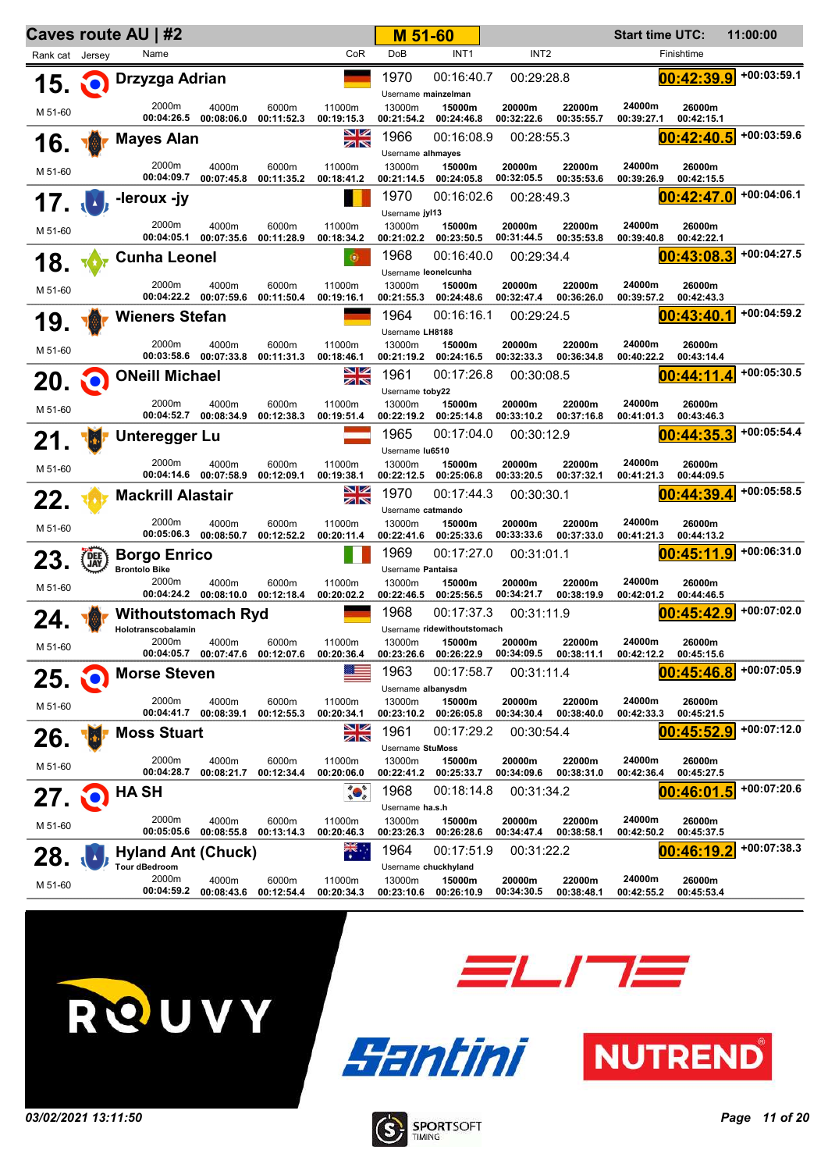|                 |                           | Caves route AU   #2                             |                                  |                     |                           | M 51-60                                      |                                           |                          |                      | <b>Start time UTC:</b> |                          | 11:00:00      |
|-----------------|---------------------------|-------------------------------------------------|----------------------------------|---------------------|---------------------------|----------------------------------------------|-------------------------------------------|--------------------------|----------------------|------------------------|--------------------------|---------------|
| Rank cat Jersey |                           | Name                                            |                                  |                     | CoR                       | DoB                                          | INT <sub>1</sub>                          | INT <sub>2</sub>         |                      |                        | Finishtime               |               |
| 15 Q            |                           | Drzyzga Adrian                                  |                                  |                     |                           | 1970<br>Username mainzelman                  | 00:16:40.7                                | 00:29:28.8               |                      |                        | 00:42:39.9               | $+00:03:59.1$ |
| M 51-60         |                           | 2000m<br>00:04:26.5                             | 4000m<br>00:08:06.0              | 6000m<br>00:11:52.3 | 11000m<br>00:19:15.3      | 13000m<br>00:21:54.2                         | 15000m<br>00:24:46.8                      | 20000m<br>00:32:22.6     | 22000m<br>00:35:55.7 | 24000m<br>00:39:27.1   | 26000m<br>00:42:15.1     |               |
| 16. WO          |                           | <b>Mayes Alan</b>                               |                                  |                     | NZ<br>ZN                  | 1966<br>Username alhmayes                    | 00:16:08.9                                | 00:28:55.3               |                      |                        | 00:42:40.5               | $+00:03:59.6$ |
| M 51-60         |                           | 2000m<br>00:04:09.7                             | 4000m<br>00:07:45.8              | 6000m<br>00:11:35.2 | 11000m<br>00:18:41.2      | 13000m<br>00:21:14.5                         | 15000m<br>00:24:05.8                      | 20000m<br>00:32:05.5     | 22000m<br>00:35:53.6 | 24000m<br>00:39:26.9   | 26000m<br>00:42:15.5     |               |
|                 |                           | -leroux -jy                                     |                                  |                     |                           | 1970                                         | 00:16:02.6                                | 00:28:49.3               |                      |                        | 00:42:47.0               | $+00:04:06.1$ |
| 17. D           |                           |                                                 |                                  |                     |                           | Username jyl13                               |                                           |                          |                      |                        |                          |               |
| M 51-60         |                           | 2000m<br>00:04:05.1                             | 4000m<br>00:07:35.6              | 6000m<br>00:11:28.9 | 11000m<br>00:18:34.2      | 13000m<br>00:21:02.2                         | 15000m<br>00:23:50.5                      | 20000m<br>00:31:44.5     | 22000m<br>00:35:53.8 | 24000m<br>00:39:40.8   | 26000m<br>00:42:22.1     |               |
| 18.             |                           | <b>Cunha Leonel</b>                             |                                  |                     | $\oplus$                  | 1968                                         | 00:16:40.0                                | 00:29:34.4               |                      |                        | 00:43:08.3               | $+00:04:27.5$ |
| M 51-60         |                           | 2000m                                           | 4000m<br>00:04:22.2 00:07:59.6   | 6000m<br>00:11:50.4 | 11000m<br>00:19:16.1      | Username leonelcunha<br>13000m<br>00:21:55.3 | 15000m<br>00:24:48.6                      | 20000m<br>00:32:47.4     | 22000m<br>00:36:26.0 | 24000m<br>00:39:57.2   | 26000m<br>00:42:43.3     |               |
| 19.             |                           | <b>Wieners Stefan</b>                           |                                  |                     |                           | 1964                                         | 00:16:16.1                                | 00:29:24.5               |                      |                        | 00:43:40.1               | $+00:04:59.2$ |
| M 51-60         |                           | 2000m                                           | 4000m                            | 6000m               | 11000m                    | Username LH8188<br>13000m                    | 15000m                                    | 20000m                   | 22000m               | 24000m                 | 26000m                   |               |
| 20.             | NO.                       | <b>ONeill Michael</b>                           | 00:03:58.6 00:07:33.8            | 00:11:31.3          | 00:18:46.1<br>NZ<br>ZK    | 1961                                         | 00:21:19.2 00:24:16.5<br>00:17:26.8       | 00:32:33.3<br>00:30:08.5 | 00:36:34.8           | 00:40:22.2             | 00:43:14.4<br>00:44:11.4 | +00:05:30.5   |
| M 51-60         |                           | 2000m<br>00:04:52.7                             | 4000m<br>00:08:34.9              | 6000m<br>00:12:38.3 | 11000m<br>00:19:51.4      | Username toby22<br>13000m<br>00:22:19.2      | 15000m<br>00:25:14.8                      | 20000m<br>00:33:10.2     | 22000m<br>00:37:16.8 | 24000m<br>00:41:01.3   | 26000m<br>00:43:46.3     |               |
| 21.             | $\mathbf{F}_{\mathbf{r}}$ | <b>Unteregger Lu</b>                            |                                  |                     |                           | 1965                                         | 00:17:04.0                                | 00:30:12.9               |                      |                        | 00:44:35.3               | $+00:05:54.4$ |
|                 |                           | 2000m                                           | 4000m                            | 6000m               | 11000m                    | Username lu6510<br>13000m                    | 15000m                                    | 20000m                   | 22000m               | 24000m                 | 26000m                   |               |
| M 51-60         |                           |                                                 | 00:04:14.6 00:07:58.9            | 00:12:09.1          | 00:19:38.1                |                                              | 00:22:12.5 00:25:06.8                     | 00:33:20.5               | 00:37:32.1           | 00:41:21.3             | 00:44:09.5               |               |
| 22.             |                           | <b>Mackrill Alastair</b>                        |                                  |                     | NZ<br>ZN                  | 1970                                         | 00:17:44.3                                | 00:30:30.1               |                      |                        | 00:44:39.4               | +00:05:58.5   |
| M 51-60         |                           | 2000m                                           | 4000m<br>00:05:06.3 00:08:50.7   | 6000m<br>00:12:52.2 | 11000m<br>00:20:11.4      | Username catmando<br>13000m<br>00:22:41.6    | 15000m<br>00:25:33.6                      | 20000m<br>00:33:33.6     | 22000m<br>00:37:33.0 | 24000m<br>00:41:21.3   | 26000m<br>00:44:13.2     |               |
| 23.             | <b>DEE</b>                | <b>Borgo Enrico</b>                             |                                  |                     |                           | 1969                                         | 00:17:27.0                                | 00:31:01.1               |                      |                        | 00:45:11.9               | +00:06:31.0   |
|                 |                           | <b>Brontolo Bike</b><br>2000m                   | 4000m                            | 6000m               | 11000m                    | Username Pantaisa<br>13000m                  | 15000m                                    | 20000m                   | 22000m               | 24000m                 | 26000m                   |               |
| M 51-60         |                           |                                                 | 00:04:24.2 00:08:10.0 00:12:18.4 |                     | 00:20:02.2                |                                              | 00:22:46.5 00:25:56.5                     | 00:34:21.7               | 00:38:19.9           | 00:42:01.2             | 00:44:46.5               |               |
| 24.             |                           | <b>Withoutstomach Ryd</b><br>Holotranscobalamin |                                  |                     |                           | 1968                                         | 00:17:37.3<br>Username ridewithoutstomach | 00:31:11.9               |                      |                        | 00:45:42.9               | +00:07:02.0   |
| M 51-60         |                           | 2000m<br>00:04:05.7                             | 4000m<br>00:07:47.6              | 6000m<br>00:12:07.6 | 11000m<br>00:20:36.4      | 13000m<br>00:23:26.6                         | 15000m<br>00:26:22.9                      | 20000m<br>00:34:09.5     | 22000m<br>00:38:11.1 | 24000m<br>00:42:12.2   | 26000m<br>00:45:15.6     |               |
| 25.             |                           | <b>Morse Steven</b>                             |                                  |                     |                           | 1963<br>Username albanysdm                   | 00:17:58.7                                | 00:31:11.4               |                      |                        | 00:45:46.8               | +00:07:05.9   |
| M 51-60         |                           | 2000m<br>00:04:41.7                             | 4000m<br>00:08:39.1              | 6000m<br>00:12:55.3 | 11000m<br>00:20:34.1      | 13000m<br>00:23:10.2                         | 15000m<br>00:26:05.8                      | 20000m<br>00:34:30.4     | 22000m<br>00:38:40.0 | 24000m<br>00:42:33.3   | 26000m<br>00:45:21.5     |               |
| 26.             |                           | <b>Moss Stuart</b>                              |                                  |                     | <u>NZ</u><br>ZN           | 1961<br>Username StuMoss                     | 00:17:29.2                                | 00:30:54.4               |                      |                        | 00:45:52.9               | +00:07:12.0   |
| M 51-60         |                           | 2000m                                           | 4000m                            | 6000m               | 11000m                    | 13000m                                       | 15000m                                    | 20000m                   | 22000m               | 24000m                 | 26000m                   |               |
| 27.             |                           | 00:04:28.7<br><b>HASH</b>                       | 00:08:21.7                       | 00:12:34.4          | 00:20:06.0                | 00:22:41.2<br>1968                           | 00:25:33.7<br>00:18:14.8                  | 00:34:09.6<br>00:31:34.2 | 00:38:31.0           | 00:42:36.4             | 00:45:27.5<br>00:46:01.5 | $+00:07:20.6$ |
| M 51-60         |                           | 2000m                                           | 4000m                            | 6000m               | 11000m                    | Username ha.s.h<br>13000m                    | 15000m                                    | 20000m                   | 22000m               | 24000m                 | 26000m                   |               |
| 28.             |                           | 00:05:05.6<br><b>Hyland Ant (Chuck)</b>         | 00:08:55.8                       | 00:13:14.3          | 00:20:46.3<br><b>215.</b> | 00:23:26.3<br>1964                           | 00:26:28.6<br>00:17:51.9                  | 00:34:47.4<br>00:31:22.2 | 00:38:58.1           | 00:42:50.2             | 00:45:37.5<br>00:46:19.2 | $+00:07:38.3$ |
| M 51-60         |                           | <b>Tour dBedroom</b><br>2000m<br>00:04:59.2     | 4000m<br>00:08:43.6              | 6000m<br>00:12:54.4 | 11000m<br>00:20:34.3      | Username chuckhyland<br>13000m<br>00:23:10.6 | 15000m<br>00:26:10.9                      | 20000m<br>00:34:30.5     | 22000m<br>00:38:48.1 | 24000m<br>00:42:55.2   | 26000m<br>00:45:53.4     |               |
|                 |                           |                                                 |                                  |                     |                           |                                              |                                           |                          |                      |                        |                          |               |



**ELITE** 





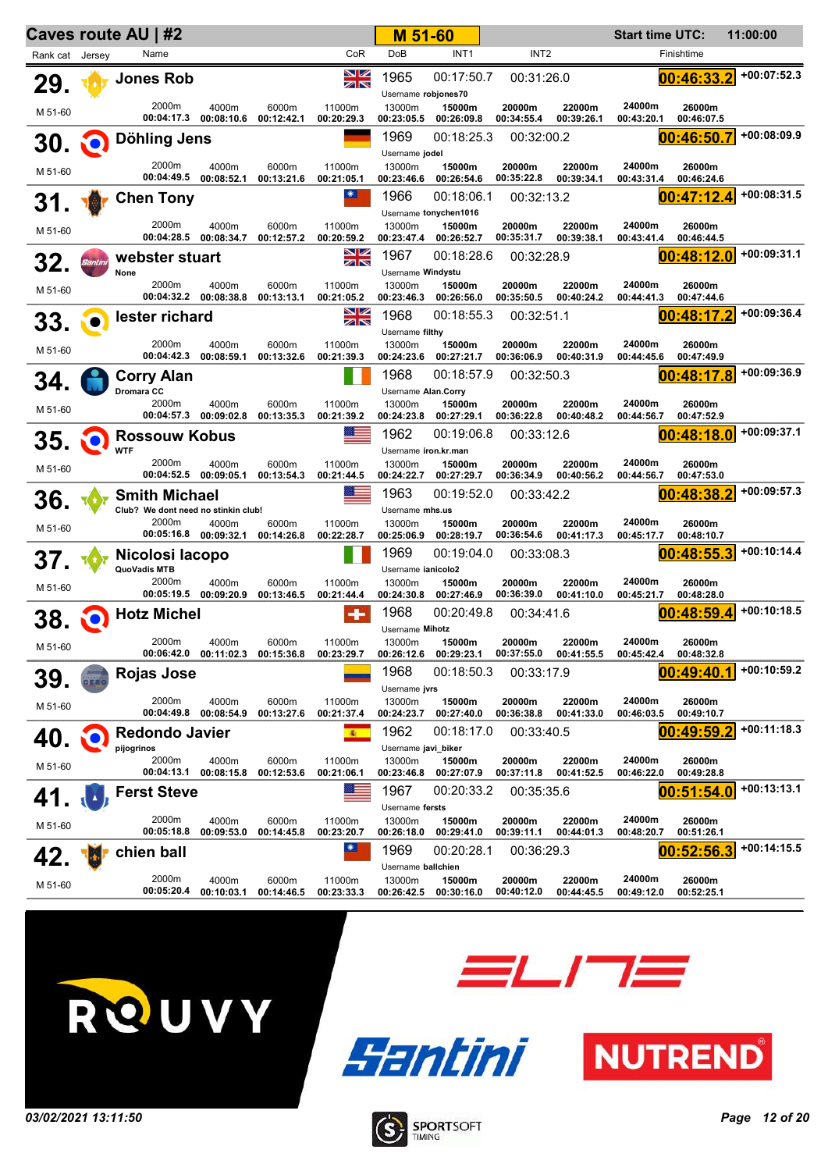|                 |         | Caves route AU   #2                          |                                           |                     |                      | M 51-60                                     |                                               |                          |                      | <b>Start time UTC:</b> |                          | 11:00:00      |
|-----------------|---------|----------------------------------------------|-------------------------------------------|---------------------|----------------------|---------------------------------------------|-----------------------------------------------|--------------------------|----------------------|------------------------|--------------------------|---------------|
| Rank cat Jersey |         | Name                                         |                                           |                     | CoR                  | <b>DoB</b>                                  | INT <sub>1</sub>                              | INT <sub>2</sub>         |                      |                        | Finishtime               |               |
| 29.             |         | <b>Jones Rob</b>                             |                                           |                     | NZ<br>ZK             | 1965<br>Username robjones70                 | 00:17:50.7                                    | 00:31:26.0               |                      |                        | 00:46:33.2               | $+00:07:52.3$ |
| M 51-60         |         | 2000m                                        | 4000m<br>00:04:17.3 00:08:10.6            | 6000m<br>00:12:42.1 | 11000m<br>00:20:29.3 | 13000m<br>00:23:05.5                        | 15000m<br>00:26:09.8                          | 20000m<br>00:34:55.4     | 22000m<br>00:39:26.1 | 24000m<br>00:43:20.1   | 26000m<br>00:46:07.5     |               |
| 30.             | O       | Döhling Jens                                 |                                           |                     |                      | 1969                                        | 00:18:25.3                                    | 00:32:00.2               |                      |                        | 00:46:50.7               | $+00:08:09.9$ |
|                 |         | 2000m                                        | 4000m                                     | 6000m               | 11000m               | Username jodel<br>13000m                    | 15000m                                        | 20000m                   | 22000m               | 24000m                 | 26000m                   |               |
| M 51-60         |         | 00:04:49.5                                   | 00:08:52.1                                | 00:13:21.6          | 00:21:05.1           | 00:23:46.6                                  | 00:26:54.6                                    | 00:35:22.8               | 00:39:34.1           | 00:43:31.4             | 00:46:24.6               |               |
| 31.             |         | <b>Chen Tony</b>                             |                                           |                     | ☀                    | 1966                                        | 00:18:06.1                                    | 00:32:13.2               |                      |                        | 00:47:12.4               | $+00:08:31.5$ |
| M 51-60         |         | 2000m                                        | 4000m<br>00:04:28.5 00:08:34.7            | 6000m<br>00:12:57.2 | 11000m<br>00:20:59.2 | 13000m<br>00:23:47.4                        | Username tonychen1016<br>15000m<br>00:26:52.7 | 20000m<br>00:35:31.7     | 22000m<br>00:39:38.1 | 24000m<br>00:43:41.4   | 26000m<br>00:46:44.5     |               |
| 32.             | Santini | webster stuart                               |                                           |                     | NZ<br>ZK             | 1967                                        | 00:18:28.6                                    | 00:32:28.9               |                      |                        | 00:48:12.0               | +00:09:31.1   |
| M 51-60         |         | None<br>2000m<br>00:04:32.2                  | 4000m<br>00:08:38.8                       | 6000m<br>00:13:13.1 | 11000m<br>00:21:05.2 | Username Windystu<br>13000m<br>00:23:46.3   | 15000m<br>00:26:56.0                          | 20000m<br>00:35:50.5     | 22000m<br>00:40:24.2 | 24000m<br>00:44:41.3   | 26000m<br>00:47:44.6     |               |
| 33.             |         | lester richard                               |                                           |                     | 8Ø<br>ZN             | 1968                                        | 00:18:55.3                                    | 00:32:51.1               |                      |                        | 00:48:17.2               | $+00:09:36.4$ |
| M 51-60         |         | 2000m<br>00:04:42.3                          | 4000m<br>00:08:59.1                       | 6000m<br>00:13:32.6 | 11000m<br>00:21:39.3 | Username filthy<br>13000m<br>00:24:23.6     | 15000m<br>00:27:21.7                          | 20000m<br>00:36:06.9     | 22000m<br>00:40:31.9 | 24000m<br>00:44:45.6   | 26000m<br>00:47:49.9     |               |
| 34              |         | <b>Corry Alan</b>                            |                                           |                     |                      | 1968                                        | 00:18:57.9                                    | 00:32:50.3               |                      |                        | 00:48:17.8               | $+00:09:36.9$ |
| M 51-60         |         | Dromara CC<br>2000m                          | 4000m<br>00:04:57.3 00:09:02.8            | 6000m<br>00:13:35.3 | 11000m<br>00:21:39.2 | Username Alan.Corry<br>13000m<br>00:24:23.8 | 15000m<br>00:27:29.1                          | 20000m<br>00:36:22.8     | 22000m<br>00:40:48.2 | 24000m<br>00:44:56.7   | 26000m<br>00:47:52.9     |               |
| 35.             |         | <b>Rossouw Kobus</b>                         |                                           |                     |                      | 1962                                        | 00:19:06.8                                    | 00:33:12.6               |                      |                        | 00:48:18.0               | $+00:09:37.1$ |
|                 |         | <b>WTF</b><br>2000m                          | 4000m                                     | 6000m               | 11000m               | Username iron.kr.man<br>13000m              | 15000m                                        | 20000m                   | 22000m               | 24000m                 | 26000m                   |               |
| M 51-60         |         |                                              | 00:04:52.5 00:09:05.1                     | 00:13:54.3          | 00:21:44.5           |                                             | 00:24:22.7 00:27:29.7                         | 00:36:34.9               | 00:40:56.2           | 00:44:56.7             | 00:47:53.0               |               |
| 36.             |         | <b>Smith Michael</b>                         |                                           |                     |                      | 1963                                        | 00:19:52.0                                    | 00:33:42.2               |                      |                        | 00:48:38.2               | +00:09:57.3   |
| M 51-60         |         | Club? We dont need no stinkin club!<br>2000m | 4000m<br>00:05:16.8 00:09:32.1            | 6000m<br>00:14:26.8 | 11000m<br>00:22:28.7 | Username mhs.us<br>13000m<br>00:25:06.9     | 15000m<br>00:28:19.7                          | 20000m<br>00:36:54.6     | 22000m<br>00:41:17.3 | 24000m<br>00:45:17.7   | 26000m<br>00:48:10.7     |               |
| 37.             |         | Nicolosi Iacopo<br>QuoVadis MTB              |                                           |                     |                      | 1969<br>Username janicolo2                  | 00:19:04.0                                    | 00:33:08.3               |                      |                        | 00:48:55.3               | +00:10:14.4   |
| M 51-60         |         | 2000m                                        | 4000m<br>00:05:19.5 00:09:20.9            | 6000m<br>00:13:46.5 | 11000m<br>00:21:44.4 | 13000m<br>00:24:30.8                        | 15000m<br>00:27:46.9                          | 20000m<br>00:36:39.0     | 22000m<br>00:41:10.0 | 24000m<br>00:45:21.7   | 26000m<br>00:48:28.0     |               |
| 38.             |         | <b>Hotz Michel</b>                           |                                           |                     |                      | 1968<br>Username Mihotz                     | 00:20:49.8                                    | 00:34:41.6               |                      |                        | 00:48:59.4               | +00:10:18.5   |
| M 51-60         |         | 2000m                                        | 4000m<br>00:06:42.0 00:11:02.3 00:15:36.8 | 6000m               | 11000m<br>00:23:29.7 | 13000m<br>00:26:12.6                        | 15000m<br>00:29:23.1                          | 20000m<br>00:37:55.0     | 22000m<br>00:41:55.5 | 24000m<br>00:45:42.4   | 26000m<br>00:48:32.8     |               |
| 39.             |         | <b>Rojas Jose</b>                            |                                           |                     |                      | 1968<br>Username jvrs                       | 00:18:50.3                                    | 00:33:17.9               |                      |                        | 00:49:40.1               | +00:10:59.2   |
| M 51-60         |         | 2000m<br>00:04:49.8                          | 4000m<br>00:08:54.9                       | 6000m<br>00:13:27.6 | 11000m<br>00:21:37.4 | 13000m<br>00:24:23.7                        | 15000m<br>00:27:40.0                          | 20000m<br>00:36:38.8     | 22000m<br>00:41:33.0 | 24000m<br>00:46:03.5   | 26000m<br>00:49:10.7     |               |
| 40              |         | <b>Redondo Javier</b>                        |                                           |                     | 衞                    | 1962                                        | 00:18:17.0                                    | 00:33:40.5               |                      |                        | 00:49:59.2               | +00:11:18.3   |
| M 51-60         |         | pijogrinos<br>2000m                          | 4000m                                     | 6000m               | 11000m               | Username javi_biker<br>13000m               | 15000m                                        | 20000m                   | 22000m               | 24000m                 | 26000m                   |               |
|                 |         | 00:04:13.1<br><b>Ferst Steve</b>             | 00:08:15.8                                | 00:12:53.6          | 00:21:06.1           | 00:23:46.8<br>1967                          | 00:27:07.9<br>00:20:33.2                      | 00:37:11.8<br>00:35:35.6 | 00:41:52.5           | 00:46:22.0             | 00:49:28.8<br>00:51:54.0 | $+00:13:13.1$ |
| 41.             |         |                                              |                                           |                     |                      | Username fersts                             |                                               |                          |                      |                        |                          |               |
| M 51-60         |         | 2000m<br>00:05:18.8                          | 4000m<br>00:09:53.0                       | 6000m<br>00:14:45.8 | 11000m<br>00:23:20.7 | 13000m<br>00:26:18.0                        | 15000m<br>00:29:41.0                          | 20000m<br>00:39:11.1     | 22000m<br>00:44:01.3 | 24000m<br>00:48:20.7   | 26000m<br>00:51:26.1     |               |
| 42.             |         | chien ball                                   |                                           |                     | ☀                    | 1969<br>Username ballchien                  | 00:20:28.1                                    | 00:36:29.3               |                      |                        | 00:52:56.3               | +00:14:15.5   |
| M 51-60         |         | 2000m<br>00:05:20.4                          | 4000m<br>00:10:03.1                       | 6000m<br>00:14:46.5 | 11000m<br>00:23:33.3 | 13000m<br>00:26:42.5                        | 15000m<br>00:30:16.0                          | 20000m<br>00:40:12.0     | 22000m<br>00:44:45.5 | 24000m<br>00:49:12.0   | 26000m<br>00:52:25.1     |               |







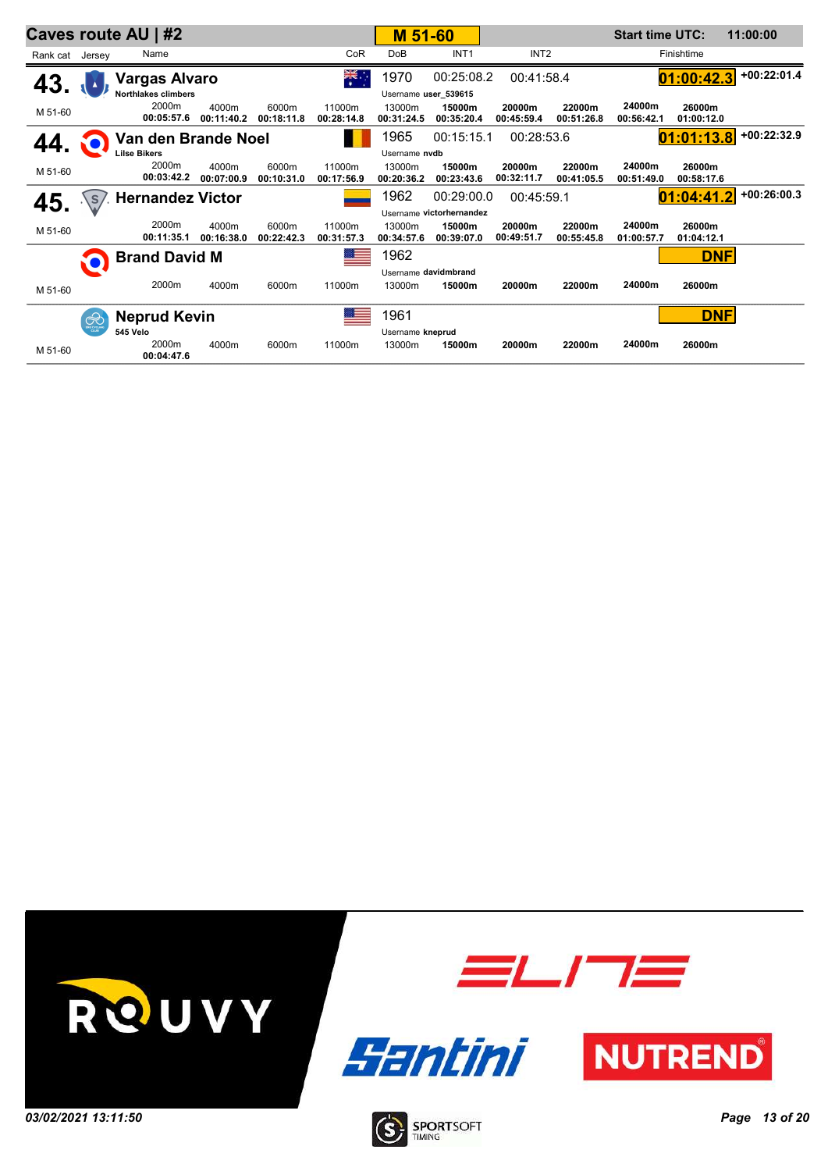|                 |              | Caves route AU   #2        |                     |                     |                      | M 51-60              |                          |                      |                      | <b>Start time UTC:</b> |                      | 11:00:00      |
|-----------------|--------------|----------------------------|---------------------|---------------------|----------------------|----------------------|--------------------------|----------------------|----------------------|------------------------|----------------------|---------------|
| Rank cat Jersey |              | Name                       |                     |                     | CoR                  | DoB                  | INT <sub>1</sub>         | INT <sub>2</sub>     |                      |                        | Finishtime           |               |
| 43.             |              | <b>Vargas Alvaro</b>       |                     |                     | ैं                   | 1970                 | 00:25:08.2               | 00:41:58.4           |                      |                        | 01:00:42.3           | $+00:22:01.4$ |
|                 |              | <b>Northlakes climbers</b> |                     |                     |                      | Username user_539615 |                          |                      |                      |                        |                      |               |
| M 51-60         |              | 2000m<br>00:05:57.6        | 4000m<br>00:11:40.2 | 6000m<br>00:18:11.8 | 11000m<br>00:28:14.8 | 13000m<br>00:31:24.5 | 15000m<br>00:35:20.4     | 20000m<br>00:45:59.4 | 22000m<br>00:51:26.8 | 24000m<br>00:56:42.1   | 26000m<br>01:00:12.0 |               |
|                 |              | Van den Brande Noel        |                     |                     |                      | 1965                 | 00:15:15.1               | 00:28:53.6           |                      |                        | 01:01:13.8           | $+00:22:32.9$ |
|                 |              | <b>Lilse Bikers</b>        |                     |                     |                      | Username nydb        |                          |                      |                      |                        |                      |               |
| M 51-60         |              | 2000m<br>00:03:42.2        | 4000m<br>00:07:00.9 | 6000m<br>00:10:31.0 | 11000m<br>00:17:56.9 | 13000m<br>00:20:36.2 | 15000m<br>00:23:43.6     | 20000m<br>00:32:11.7 | 22000m<br>00:41:05.5 | 24000m<br>00:51:49.0   | 26000m<br>00:58:17.6 |               |
| 45.             | $\Lambda$ s  | <b>Hernandez Victor</b>    |                     |                     |                      | 1962                 | 00:29:00.0               | 00:45:59.1           |                      |                        | 01:04:41.2           | $+00:26:00.3$ |
|                 |              |                            |                     |                     |                      |                      | Username victorhernandez |                      |                      |                        |                      |               |
| M 51-60         |              | 2000m<br>00:11:35.1        | 4000m<br>00:16:38.0 | 6000m<br>00:22:42.3 | 11000m<br>00:31:57.3 | 13000m<br>00:34:57.6 | 15000m<br>00:39:07.0     | 20000m<br>00:49:51.7 | 22000m<br>00:55:45.8 | 24000m<br>01:00:57.7   | 26000m<br>01:04:12.1 |               |
|                 |              | <b>Brand David M</b>       |                     |                     |                      | 1962                 |                          |                      |                      |                        | <b>DNF</b>           |               |
|                 |              |                            |                     |                     |                      | Username davidmbrand |                          |                      |                      |                        |                      |               |
| M 51-60         |              | 2000m                      | 4000m               | 6000m               | 11000m               | 13000m               | 15000m                   | 20000m               | 22000m               | 24000m                 | 26000m               |               |
|                 | $\bigotimes$ | <b>Neprud Kevin</b>        |                     |                     |                      | 1961                 |                          |                      |                      |                        | <b>DNF</b>           |               |
|                 |              | 545 Velo                   |                     |                     |                      | Username kneprud     |                          |                      |                      |                        |                      |               |
| M 51-60         |              | 2000m<br>00:04:47.6        | 4000m               | 6000m               | 11000m               | 13000m               | 15000m                   | 20000m               | 22000m               | 24000m                 | 26000m               |               |

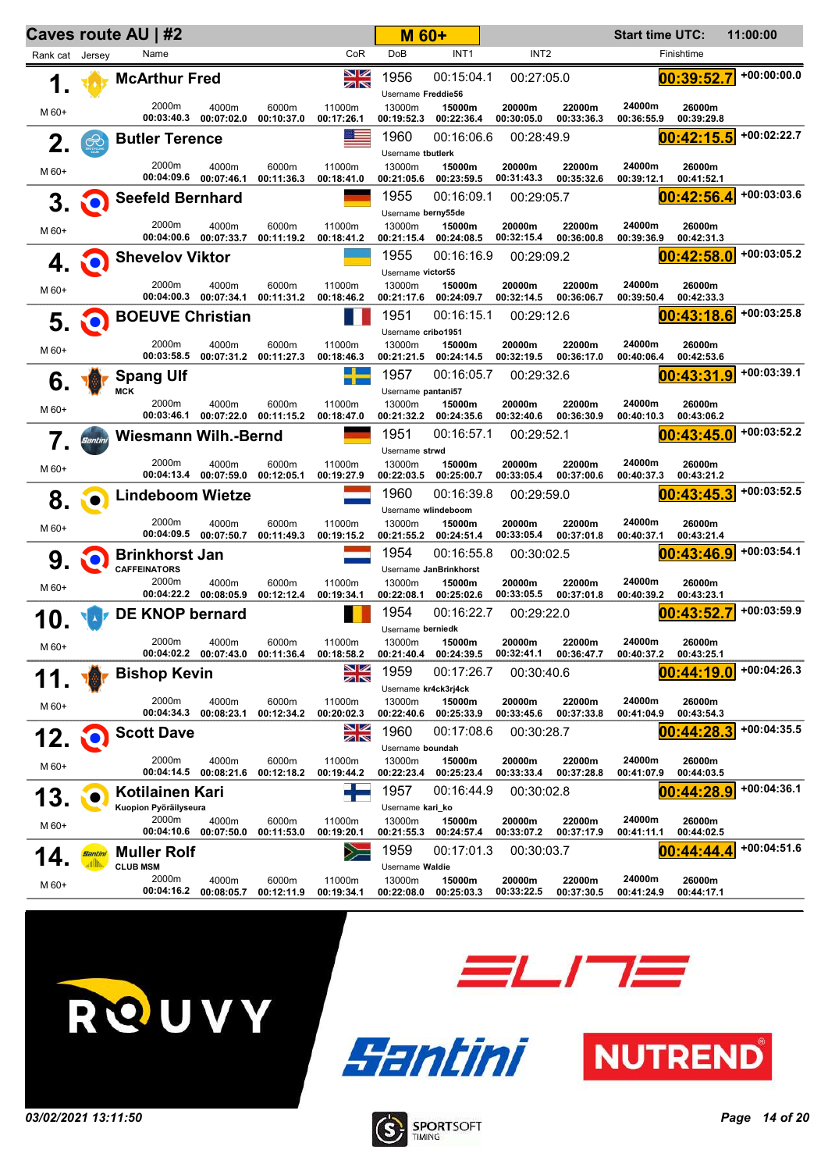|                 | Caves route AU   #2 |                                              |                                |                                | M 60+                |                                            |                                                |                      | <b>Start time UTC:</b> |                      | 11:00:00             |               |
|-----------------|---------------------|----------------------------------------------|--------------------------------|--------------------------------|----------------------|--------------------------------------------|------------------------------------------------|----------------------|------------------------|----------------------|----------------------|---------------|
| Rank cat Jersey |                     | Name                                         |                                |                                | CoR                  | <b>DoB</b>                                 | INT <sub>1</sub>                               | INT <sub>2</sub>     |                        |                      | Finishtime           |               |
| $\mathbf 1$     |                     | <b>McArthur Fred</b>                         |                                |                                | NZ<br>ZIN            | 1956                                       | 00:15:04.1                                     | 00:27:05.0           |                        |                      | 00:39:52.7           | +00:00:00.0   |
| M 60+           |                     | 2000m                                        | 4000m<br>00:03:40.3 00:07:02.0 | 6000m<br>00:10:37.0            | 11000m<br>00:17:26.1 | Username Freddie56<br>13000m<br>00:19:52.3 | 15000m<br>00:22:36.4                           | 20000m<br>00:30:05.0 | 22000m<br>00:33:36.3   | 24000m<br>00:36:55.9 | 26000m<br>00:39:29.8 |               |
| 2.              | $\circledR$         | <b>Butler Terence</b>                        |                                |                                | za –                 | 1960                                       | 00:16:06.6                                     | 00:28:49.9           |                        |                      | 00:42:15.5           | +00:02:22.7   |
| M 60+           |                     | 2000m                                        | 4000m                          | 6000m                          | 11000m               | Username tbutlerk<br>13000m                | 15000m                                         | 20000m               | 22000m                 | 24000m               | 26000m               |               |
|                 |                     |                                              | 00:04:09.6 00:07:46.1          | 00:11:36.3                     | 00:18:41.0           | 00:21:05.6                                 | 00:23:59.5                                     | 00:31:43.3           | 00:35:32.6             | 00:39:12.1           | 00:41:52.1           |               |
| 3.              |                     | <b>Seefeld Bernhard</b>                      |                                |                                |                      | 1955<br>Username berny55de                 | 00:16:09.1                                     | 00:29:05.7           |                        |                      | 00:42:56.4           | $+00:03:03.6$ |
| M 60+           |                     | 2000m                                        | 4000m<br>00:04:00.6 00:07:33.7 | 6000m<br>00:11:19.2            | 11000m<br>00:18:41.2 | 13000m<br>00:21:15.4                       | 15000m<br>00:24:08.5                           | 20000m<br>00:32:15.4 | 22000m<br>00:36:00.8   | 24000m<br>00:39:36.9 | 26000m<br>00:42:31.3 |               |
| 4.              | 10                  | <b>Shevelov Viktor</b>                       |                                |                                |                      | 1955                                       | 00:16:16.9                                     | 00:29:09.2           |                        |                      | 00:42:58.0           | $+00:03:05.2$ |
| M 60+           |                     | 2000m<br>00:04:00.3                          | 4000m<br>00:07:34.1            | 6000m<br>00:11:31.2            | 11000m<br>00:18:46.2 | Username victor55<br>13000m<br>00:21:17.6  | 15000m<br>00:24:09.7                           | 20000m<br>00:32:14.5 | 22000m<br>00:36:06.7   | 24000m<br>00:39:50.4 | 26000m<br>00:42:33.3 |               |
| 5.              | O                   | <b>BOEUVE Christian</b>                      |                                |                                |                      | 1951                                       | 00:16:15.1                                     | 00:29:12.6           |                        |                      | 00:43:18.6           | $+00:03:25.8$ |
| M 60+           |                     | 2000m<br>00:03:58.5                          | 4000m<br>00:07:31.2            | 6000m<br>00:11:27.3            | 11000m<br>00:18:46.3 | Username cribo1951<br>13000m<br>00:21:21.5 | 15000m<br>00:24:14.5                           | 20000m<br>00:32:19.5 | 22000m<br>00:36:17.0   | 24000m<br>00:40:06.4 | 26000m<br>00:42:53.6 |               |
| 6.              |                     | <b>Spang Ulf</b><br><b>MCK</b>               |                                |                                |                      | 1957<br>Username pantani57                 | 00:16:05.7                                     | 00:29:32.6           |                        |                      | 00:43:31.9           | $+00:03:39.1$ |
| M 60+           |                     | 2000m<br>00:03:46.1                          | 4000m                          | 6000m<br>00:07:22.0 00:11:15.2 | 11000m<br>00:18:47.0 | 13000m<br>00:21:32.2                       | 15000m<br>00:24:35.6                           | 20000m<br>00:32:40.6 | 22000m<br>00:36:30.9   | 24000m<br>00:40:10.3 | 26000m<br>00:43:06.2 |               |
|                 | <b>Santini</b>      | Wiesmann Wilh.-Bernd                         |                                |                                |                      | 1951                                       | 00:16:57.1                                     | 00:29:52.1           |                        |                      | 00:43:45.0           | $+00:03:52.2$ |
| M 60+           |                     | 2000m<br>00:04:13.4                          | 4000m<br>00:07:59.0            | 6000m<br>00:12:05.1            | 11000m<br>00:19:27.9 | Username strwd<br>13000m<br>00:22:03.5     | 15000m<br>00:25:00.7                           | 20000m<br>00:33:05.4 | 22000m<br>00:37:00.6   | 24000m<br>00:40:37.3 | 26000m<br>00:43:21.2 |               |
|                 |                     | <b>Lindeboom Wietze</b>                      |                                |                                |                      | 1960                                       | 00:16:39.8                                     | 00:29:59.0           |                        |                      | 00:43:45.3           | $+00:03:52.5$ |
| 8.              |                     |                                              |                                |                                |                      | Username wlindeboom                        |                                                |                      |                        |                      |                      |               |
| M 60+           |                     | 2000m<br>00:04:09.5                          | 4000m<br>00:07:50.7            | 6000m<br>00:11:49.3            | 11000m<br>00:19:15.2 | 13000m<br>00:21:55.2                       | 15000m<br>00:24:51.4                           | 20000m<br>00:33:05.4 | 22000m<br>00:37:01.8   | 24000m<br>00:40:37.1 | 26000m<br>00:43:21.4 |               |
| 9.              |                     | <b>Brinkhorst Jan</b><br><b>CAFFEINATORS</b> |                                |                                |                      | 1954                                       | 00:16:55.8                                     | 00:30:02.5           |                        |                      | 00:43:46.9           | $+00:03:54.1$ |
| M 60+           |                     | 2000m<br>00:04:22.2                          | 4000m<br>00:08:05.9            | 6000m<br>00:12:12.4            | 11000m<br>00:19:34.1 | 13000m<br>00:22:08.1                       | Username JanBrinkhorst<br>15000m<br>00:25:02.6 | 20000m<br>00:33:05.5 | 22000m<br>00:37:01.8   | 24000m<br>00:40:39.2 | 26000m<br>00:43:23.1 |               |
| N               |                     | <b>DE KNOP bernard</b>                       |                                |                                |                      | 1954<br>Username berniedk                  | 00:16:22.7                                     | 00:29:22.0           |                        |                      | 00:43:52.7           | $+00:03:59.9$ |
| M 60+           |                     | 2000m                                        | 4000m<br>00:04:02.2 00:07:43.0 | 6000m<br>00:11:36.4            | 11000m<br>00:18:58.2 | 13000m<br>00:21:40.4                       | 15000m<br>00:24:39.5                           | 20000m<br>00:32:41.1 | 22000m<br>00:36:47.7   | 24000m<br>00:40:37.2 | 26000m<br>00:43:25.1 |               |
|                 |                     | <b>Bishop Kevin</b>                          |                                |                                | NZ<br>ZN             | 1959<br>Username kr4ck3rj4ck               | 00:17:26.7                                     | 00:30:40.6           |                        |                      | 00:44:19.0           | +00:04:26.3   |
| M 60+           |                     | 2000m<br>00:04:34.3                          | 4000m<br>00:08:23.1            | 6000m<br>00:12:34.2            | 11000m<br>00:20:02.3 | 13000m<br>00:22:40.6                       | 15000m<br>00:25:33.9                           | 20000m<br>00:33:45.6 | 22000m<br>00:37:33.8   | 24000m<br>00:41:04.9 | 26000m<br>00:43:54.3 |               |
| 12.             | $\mathbf{C}$        | <b>Scott Dave</b>                            |                                |                                | $\blacksquare$<br>ZN | 1960<br>Username boundah                   | 00:17:08.6                                     | 00:30:28.7           |                        |                      | 00:44:28.3           | +00:04:35.5   |
| M 60+           |                     | 2000m<br>00:04:14.5                          | 4000m<br>00:08:21.6            | 6000m<br>00:12:18.2            | 11000m<br>00:19:44.2 | 13000m<br>00:22:23.4                       | 15000m<br>00:25:23.4                           | 20000m<br>00:33:33.4 | 22000m<br>00:37:28.8   | 24000m<br>00:41:07.9 | 26000m<br>00:44:03.5 |               |
| 13.             |                     | Kotilainen Kari                              |                                |                                |                      | 1957                                       | 00:16:44.9                                     | 00:30:02.8           |                        |                      | 00:44:28.9           | $+00:04:36.1$ |
| M 60+           |                     | Kuopion Pyöräilyseura<br>2000m<br>00:04:10.6 | 4000m<br>00:07:50.0            | 6000m<br>00:11:53.0            | 11000m<br>00:19:20.1 | Username kari_ko<br>13000m<br>00:21:55.3   | 15000m<br>00:24:57.4                           | 20000m<br>00:33:07.2 | 22000m<br>00:37:17.9   | 24000m<br>00:41:11.1 | 26000m<br>00:44:02.5 |               |
|                 | Santini<br>alllu.   | <b>Muller Rolf</b>                           |                                |                                |                      | 1959                                       | 00:17:01.3                                     | 00:30:03.7           |                        |                      | 00:44:44.4           | +00:04:51.6   |
| M 60+           |                     | <b>CLUB MSM</b><br>2000m<br>00:04:16.2       | 4000m<br>00:08:05.7            | 6000m<br>00:12:11.9            | 11000m<br>00:19:34.1 | Username Waldie<br>13000m<br>00:22:08.0    | 15000m<br>00:25:03.3                           | 20000m<br>00:33:22.5 | 22000m<br>00:37:30.5   | 24000m<br>00:41:24.9 | 26000m<br>00:44:17.1 |               |







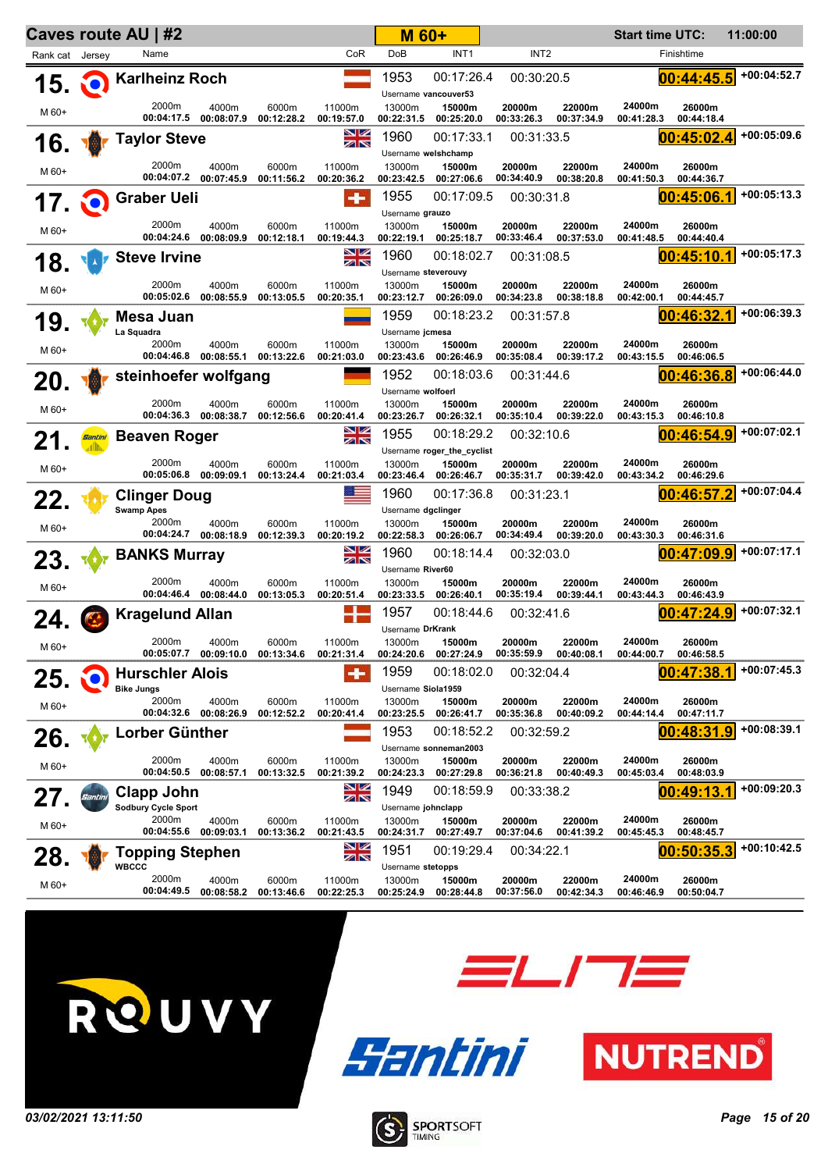|                 | Caves route AU   #2     |                                                 |                                |                     |                      | <b>M 60+</b>                                |                                          | <b>Start time UTC:</b> |                      | 11:00:00             |                      |               |
|-----------------|-------------------------|-------------------------------------------------|--------------------------------|---------------------|----------------------|---------------------------------------------|------------------------------------------|------------------------|----------------------|----------------------|----------------------|---------------|
| Rank cat Jersey |                         | Name                                            |                                |                     | CoR                  | DoB                                         | INT <sub>1</sub>                         | INT <sub>2</sub>       |                      |                      | Finishtime           |               |
| 15.             | O                       | <b>Karlheinz Roch</b>                           |                                |                     |                      | 1953<br>Username vancouver53                | 00:17:26.4                               | 00:30:20.5             |                      |                      | 00:44:45.5           | $+00:04:52.7$ |
| M 60+           |                         | 2000m                                           | 4000m<br>00:04:17.5 00:08:07.9 | 6000m<br>00:12:28.2 | 11000m<br>00:19:57.0 | 13000m<br>00:22:31.5                        | 15000m<br>00:25:20.0                     | 20000m<br>00:33:26.3   | 22000m<br>00:37:34.9 | 24000m<br>00:41:28.3 | 26000m<br>00:44:18.4 |               |
| 16.             |                         | <b>Taylor Steve</b>                             |                                |                     | NZ<br>$z\propto$     | 1960<br>Username welshchamp                 | 00:17:33.1                               | 00:31:33.5             |                      |                      | 00:45:02.4           | $+00:05:09.6$ |
| M 60+           |                         | 2000m<br>00:04:07.2                             | 4000m<br>00:07:45.9            | 6000m<br>00:11:56.2 | 11000m<br>00:20:36.2 | 13000m<br>00:23:42.5                        | 15000m<br>00:27:06.6                     | 20000m<br>00:34:40.9   | 22000m<br>00:38:20.8 | 24000m<br>00:41:50.3 | 26000m<br>00:44:36.7 |               |
| 17.             | NO.                     | <b>Graber Ueli</b>                              |                                |                     | $\bullet$            | 1955<br>Username grauzo                     | 00:17:09.5                               | 00:30:31.8             |                      |                      | 00:45:06.1           | $+00:05:13.3$ |
| M 60+           |                         | 2000m<br>00:04:24.6                             | 4000m<br>00:08:09.9            | 6000m<br>00:12:18.1 | 11000m<br>00:19:44.3 | 13000m<br>00:22:19.1                        | 15000m<br>00:25:18.7                     | 20000m<br>00:33:46.4   | 22000m<br>00:37:53.0 | 24000m<br>00:41:48.5 | 26000m<br>00:44:40.4 |               |
| 18.             |                         | <b>Steve Irvine</b>                             |                                |                     | NZ<br>ZN             | 1960                                        | 00:18:02.7                               | 00:31:08.5             |                      |                      | 00:45:10.1           | $+00:05:17.3$ |
| M 60+           |                         | 2000m<br>00:05:02.6                             | 4000m<br>00:08:55.9            | 6000m<br>00:13:05.5 | 11000m<br>00:20:35.1 | Username steverouvy<br>13000m<br>00:23:12.7 | 15000m<br>00:26:09.0                     | 20000m<br>00:34:23.8   | 22000m<br>00:38:18.8 | 24000m<br>00:42:00.1 | 26000m<br>00:44:45.7 |               |
| 19.             |                         | Mesa Juan                                       |                                |                     |                      | 1959                                        | 00:18:23.2                               | 00:31:57.8             |                      |                      | 00:46:32.1           | +00:06:39.3   |
| M 60+           |                         | La Squadra<br>2000m<br>00:04:46.8               | 4000m<br>00:08:55.1            | 6000m<br>00:13:22.6 | 11000m<br>00:21:03.0 | Username jcmesa<br>13000m<br>00:23:43.6     | 15000m<br>00:26:46.9                     | 20000m<br>00:35:08.4   | 22000m<br>00:39:17.2 | 24000m<br>00:43:15.5 | 26000m<br>00:46:06.5 |               |
| 20.             |                         | steinhoefer wolfgang                            |                                |                     |                      | 1952<br>Username wolfoerl                   | 00:18:03.6                               | 00:31:44.6             |                      |                      | 00:46:36.8           | +00:06:44.0   |
| M 60+           |                         | 2000m<br>00:04:36.3                             | 4000m<br>00:08:38.7            | 6000m<br>00:12:56.6 | 11000m<br>00:20:41.4 | 13000m<br>00:23:26.7                        | 15000m<br>00:26:32.1                     | 20000m<br>00:35:10.4   | 22000m<br>00:39:22.0 | 24000m<br>00:43:15.3 | 26000m<br>00:46:10.8 |               |
| 21.             | <b>Santini</b><br>ad Mu | <b>Beaven Roger</b>                             |                                |                     | NK<br>Ak             | 1955                                        | 00:18:29.2<br>Username roger_the_cyclist | 00:32:10.6             |                      |                      | 00:46:54.9           | $+00:07:02.1$ |
| M 60+           |                         | 2000m<br>00:05:06.8                             | 4000m<br>00:09:09.1            | 6000m<br>00:13:24.4 | 11000m<br>00:21:03.4 | 13000m<br>00:23:46.4                        | 15000m<br>00:26:46.7                     | 20000m<br>00:35:31.7   | 22000m<br>00:39:42.0 | 24000m<br>00:43:34.2 | 26000m<br>00:46:29.6 |               |
| 22.             |                         | <b>Clinger Doug</b>                             |                                |                     |                      | 1960                                        | 00:17:36.8                               | 00:31:23.1             |                      |                      | 00:46:57.2           | +00:07:04.4   |
| M 60+           |                         | <b>Swamp Apes</b><br>2000m                      | 4000m<br>00:04:24.7 00:08:18.9 | 6000m<br>00:12:39.3 | 11000m<br>00:20:19.2 | Username dgclinger<br>13000m<br>00:22:58.3  | 15000m<br>00:26:06.7                     | 20000m<br>00:34:49.4   | 22000m<br>00:39:20.0 | 24000m<br>00:43:30.3 | 26000m<br>00:46:31.6 |               |
| 23.             |                         | <b>BANKS Murray</b>                             |                                |                     | NZ<br>ZN             | 1960<br>Username River60                    | 00:18:14.4                               | 00:32:03.0             |                      |                      | 00:47:09.9           | +00:07:17.1   |
| M 60+           |                         | 2000m                                           | 4000m<br>00:04:46.4 00:08:44.0 | 6000m<br>00:13:05.3 | 11000m<br>00:20:51.4 | 13000m<br>00:23:33.5                        | 15000m<br>00:26:40.1                     | 20000m<br>00:35:19.4   | 22000m<br>00:39:44.1 | 24000m<br>00:43:44.3 | 26000m<br>00:46:43.9 |               |
| 24.             |                         | <b>Kragelund Allan</b>                          |                                |                     |                      | 1957<br>Username DrKrank                    | 00:18:44.6                               | 00:32:41.6             |                      |                      | 00:47:24.9           | $+00:07:32.1$ |
| M 60+           |                         | 2000m                                           | 4000m<br>00:05:07.7 00:09:10.0 | 6000m<br>00:13:34.6 | 11000m<br>00:21:31.4 | 13000m<br>00:24:20.6                        | 15000m<br>00:27:24.9                     | 20000m<br>00:35:59.9   | 22000m<br>00:40:08.1 | 24000m<br>00:44:00.7 | 26000m<br>00:46:58.5 |               |
| 25,             |                         | <b>Hurschler Alois</b><br><b>Bike Jungs</b>     |                                |                     |                      | 1959<br>Username Siola1959                  | 00:18:02.0                               | 00:32:04.4             |                      |                      | 00:47:38             | $+00:07:45.3$ |
| M 60+           |                         | 2000m<br>00:04:32.6                             | 4000m<br>00:08:26.9            | 6000m<br>00:12:52.2 | 11000m<br>00:20:41.4 | 13000m<br>00:23:25.5                        | 15000m<br>00:26:41.7                     | 20000m<br>00:35:36.8   | 22000m<br>00:40:09.2 | 24000m<br>00:44:14.4 | 26000m<br>00:47:11.7 |               |
| 26.             |                         | Lorber Günther                                  |                                |                     |                      | 1953                                        | 00:18:52.2<br>Username sonneman2003      | 00:32:59.2             |                      |                      | 00:48:31.9           | $+00:08:39.1$ |
| M 60+           |                         | 2000m<br>00:04:50.5                             | 4000m<br>00:08:57.1            | 6000m<br>00:13:32.5 | 11000m<br>00:21:39.2 | 13000m<br>00:24:23.3                        | 15000m<br>00:27:29.8                     | 20000m<br>00:36:21.8   | 22000m<br>00:40:49.3 | 24000m<br>00:45:03.4 | 26000m<br>00:48:03.9 |               |
| 27.             | Santini                 | <b>Clapp John</b><br><b>Sodbury Cycle Sport</b> |                                |                     | NZ<br>ZN             | 1949<br>Username johnclapp                  | 00:18:59.9                               | 00:33:38.2             |                      |                      | 00:49:13             | +00:09:20.3   |
| M 60+           |                         | 2000m<br>00:04:55.6                             | 4000m<br>00:09:03.1            | 6000m<br>00:13:36.2 | 11000m<br>00:21:43.5 | 13000m<br>00:24:31.7                        | 15000m<br>00:27:49.7                     | 20000m<br>00:37:04.6   | 22000m<br>00:41:39.2 | 24000m<br>00:45:45.3 | 26000m<br>00:48:45.7 |               |
| 28.             |                         | <b>Topping Stephen</b><br><b>WBCCC</b>          |                                |                     | NZ<br>ZN             | 1951<br>Username stetopps                   | 00:19:29.4                               | 00:34:22.1             |                      |                      | 00:50:35.3           | +00:10:42.5   |
| M 60+           |                         | 2000m<br>00:04:49.5                             | 4000m<br>00:08:58.2            | 6000m<br>00:13:46.6 | 11000m<br>00:22:25.3 | 13000m<br>00:25:24.9                        | 15000m<br>00:28:44.8                     | 20000m<br>00:37:56.0   | 22000m<br>00:42:34.3 | 24000m<br>00:46:46.9 | 26000m<br>00:50:04.7 |               |







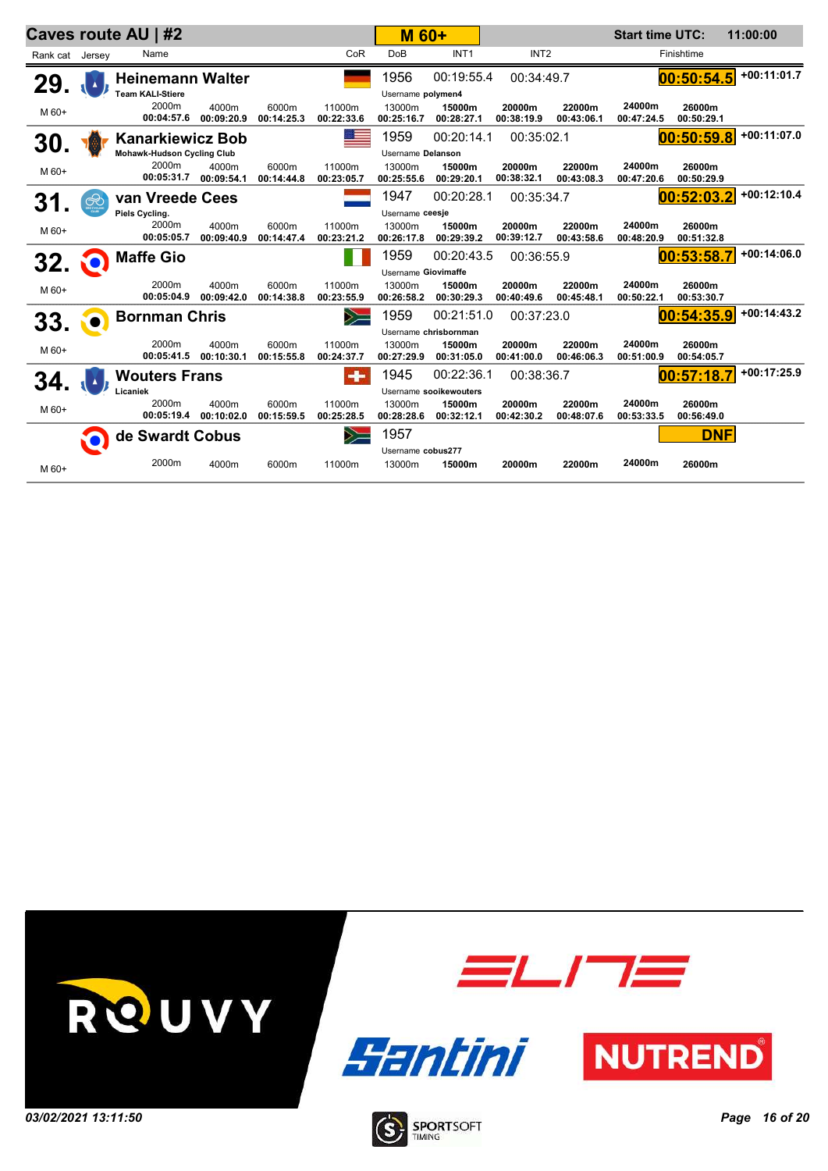|                 | Caves route AU   #2 |                                                              |                     |                     |                      | <b>M 60+</b>                            |                        |                      |                      | <b>Start time UTC:</b> |                      | 11:00:00      |
|-----------------|---------------------|--------------------------------------------------------------|---------------------|---------------------|----------------------|-----------------------------------------|------------------------|----------------------|----------------------|------------------------|----------------------|---------------|
| Rank cat Jersey |                     | Name                                                         |                     |                     | CoR                  | <b>DoB</b>                              | INT <sub>1</sub>       | INT <sub>2</sub>     |                      |                        | Finishtime           |               |
| 29.             |                     | <b>Heinemann Walter</b><br><b>Team KALI-Stiere</b>           |                     |                     |                      | 1956<br>Username polymen4               | 00:19:55.4             | 00:34:49.7           |                      |                        | 00:50:54.5           | $+00:11:01.7$ |
| M 60+           |                     | 2000m<br>00:04:57.6                                          | 4000m<br>00:09:20.9 | 6000m<br>00:14:25.3 | 11000m<br>00:22:33.6 | 13000m<br>00:25:16.7                    | 15000m<br>00:28:27.1   | 20000m<br>00:38:19.9 | 22000m<br>00:43:06.1 | 24000m<br>00:47:24.5   | 26000m<br>00:50:29.1 |               |
| 30.             |                     | <b>Kanarkiewicz Bob</b><br><b>Mohawk-Hudson Cycling Club</b> |                     |                     |                      | 1959<br>Username Delanson               | 00:20:14.1             | 00:35:02.1           |                      |                        | 00:50:59.8           | $+00:11:07.0$ |
| M 60+           |                     | 2000m<br>00:05:31.7                                          | 4000m<br>00:09:54.1 | 6000m<br>00:14:44.8 | 11000m<br>00:23:05.7 | 13000m<br>00:25:55.6                    | 15000m<br>00:29:20.1   | 20000m<br>00:38:32.1 | 22000m<br>00:43:08.3 | 24000m<br>00:47:20.6   | 26000m<br>00:50:29.9 |               |
| 31              | $\circledast$       | van Vreede Cees                                              |                     |                     |                      | 1947                                    | 00:20:28.1             | 00:35:34.7           |                      |                        | 00:52:03.2           | $+00:12:10.4$ |
| M 60+           |                     | Piels Cycling.<br>2000m<br>00:05:05.7                        | 4000m<br>00:09:40.9 | 6000m<br>00:14:47.4 | 11000m<br>00:23:21.2 | Username ceesje<br>13000m<br>00:26:17.8 | 15000m<br>00:29:39.2   | 20000m<br>00:39:12.7 | 22000m<br>00:43:58.6 | 24000m<br>00:48:20.9   | 26000m<br>00:51:32.8 |               |
| <b>32.</b>      | NO)                 | <b>Maffe Gio</b>                                             |                     |                     |                      | 1959                                    | 00:20:43.5             | 00:36:55.9           |                      |                        | 00:53:58.7           | $+00:14:06.0$ |
|                 |                     |                                                              |                     |                     |                      | Username Giovimaffe                     |                        |                      |                      |                        |                      |               |
| M 60+           |                     | 2000m<br>00:05:04.9                                          | 4000m<br>00:09:42.0 | 6000m<br>00:14:38.8 | 11000m<br>00:23:55.9 | 13000m<br>00:26:58.2                    | 15000m<br>00:30:29.3   | 20000m<br>00:40:49.6 | 22000m<br>00:45:48.1 | 24000m<br>00:50:22.1   | 26000m<br>00:53:30.7 |               |
| 33.             |                     | <b>Bornman Chris</b>                                         |                     |                     | $\sum$               | 1959                                    | 00:21:51.0             | 00:37:23.0           |                      |                        | 00:54:35.9           | $+00:14:43.2$ |
|                 |                     |                                                              |                     |                     |                      |                                         | Username chrisbornman  |                      |                      |                        |                      |               |
| M 60+           |                     | 2000m<br>00:05:41.5                                          | 4000m<br>00:10:30.1 | 6000m<br>00:15:55.8 | 11000m<br>00:24:37.7 | 13000m<br>00:27:29.9                    | 15000m<br>00:31:05.0   | 20000m<br>00:41:00.0 | 22000m<br>00:46:06.3 | 24000m<br>00:51:00.9   | 26000m<br>00:54:05.7 |               |
| 34.             |                     | <b>Wouters Frans</b>                                         |                     |                     | $\cdot$              | 1945                                    | 00:22:36.1             | 00:38:36.7           |                      |                        | 00:57:18.7           | $+00:17:25.9$ |
|                 |                     | Licaniek                                                     |                     |                     |                      |                                         | Username sooikewouters |                      |                      |                        |                      |               |
| M 60+           |                     | 2000m<br>00:05:19.4                                          | 4000m<br>00:10:02.0 | 6000m<br>00:15:59.5 | 11000m<br>00:25:28.5 | 13000m<br>00:28:28.6                    | 15000m<br>00:32:12.1   | 20000m<br>00:42:30.2 | 22000m<br>00:48:07.6 | 24000m<br>00:53:33.5   | 26000m<br>00:56:49.0 |               |
|                 | $\mathbf O$         | de Swardt Cobus                                              |                     |                     | $\geqslant$          | 1957                                    |                        |                      |                      |                        | <b>DNF</b>           |               |
| M 60+           |                     | 2000m                                                        | 4000m               | 6000m               | 11000m               | Username cobus277<br>13000m             | 15000m                 | 20000m               | 22000m               | 24000m                 | 26000m               |               |

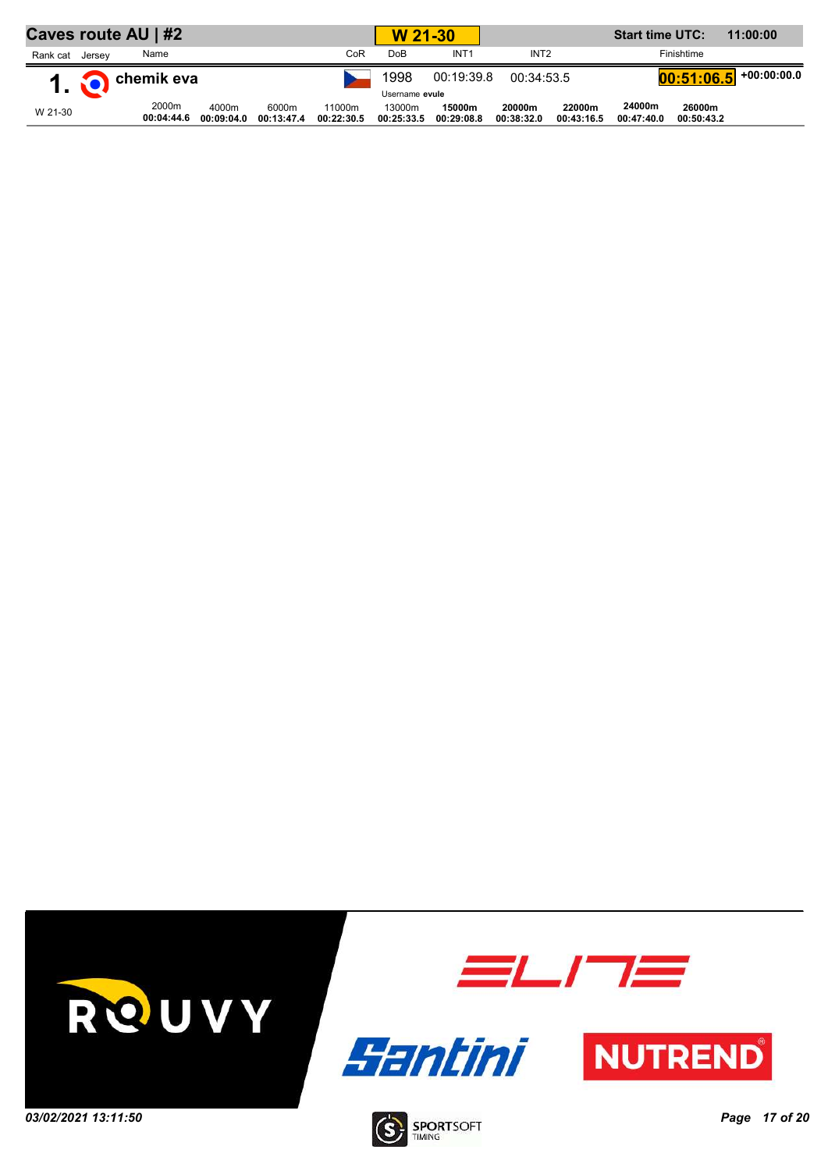| Caves route AU   #2 |                 |                     |                     |                     |                      | W 21-30              |                      |                      |                      | 11:00:00             |                      |                                       |
|---------------------|-----------------|---------------------|---------------------|---------------------|----------------------|----------------------|----------------------|----------------------|----------------------|----------------------|----------------------|---------------------------------------|
| Rank cat            | Jersey          | Name                |                     |                     | CoR                  | DoB                  | INT <sub>1</sub>     | INT <sub>2</sub>     |                      |                      | Finishtime           |                                       |
|                     | 1. O chemik eva |                     |                     |                     |                      | 1998                 | 00:19:39.8           | 00:34:53.5           |                      |                      |                      | $\left[00:51:06.5\right]$ +00:00:00.0 |
|                     |                 |                     |                     |                     |                      | Username evule       |                      |                      |                      |                      |                      |                                       |
| W 21-30             |                 | 2000m<br>00:04:44.6 | 4000m<br>00:09:04.0 | 6000m<br>00:13:47.4 | 11000m<br>00:22:30.5 | 13000m<br>00:25:33.5 | 15000m<br>00:29:08.8 | 20000m<br>00:38:32.0 | 22000m<br>00:43:16.5 | 24000m<br>00:47:40.0 | 26000m<br>00:50:43.2 |                                       |

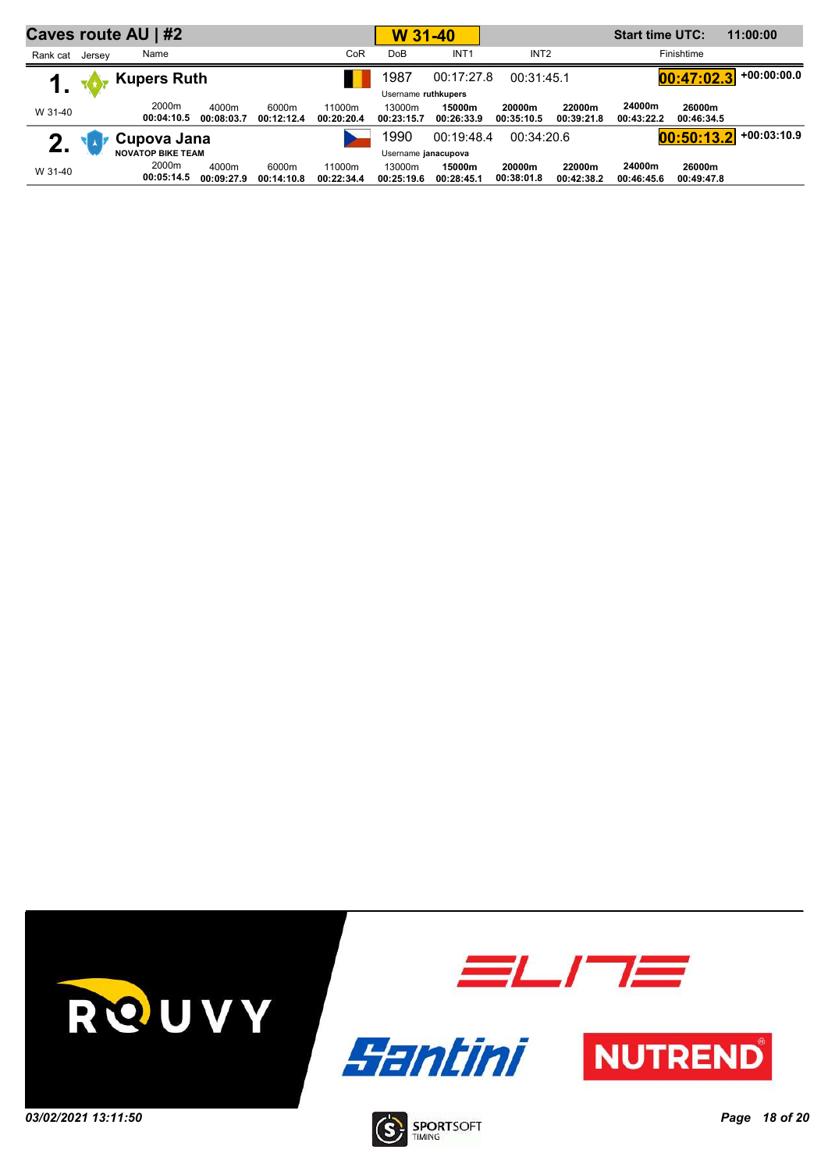|              |        | Caves route AU   #2      |                     |                     |                      | W 31-40              |                      |                      | <b>Start time UTC:</b> |                      | 11:00:00             |               |
|--------------|--------|--------------------------|---------------------|---------------------|----------------------|----------------------|----------------------|----------------------|------------------------|----------------------|----------------------|---------------|
| Rank cat     | Jersev | Name                     |                     |                     | CoR                  | <b>DoB</b>           | INT <sub>1</sub>     | INT <sub>2</sub>     |                        |                      | Finishtime           |               |
|              |        | <b>Kupers Ruth</b>       |                     |                     |                      | 1987                 | 00:17:27.8           | 00:31:45.1           |                        |                      | 00:47:02.3           | $+00:00:00.0$ |
|              |        |                          |                     |                     |                      | Username ruthkupers  |                      |                      |                        |                      |                      |               |
| W 31-40      |        | 2000m<br>00:04:10.5      | 4000m<br>00:08:03.7 | 6000m<br>00:12:12.4 | 11000m<br>00:20:20.4 | 13000m<br>00:23:15.7 | 15000m<br>00:26:33.9 | 20000m<br>00:35:10.5 | 22000m<br>00:39:21.8   | 24000m<br>00:43:22.2 | 26000m<br>00:46:34.5 |               |
| $\mathbf{P}$ |        | Cupova Jana              |                     |                     |                      | 1990                 | 00:19:48.4           | 00:34:20.6           |                        |                      | 00:50:13.2           | $+00:03:10.9$ |
|              |        | <b>NOVATOP BIKE TEAM</b> |                     |                     |                      | Username janacupova  |                      |                      |                        |                      |                      |               |
| W 31-40      |        | 2000m<br>00:05:14.5      | 4000m<br>00:09:27.9 | 6000m<br>00:14:10.8 | 11000m<br>00:22:34.4 | 13000m<br>00:25:19.6 | 15000m<br>00:28:45.1 | 20000m<br>00:38:01.8 | 22000m<br>00:42:38.2   | 24000m<br>00:46:45.6 | 26000m<br>00:49:47.8 |               |

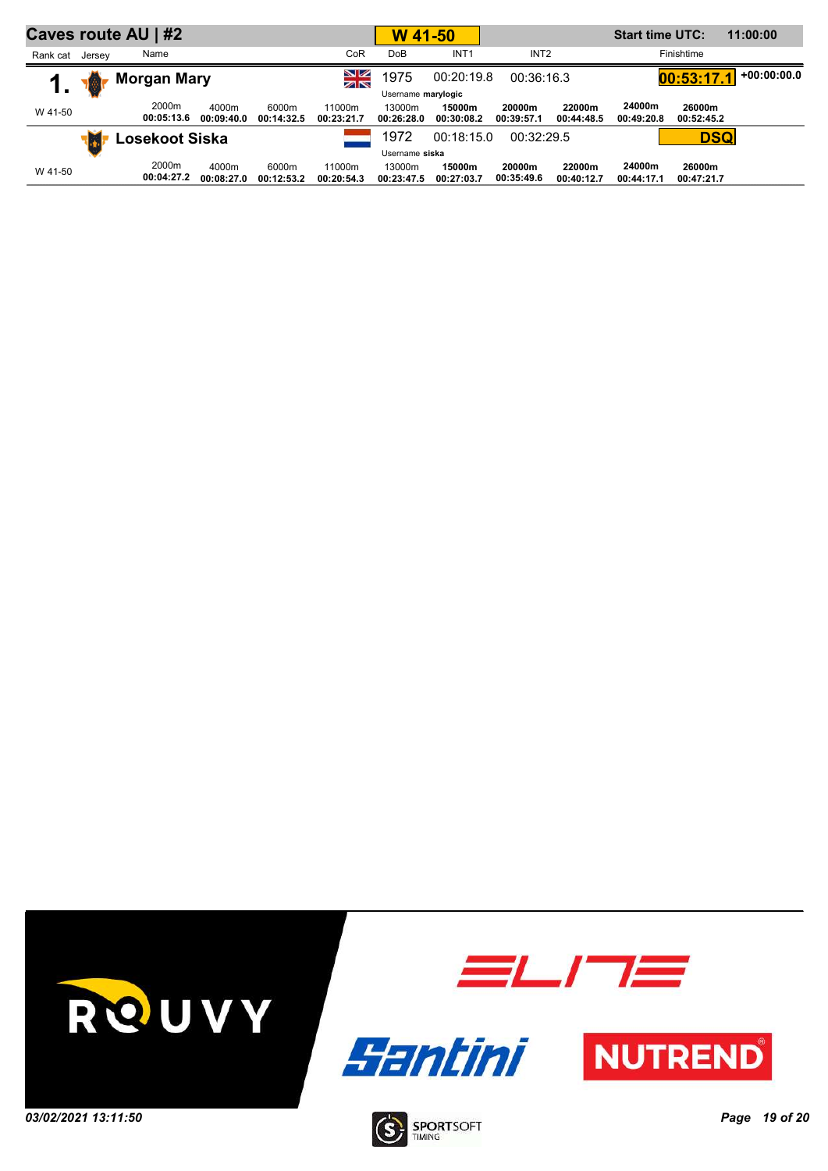|          |        | Caves route AU   #2 |                     |                     |                      | W 41-50              |                      |                      | <b>Start time UTC:</b> |                      | 11:00:00             |               |
|----------|--------|---------------------|---------------------|---------------------|----------------------|----------------------|----------------------|----------------------|------------------------|----------------------|----------------------|---------------|
| Rank cat | Jersey | Name                |                     |                     | CoR                  | <b>DoB</b>           | INT <sub>1</sub>     | INT <sub>2</sub>     |                        |                      | Finishtime           |               |
|          | 圈      | <b>Morgan Mary</b>  |                     |                     | NZ<br>$z \propto$    | 1975                 | 00:20:19.8           | 00:36:16.3           |                        |                      | 00:53:17.1           | $+00:00:00.0$ |
| . .      |        |                     |                     |                     |                      | Username marylogic   |                      |                      |                        |                      |                      |               |
| W 41-50  |        | 2000m<br>00:05:13.6 | 4000m<br>00:09:40.0 | 6000m<br>00:14:32.5 | 11000m<br>00:23:21.7 | 13000m<br>00:26:28.0 | 15000m<br>00:30:08.2 | 20000m<br>00:39:57.1 | 22000m<br>00:44:48.5   | 24000m<br>00:49:20.8 | 26000m<br>00:52:45.2 |               |
|          | IJ.    | Losekoot Siska      |                     |                     |                      | 1972                 | 00:18:15.0           | 00:32:29.5           |                        |                      | <b>DSQ</b>           |               |
|          |        |                     |                     |                     |                      | Username siska       |                      |                      |                        |                      |                      |               |
| W 41-50  |        | 2000m<br>00:04:27.2 | 4000m<br>00:08:27.0 | 6000m<br>00:12:53.2 | 11000m<br>00:20:54.3 | 13000m<br>00:23:47.5 | 15000m<br>00:27:03.7 | 20000m<br>00:35:49.6 | 22000m<br>00:40:12.7   | 24000m<br>00:44:17.1 | 26000m<br>00:47:21.7 |               |